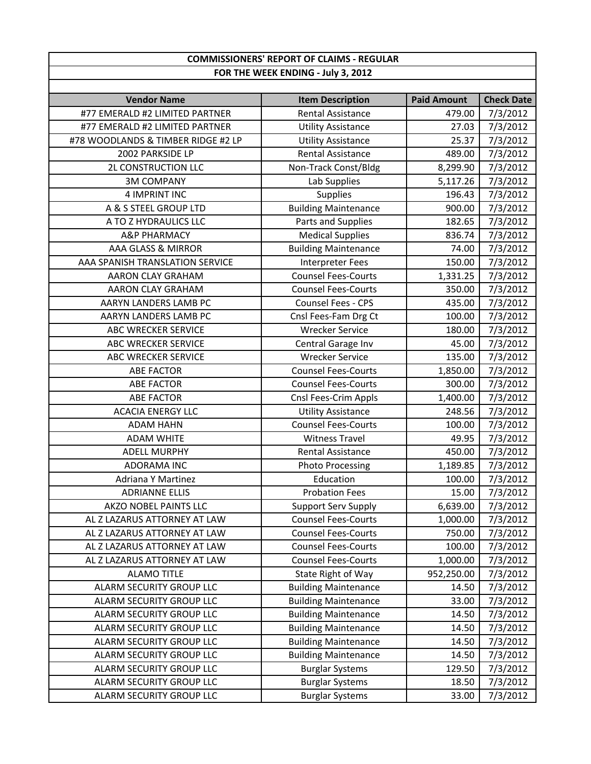| <b>COMMISSIONERS' REPORT OF CLAIMS - REGULAR</b><br>FOR THE WEEK ENDING - July 3, 2012 |                                              |                    |                      |
|----------------------------------------------------------------------------------------|----------------------------------------------|--------------------|----------------------|
|                                                                                        |                                              |                    |                      |
| <b>Vendor Name</b><br>#77 EMERALD #2 LIMITED PARTNER                                   | <b>Item Description</b><br>Rental Assistance | <b>Paid Amount</b> | <b>Check Date</b>    |
| #77 EMERALD #2 LIMITED PARTNER                                                         | <b>Utility Assistance</b>                    | 479.00<br>27.03    | 7/3/2012<br>7/3/2012 |
| #78 WOODLANDS & TIMBER RIDGE #2 LP                                                     | <b>Utility Assistance</b>                    | 25.37              | 7/3/2012             |
| 2002 PARKSIDE LP                                                                       | <b>Rental Assistance</b>                     | 489.00             |                      |
| 2L CONSTRUCTION LLC                                                                    |                                              |                    | 7/3/2012<br>7/3/2012 |
| <b>3M COMPANY</b>                                                                      | Non-Track Const/Bldg                         | 8,299.90           |                      |
|                                                                                        | Lab Supplies                                 | 5,117.26           | 7/3/2012             |
| <b>4 IMPRINT INC</b>                                                                   | Supplies                                     | 196.43             | 7/3/2012             |
| A & S STEEL GROUP LTD                                                                  | <b>Building Maintenance</b>                  | 900.00             | 7/3/2012             |
| A TO Z HYDRAULICS LLC                                                                  | Parts and Supplies                           | 182.65             | 7/3/2012             |
| <b>A&amp;P PHARMACY</b>                                                                | <b>Medical Supplies</b>                      | 836.74             | 7/3/2012             |
| <b>AAA GLASS &amp; MIRROR</b>                                                          | <b>Building Maintenance</b>                  | 74.00              | 7/3/2012             |
| AAA SPANISH TRANSLATION SERVICE                                                        | Interpreter Fees                             | 150.00             | 7/3/2012             |
| AARON CLAY GRAHAM                                                                      | <b>Counsel Fees-Courts</b>                   | 1,331.25           | 7/3/2012             |
| <b>AARON CLAY GRAHAM</b>                                                               | <b>Counsel Fees-Courts</b>                   | 350.00             | 7/3/2012             |
| AARYN LANDERS LAMB PC                                                                  | Counsel Fees - CPS                           | 435.00             | 7/3/2012             |
| AARYN LANDERS LAMB PC                                                                  | Cnsl Fees-Fam Drg Ct                         | 100.00             | 7/3/2012             |
| ABC WRECKER SERVICE                                                                    | <b>Wrecker Service</b>                       | 180.00             | 7/3/2012             |
| ABC WRECKER SERVICE                                                                    | Central Garage Inv                           | 45.00              | 7/3/2012             |
| <b>ABC WRECKER SERVICE</b>                                                             | <b>Wrecker Service</b>                       | 135.00             | 7/3/2012             |
| <b>ABE FACTOR</b>                                                                      | <b>Counsel Fees-Courts</b>                   | 1,850.00           | 7/3/2012             |
| <b>ABE FACTOR</b>                                                                      | <b>Counsel Fees-Courts</b>                   | 300.00             | 7/3/2012             |
| <b>ABE FACTOR</b>                                                                      | Cnsl Fees-Crim Appls                         | 1,400.00           | 7/3/2012             |
| <b>ACACIA ENERGY LLC</b>                                                               | <b>Utility Assistance</b>                    | 248.56             | 7/3/2012             |
| <b>ADAM HAHN</b>                                                                       | <b>Counsel Fees-Courts</b>                   | 100.00             | 7/3/2012             |
| <b>ADAM WHITE</b>                                                                      | <b>Witness Travel</b>                        | 49.95              | 7/3/2012             |
| <b>ADELL MURPHY</b>                                                                    | Rental Assistance                            | 450.00             | 7/3/2012             |
| <b>ADORAMA INC</b>                                                                     | <b>Photo Processing</b>                      | 1,189.85           | 7/3/2012             |
| <b>Adriana Y Martinez</b>                                                              | Education                                    | 100.00             | 7/3/2012             |
| <b>ADRIANNE ELLIS</b>                                                                  | <b>Probation Fees</b>                        | 15.00              | 7/3/2012             |
| AKZO NOBEL PAINTS LLC                                                                  | <b>Support Serv Supply</b>                   | 6,639.00           | 7/3/2012             |
| AL Z LAZARUS ATTORNEY AT LAW                                                           | <b>Counsel Fees-Courts</b>                   | 1,000.00           | 7/3/2012             |
| AL Z LAZARUS ATTORNEY AT LAW                                                           | <b>Counsel Fees-Courts</b>                   | 750.00             | 7/3/2012             |
| AL Z LAZARUS ATTORNEY AT LAW                                                           | <b>Counsel Fees-Courts</b>                   | 100.00             | 7/3/2012             |
| AL Z LAZARUS ATTORNEY AT LAW                                                           | <b>Counsel Fees-Courts</b>                   | 1,000.00           | 7/3/2012             |
| <b>ALAMO TITLE</b>                                                                     | State Right of Way                           | 952,250.00         | 7/3/2012             |
| ALARM SECURITY GROUP LLC                                                               | <b>Building Maintenance</b>                  | 14.50              | 7/3/2012             |
| ALARM SECURITY GROUP LLC                                                               | <b>Building Maintenance</b>                  | 33.00              | 7/3/2012             |
| ALARM SECURITY GROUP LLC                                                               | <b>Building Maintenance</b>                  | 14.50              | 7/3/2012             |
| ALARM SECURITY GROUP LLC                                                               | <b>Building Maintenance</b>                  | 14.50              | 7/3/2012             |
| ALARM SECURITY GROUP LLC                                                               | <b>Building Maintenance</b>                  | 14.50              | 7/3/2012             |
| ALARM SECURITY GROUP LLC                                                               | <b>Building Maintenance</b>                  | 14.50              | 7/3/2012             |
| ALARM SECURITY GROUP LLC                                                               | <b>Burglar Systems</b>                       | 129.50             | 7/3/2012             |
| ALARM SECURITY GROUP LLC                                                               | <b>Burglar Systems</b>                       | 18.50              | 7/3/2012             |
| ALARM SECURITY GROUP LLC                                                               | <b>Burglar Systems</b>                       | 33.00              | 7/3/2012             |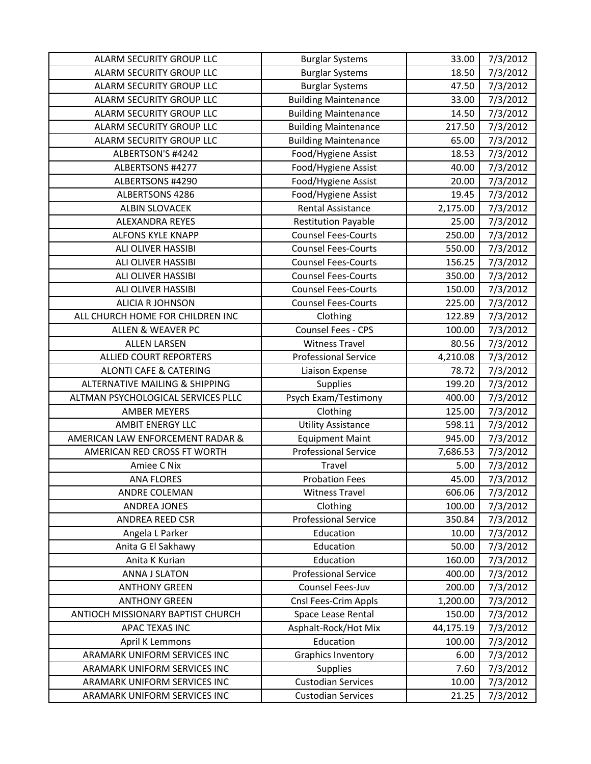| <b>ALARM SECURITY GROUP LLC</b>           | <b>Burglar Systems</b>      | 33.00     | 7/3/2012 |
|-------------------------------------------|-----------------------------|-----------|----------|
| ALARM SECURITY GROUP LLC                  | <b>Burglar Systems</b>      | 18.50     | 7/3/2012 |
| ALARM SECURITY GROUP LLC                  | <b>Burglar Systems</b>      | 47.50     | 7/3/2012 |
| ALARM SECURITY GROUP LLC                  | <b>Building Maintenance</b> | 33.00     | 7/3/2012 |
| ALARM SECURITY GROUP LLC                  | <b>Building Maintenance</b> | 14.50     | 7/3/2012 |
| ALARM SECURITY GROUP LLC                  | <b>Building Maintenance</b> | 217.50    | 7/3/2012 |
| ALARM SECURITY GROUP LLC                  | <b>Building Maintenance</b> | 65.00     | 7/3/2012 |
| ALBERTSON'S #4242                         | Food/Hygiene Assist         | 18.53     | 7/3/2012 |
| ALBERTSONS #4277                          | Food/Hygiene Assist         | 40.00     | 7/3/2012 |
| ALBERTSONS #4290                          | Food/Hygiene Assist         | 20.00     | 7/3/2012 |
| ALBERTSONS 4286                           | Food/Hygiene Assist         | 19.45     | 7/3/2012 |
| <b>ALBIN SLOVACEK</b>                     | <b>Rental Assistance</b>    | 2,175.00  | 7/3/2012 |
| <b>ALEXANDRA REYES</b>                    | <b>Restitution Payable</b>  | 25.00     | 7/3/2012 |
| <b>ALFONS KYLE KNAPP</b>                  | <b>Counsel Fees-Courts</b>  | 250.00    | 7/3/2012 |
| ALI OLIVER HASSIBI                        | <b>Counsel Fees-Courts</b>  | 550.00    | 7/3/2012 |
| <b>ALI OLIVER HASSIBI</b>                 | <b>Counsel Fees-Courts</b>  | 156.25    | 7/3/2012 |
| ALI OLIVER HASSIBI                        | <b>Counsel Fees-Courts</b>  | 350.00    | 7/3/2012 |
| ALI OLIVER HASSIBI                        | <b>Counsel Fees-Courts</b>  | 150.00    | 7/3/2012 |
| <b>ALICIA R JOHNSON</b>                   | <b>Counsel Fees-Courts</b>  | 225.00    | 7/3/2012 |
| ALL CHURCH HOME FOR CHILDREN INC          | Clothing                    | 122.89    | 7/3/2012 |
| <b>ALLEN &amp; WEAVER PC</b>              | Counsel Fees - CPS          | 100.00    | 7/3/2012 |
| <b>ALLEN LARSEN</b>                       | <b>Witness Travel</b>       | 80.56     | 7/3/2012 |
| <b>ALLIED COURT REPORTERS</b>             | <b>Professional Service</b> | 4,210.08  | 7/3/2012 |
| <b>ALONTI CAFE &amp; CATERING</b>         | Liaison Expense             | 78.72     | 7/3/2012 |
| <b>ALTERNATIVE MAILING &amp; SHIPPING</b> | <b>Supplies</b>             | 199.20    | 7/3/2012 |
| ALTMAN PSYCHOLOGICAL SERVICES PLLC        | Psych Exam/Testimony        | 400.00    | 7/3/2012 |
| <b>AMBER MEYERS</b>                       | Clothing                    | 125.00    | 7/3/2012 |
| <b>AMBIT ENERGY LLC</b>                   | <b>Utility Assistance</b>   | 598.11    | 7/3/2012 |
| AMERICAN LAW ENFORCEMENT RADAR &          | <b>Equipment Maint</b>      | 945.00    | 7/3/2012 |
| AMERICAN RED CROSS FT WORTH               | <b>Professional Service</b> | 7,686.53  | 7/3/2012 |
| Amiee C Nix                               | Travel                      | 5.00      | 7/3/2012 |
| <b>ANA FLORES</b>                         | <b>Probation Fees</b>       | 45.00     | 7/3/2012 |
| ANDRE COLEMAN                             | <b>Witness Travel</b>       | 606.06    | 7/3/2012 |
| <b>ANDREA JONES</b>                       | Clothing                    | 100.00    | 7/3/2012 |
| <b>ANDREA REED CSR</b>                    | <b>Professional Service</b> | 350.84    | 7/3/2012 |
| Angela L Parker                           | Education                   | 10.00     | 7/3/2012 |
| Anita G El Sakhawy                        | Education                   | 50.00     | 7/3/2012 |
| Anita K Kurian                            | Education                   | 160.00    | 7/3/2012 |
| ANNA J SLATON                             | <b>Professional Service</b> | 400.00    | 7/3/2012 |
| <b>ANTHONY GREEN</b>                      | Counsel Fees-Juv            | 200.00    | 7/3/2012 |
| <b>ANTHONY GREEN</b>                      | Cnsl Fees-Crim Appls        | 1,200.00  | 7/3/2012 |
| ANTIOCH MISSIONARY BAPTIST CHURCH         | Space Lease Rental          | 150.00    | 7/3/2012 |
| APAC TEXAS INC                            | Asphalt-Rock/Hot Mix        | 44,175.19 | 7/3/2012 |
| <b>April K Lemmons</b>                    |                             |           | 7/3/2012 |
|                                           | Education                   | 100.00    |          |
| ARAMARK UNIFORM SERVICES INC              | <b>Graphics Inventory</b>   | 6.00      | 7/3/2012 |
| ARAMARK UNIFORM SERVICES INC              | <b>Supplies</b>             | 7.60      | 7/3/2012 |
| ARAMARK UNIFORM SERVICES INC              | <b>Custodian Services</b>   | 10.00     | 7/3/2012 |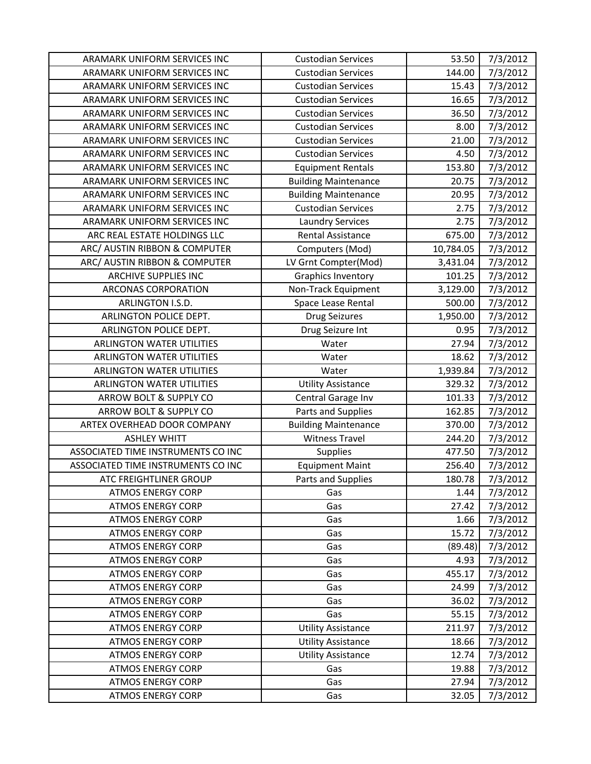| ARAMARK UNIFORM SERVICES INC       | <b>Custodian Services</b>   | 53.50     | 7/3/2012 |
|------------------------------------|-----------------------------|-----------|----------|
| ARAMARK UNIFORM SERVICES INC       | <b>Custodian Services</b>   | 144.00    | 7/3/2012 |
| ARAMARK UNIFORM SERVICES INC       | <b>Custodian Services</b>   | 15.43     | 7/3/2012 |
| ARAMARK UNIFORM SERVICES INC       | <b>Custodian Services</b>   | 16.65     | 7/3/2012 |
| ARAMARK UNIFORM SERVICES INC       | <b>Custodian Services</b>   | 36.50     | 7/3/2012 |
| ARAMARK UNIFORM SERVICES INC       | <b>Custodian Services</b>   | 8.00      | 7/3/2012 |
| ARAMARK UNIFORM SERVICES INC       | <b>Custodian Services</b>   | 21.00     | 7/3/2012 |
| ARAMARK UNIFORM SERVICES INC       | <b>Custodian Services</b>   | 4.50      | 7/3/2012 |
| ARAMARK UNIFORM SERVICES INC       | <b>Equipment Rentals</b>    | 153.80    | 7/3/2012 |
| ARAMARK UNIFORM SERVICES INC       | <b>Building Maintenance</b> | 20.75     | 7/3/2012 |
| ARAMARK UNIFORM SERVICES INC       | <b>Building Maintenance</b> | 20.95     | 7/3/2012 |
| ARAMARK UNIFORM SERVICES INC       | <b>Custodian Services</b>   | 2.75      | 7/3/2012 |
| ARAMARK UNIFORM SERVICES INC       | <b>Laundry Services</b>     | 2.75      | 7/3/2012 |
| ARC REAL ESTATE HOLDINGS LLC       | <b>Rental Assistance</b>    | 675.00    | 7/3/2012 |
| ARC/ AUSTIN RIBBON & COMPUTER      | Computers (Mod)             | 10,784.05 | 7/3/2012 |
| ARC/ AUSTIN RIBBON & COMPUTER      | LV Grnt Compter(Mod)        | 3,431.04  | 7/3/2012 |
| <b>ARCHIVE SUPPLIES INC</b>        | Graphics Inventory          | 101.25    | 7/3/2012 |
| ARCONAS CORPORATION                | Non-Track Equipment         | 3,129.00  | 7/3/2012 |
| ARLINGTON I.S.D.                   | Space Lease Rental          | 500.00    | 7/3/2012 |
| ARLINGTON POLICE DEPT.             | <b>Drug Seizures</b>        | 1,950.00  | 7/3/2012 |
| ARLINGTON POLICE DEPT.             | Drug Seizure Int            | 0.95      | 7/3/2012 |
| <b>ARLINGTON WATER UTILITIES</b>   | Water                       | 27.94     | 7/3/2012 |
| <b>ARLINGTON WATER UTILITIES</b>   | Water                       | 18.62     | 7/3/2012 |
| <b>ARLINGTON WATER UTILITIES</b>   | Water                       | 1,939.84  | 7/3/2012 |
| <b>ARLINGTON WATER UTILITIES</b>   | <b>Utility Assistance</b>   | 329.32    | 7/3/2012 |
| ARROW BOLT & SUPPLY CO             | Central Garage Inv          | 101.33    | 7/3/2012 |
| ARROW BOLT & SUPPLY CO             | Parts and Supplies          | 162.85    | 7/3/2012 |
| ARTEX OVERHEAD DOOR COMPANY        | <b>Building Maintenance</b> | 370.00    | 7/3/2012 |
| <b>ASHLEY WHITT</b>                | <b>Witness Travel</b>       | 244.20    | 7/3/2012 |
| ASSOCIATED TIME INSTRUMENTS CO INC | Supplies                    | 477.50    | 7/3/2012 |
| ASSOCIATED TIME INSTRUMENTS CO INC | <b>Equipment Maint</b>      | 256.40    | 7/3/2012 |
| <b>ATC FREIGHTLINER GROUP</b>      | Parts and Supplies          | 180.78    | 7/3/2012 |
| <b>ATMOS ENERGY CORP</b>           | Gas                         | 1.44      | 7/3/2012 |
| <b>ATMOS ENERGY CORP</b>           | Gas                         | 27.42     | 7/3/2012 |
| <b>ATMOS ENERGY CORP</b>           | Gas                         | 1.66      | 7/3/2012 |
| <b>ATMOS ENERGY CORP</b>           | Gas                         | 15.72     | 7/3/2012 |
| <b>ATMOS ENERGY CORP</b>           | Gas                         | (89.48)   | 7/3/2012 |
| <b>ATMOS ENERGY CORP</b>           | Gas                         | 4.93      | 7/3/2012 |
| <b>ATMOS ENERGY CORP</b>           | Gas                         | 455.17    | 7/3/2012 |
| <b>ATMOS ENERGY CORP</b>           | Gas                         | 24.99     | 7/3/2012 |
| <b>ATMOS ENERGY CORP</b>           | Gas                         | 36.02     | 7/3/2012 |
| <b>ATMOS ENERGY CORP</b>           | Gas                         | 55.15     | 7/3/2012 |
| <b>ATMOS ENERGY CORP</b>           | <b>Utility Assistance</b>   | 211.97    | 7/3/2012 |
| <b>ATMOS ENERGY CORP</b>           | <b>Utility Assistance</b>   | 18.66     | 7/3/2012 |
| <b>ATMOS ENERGY CORP</b>           | <b>Utility Assistance</b>   | 12.74     | 7/3/2012 |
| <b>ATMOS ENERGY CORP</b>           | Gas                         | 19.88     | 7/3/2012 |
| <b>ATMOS ENERGY CORP</b>           | Gas                         | 27.94     | 7/3/2012 |
| <b>ATMOS ENERGY CORP</b>           | Gas                         | 32.05     | 7/3/2012 |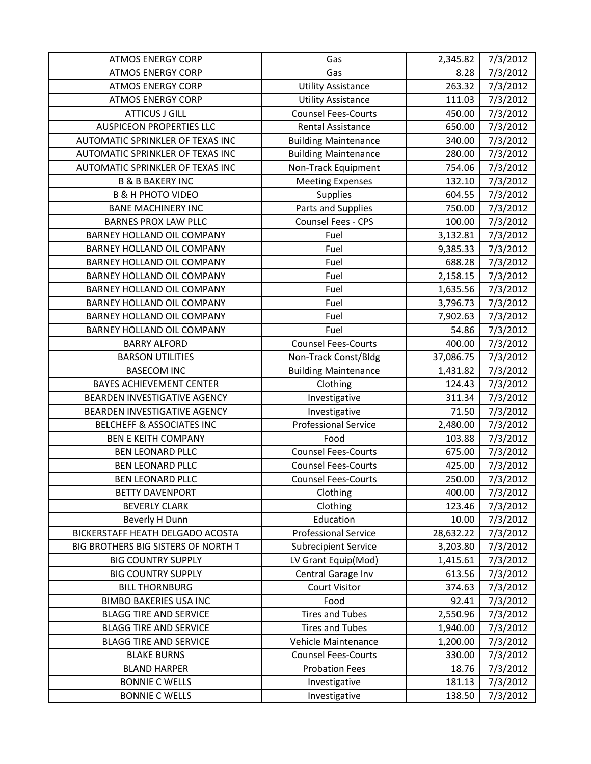| <b>ATMOS ENERGY CORP</b>            | Gas                         | 2,345.82  | 7/3/2012 |
|-------------------------------------|-----------------------------|-----------|----------|
| <b>ATMOS ENERGY CORP</b>            | Gas                         | 8.28      | 7/3/2012 |
| <b>ATMOS ENERGY CORP</b>            | <b>Utility Assistance</b>   | 263.32    | 7/3/2012 |
| <b>ATMOS ENERGY CORP</b>            | <b>Utility Assistance</b>   | 111.03    | 7/3/2012 |
| <b>ATTICUS J GILL</b>               | <b>Counsel Fees-Courts</b>  | 450.00    | 7/3/2012 |
| <b>AUSPICEON PROPERTIES LLC</b>     | Rental Assistance           | 650.00    | 7/3/2012 |
| AUTOMATIC SPRINKLER OF TEXAS INC    | <b>Building Maintenance</b> | 340.00    | 7/3/2012 |
| AUTOMATIC SPRINKLER OF TEXAS INC    | <b>Building Maintenance</b> | 280.00    | 7/3/2012 |
| AUTOMATIC SPRINKLER OF TEXAS INC    | Non-Track Equipment         | 754.06    | 7/3/2012 |
| <b>B &amp; B BAKERY INC</b>         | <b>Meeting Expenses</b>     | 132.10    | 7/3/2012 |
| <b>B &amp; H PHOTO VIDEO</b>        | <b>Supplies</b>             | 604.55    | 7/3/2012 |
| <b>BANE MACHINERY INC</b>           | Parts and Supplies          | 750.00    | 7/3/2012 |
| <b>BARNES PROX LAW PLLC</b>         | Counsel Fees - CPS          | 100.00    | 7/3/2012 |
| BARNEY HOLLAND OIL COMPANY          | Fuel                        | 3,132.81  | 7/3/2012 |
| BARNEY HOLLAND OIL COMPANY          | Fuel                        | 9,385.33  | 7/3/2012 |
| BARNEY HOLLAND OIL COMPANY          | Fuel                        | 688.28    | 7/3/2012 |
| BARNEY HOLLAND OIL COMPANY          | Fuel                        | 2,158.15  | 7/3/2012 |
| BARNEY HOLLAND OIL COMPANY          | Fuel                        | 1,635.56  | 7/3/2012 |
| <b>BARNEY HOLLAND OIL COMPANY</b>   | Fuel                        | 3,796.73  | 7/3/2012 |
| BARNEY HOLLAND OIL COMPANY          | Fuel                        | 7,902.63  | 7/3/2012 |
| BARNEY HOLLAND OIL COMPANY          | Fuel                        | 54.86     | 7/3/2012 |
| <b>BARRY ALFORD</b>                 | <b>Counsel Fees-Courts</b>  | 400.00    | 7/3/2012 |
| <b>BARSON UTILITIES</b>             | Non-Track Const/Bldg        | 37,086.75 | 7/3/2012 |
| <b>BASECOM INC</b>                  | <b>Building Maintenance</b> | 1,431.82  | 7/3/2012 |
| <b>BAYES ACHIEVEMENT CENTER</b>     | Clothing                    | 124.43    | 7/3/2012 |
| BEARDEN INVESTIGATIVE AGENCY        | Investigative               | 311.34    | 7/3/2012 |
| BEARDEN INVESTIGATIVE AGENCY        | Investigative               | 71.50     | 7/3/2012 |
| BELCHEFF & ASSOCIATES INC           | <b>Professional Service</b> | 2,480.00  | 7/3/2012 |
| <b>BEN E KEITH COMPANY</b>          | Food                        | 103.88    | 7/3/2012 |
| <b>BEN LEONARD PLLC</b>             | <b>Counsel Fees-Courts</b>  | 675.00    | 7/3/2012 |
| <b>BEN LEONARD PLLC</b>             | <b>Counsel Fees-Courts</b>  | 425.00    | 7/3/2012 |
| <b>BEN LEONARD PLLC</b>             | <b>Counsel Fees-Courts</b>  | 250.00    | 7/3/2012 |
| <b>BETTY DAVENPORT</b>              | Clothing                    | 400.00    | 7/3/2012 |
| <b>BEVERLY CLARK</b>                | Clothing                    | 123.46    | 7/3/2012 |
| Beverly H Dunn                      | Education                   | 10.00     | 7/3/2012 |
| BICKERSTAFF HEATH DELGADO ACOSTA    | <b>Professional Service</b> | 28,632.22 | 7/3/2012 |
| BIG BROTHERS BIG SISTERS OF NORTH T | <b>Subrecipient Service</b> | 3,203.80  | 7/3/2012 |
| <b>BIG COUNTRY SUPPLY</b>           | LV Grant Equip(Mod)         | 1,415.61  | 7/3/2012 |
| <b>BIG COUNTRY SUPPLY</b>           | Central Garage Inv          | 613.56    | 7/3/2012 |
| <b>BILL THORNBURG</b>               | <b>Court Visitor</b>        | 374.63    | 7/3/2012 |
| <b>BIMBO BAKERIES USA INC</b>       | Food                        | 92.41     | 7/3/2012 |
| <b>BLAGG TIRE AND SERVICE</b>       | <b>Tires and Tubes</b>      | 2,550.96  | 7/3/2012 |
| <b>BLAGG TIRE AND SERVICE</b>       | <b>Tires and Tubes</b>      | 1,940.00  | 7/3/2012 |
| <b>BLAGG TIRE AND SERVICE</b>       | Vehicle Maintenance         | 1,200.00  | 7/3/2012 |
| <b>BLAKE BURNS</b>                  | <b>Counsel Fees-Courts</b>  | 330.00    | 7/3/2012 |
| <b>BLAND HARPER</b>                 | <b>Probation Fees</b>       | 18.76     | 7/3/2012 |
| <b>BONNIE C WELLS</b>               | Investigative               | 181.13    | 7/3/2012 |
| <b>BONNIE C WELLS</b>               | Investigative               | 138.50    | 7/3/2012 |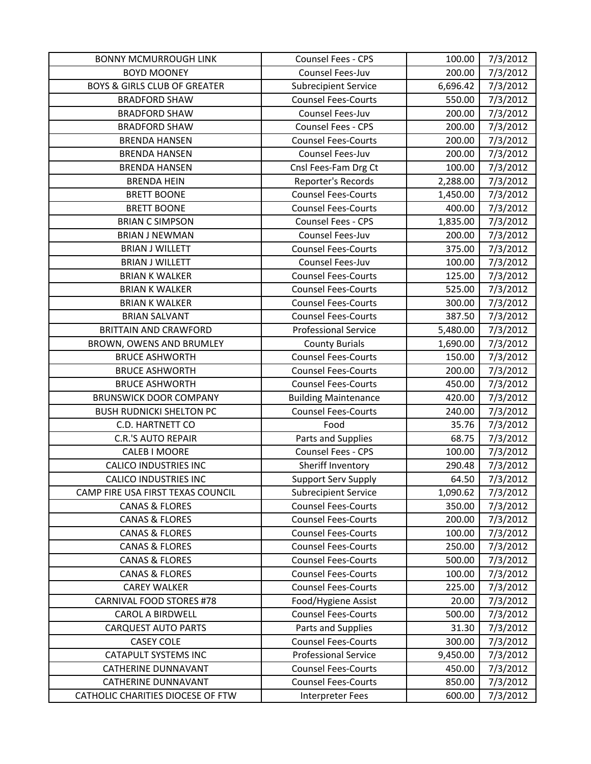| <b>BONNY MCMURROUGH LINK</b>            | Counsel Fees - CPS          | 100.00   | 7/3/2012 |
|-----------------------------------------|-----------------------------|----------|----------|
| <b>BOYD MOONEY</b>                      | Counsel Fees-Juv            | 200.00   | 7/3/2012 |
| <b>BOYS &amp; GIRLS CLUB OF GREATER</b> | <b>Subrecipient Service</b> | 6,696.42 | 7/3/2012 |
| <b>BRADFORD SHAW</b>                    | <b>Counsel Fees-Courts</b>  | 550.00   | 7/3/2012 |
| <b>BRADFORD SHAW</b>                    | Counsel Fees-Juv            | 200.00   | 7/3/2012 |
| <b>BRADFORD SHAW</b>                    | Counsel Fees - CPS          | 200.00   | 7/3/2012 |
| <b>BRENDA HANSEN</b>                    | <b>Counsel Fees-Courts</b>  | 200.00   | 7/3/2012 |
| <b>BRENDA HANSEN</b>                    | Counsel Fees-Juv            | 200.00   | 7/3/2012 |
| <b>BRENDA HANSEN</b>                    | Cnsl Fees-Fam Drg Ct        | 100.00   | 7/3/2012 |
| <b>BRENDA HEIN</b>                      | Reporter's Records          | 2,288.00 | 7/3/2012 |
| <b>BRETT BOONE</b>                      | <b>Counsel Fees-Courts</b>  | 1,450.00 | 7/3/2012 |
| <b>BRETT BOONE</b>                      | <b>Counsel Fees-Courts</b>  | 400.00   | 7/3/2012 |
| <b>BRIAN C SIMPSON</b>                  | Counsel Fees - CPS          | 1,835.00 | 7/3/2012 |
| <b>BRIAN J NEWMAN</b>                   | Counsel Fees-Juv            | 200.00   | 7/3/2012 |
| <b>BRIAN J WILLETT</b>                  | <b>Counsel Fees-Courts</b>  | 375.00   | 7/3/2012 |
| <b>BRIAN J WILLETT</b>                  | Counsel Fees-Juv            | 100.00   | 7/3/2012 |
| <b>BRIAN K WALKER</b>                   | <b>Counsel Fees-Courts</b>  | 125.00   | 7/3/2012 |
| <b>BRIAN K WALKER</b>                   | <b>Counsel Fees-Courts</b>  | 525.00   | 7/3/2012 |
| <b>BRIAN K WALKER</b>                   | <b>Counsel Fees-Courts</b>  | 300.00   | 7/3/2012 |
| <b>BRIAN SALVANT</b>                    | <b>Counsel Fees-Courts</b>  | 387.50   | 7/3/2012 |
| <b>BRITTAIN AND CRAWFORD</b>            | <b>Professional Service</b> | 5,480.00 | 7/3/2012 |
| BROWN, OWENS AND BRUMLEY                | <b>County Burials</b>       | 1,690.00 | 7/3/2012 |
| <b>BRUCE ASHWORTH</b>                   | <b>Counsel Fees-Courts</b>  | 150.00   | 7/3/2012 |
| <b>BRUCE ASHWORTH</b>                   | <b>Counsel Fees-Courts</b>  | 200.00   | 7/3/2012 |
| <b>BRUCE ASHWORTH</b>                   | <b>Counsel Fees-Courts</b>  | 450.00   | 7/3/2012 |
| <b>BRUNSWICK DOOR COMPANY</b>           | <b>Building Maintenance</b> | 420.00   | 7/3/2012 |
| <b>BUSH RUDNICKI SHELTON PC</b>         | <b>Counsel Fees-Courts</b>  | 240.00   | 7/3/2012 |
| C.D. HARTNETT CO                        | Food                        | 35.76    | 7/3/2012 |
| <b>C.R.'S AUTO REPAIR</b>               | Parts and Supplies          | 68.75    | 7/3/2012 |
| CALEB I MOORE                           | Counsel Fees - CPS          | 100.00   | 7/3/2012 |
| <b>CALICO INDUSTRIES INC</b>            | Sheriff Inventory           | 290.48   | 7/3/2012 |
| <b>CALICO INDUSTRIES INC</b>            | <b>Support Serv Supply</b>  | 64.50    | 7/3/2012 |
| CAMP FIRE USA FIRST TEXAS COUNCIL       | <b>Subrecipient Service</b> | 1,090.62 | 7/3/2012 |
| <b>CANAS &amp; FLORES</b>               | <b>Counsel Fees-Courts</b>  | 350.00   | 7/3/2012 |
| <b>CANAS &amp; FLORES</b>               | <b>Counsel Fees-Courts</b>  | 200.00   | 7/3/2012 |
| <b>CANAS &amp; FLORES</b>               | <b>Counsel Fees-Courts</b>  | 100.00   | 7/3/2012 |
| <b>CANAS &amp; FLORES</b>               | <b>Counsel Fees-Courts</b>  | 250.00   | 7/3/2012 |
| <b>CANAS &amp; FLORES</b>               | <b>Counsel Fees-Courts</b>  | 500.00   | 7/3/2012 |
| <b>CANAS &amp; FLORES</b>               | <b>Counsel Fees-Courts</b>  | 100.00   | 7/3/2012 |
| <b>CAREY WALKER</b>                     | <b>Counsel Fees-Courts</b>  | 225.00   | 7/3/2012 |
| <b>CARNIVAL FOOD STORES #78</b>         | Food/Hygiene Assist         | 20.00    | 7/3/2012 |
| <b>CAROL A BIRDWELL</b>                 | <b>Counsel Fees-Courts</b>  | 500.00   | 7/3/2012 |
| <b>CARQUEST AUTO PARTS</b>              | Parts and Supplies          | 31.30    | 7/3/2012 |
| <b>CASEY COLE</b>                       | <b>Counsel Fees-Courts</b>  | 300.00   | 7/3/2012 |
| <b>CATAPULT SYSTEMS INC</b>             | <b>Professional Service</b> | 9,450.00 | 7/3/2012 |
| <b>CATHERINE DUNNAVANT</b>              | <b>Counsel Fees-Courts</b>  | 450.00   | 7/3/2012 |
| <b>CATHERINE DUNNAVANT</b>              | <b>Counsel Fees-Courts</b>  | 850.00   | 7/3/2012 |
| CATHOLIC CHARITIES DIOCESE OF FTW       | Interpreter Fees            | 600.00   | 7/3/2012 |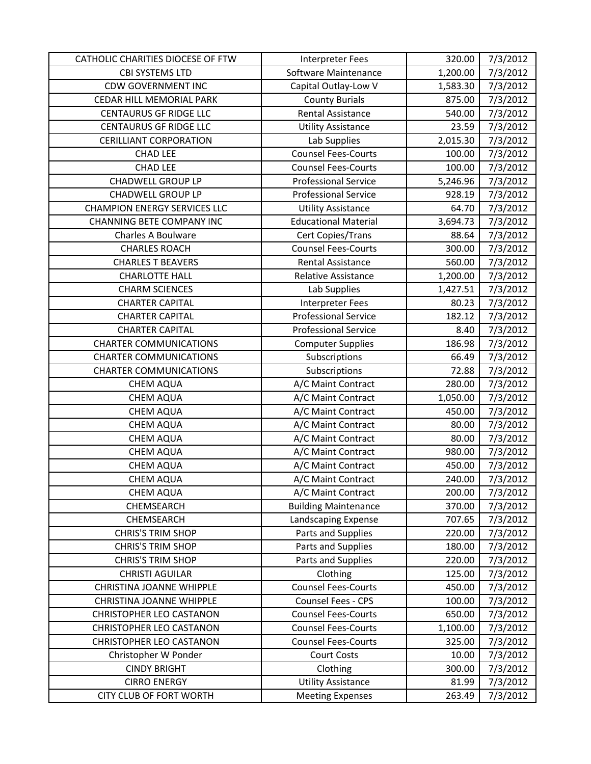| CATHOLIC CHARITIES DIOCESE OF FTW   | Interpreter Fees            | 320.00   | 7/3/2012 |
|-------------------------------------|-----------------------------|----------|----------|
| CBI SYSTEMS LTD                     | Software Maintenance        | 1,200.00 | 7/3/2012 |
| <b>CDW GOVERNMENT INC</b>           | Capital Outlay-Low V        | 1,583.30 | 7/3/2012 |
| CEDAR HILL MEMORIAL PARK            | <b>County Burials</b>       | 875.00   | 7/3/2012 |
| <b>CENTAURUS GF RIDGE LLC</b>       | <b>Rental Assistance</b>    | 540.00   | 7/3/2012 |
| <b>CENTAURUS GF RIDGE LLC</b>       | <b>Utility Assistance</b>   | 23.59    | 7/3/2012 |
| <b>CERILLIANT CORPORATION</b>       | Lab Supplies                | 2,015.30 | 7/3/2012 |
| <b>CHAD LEE</b>                     | <b>Counsel Fees-Courts</b>  | 100.00   | 7/3/2012 |
| <b>CHAD LEE</b>                     | <b>Counsel Fees-Courts</b>  | 100.00   | 7/3/2012 |
| <b>CHADWELL GROUP LP</b>            | <b>Professional Service</b> | 5,246.96 | 7/3/2012 |
| <b>CHADWELL GROUP LP</b>            | <b>Professional Service</b> | 928.19   | 7/3/2012 |
| <b>CHAMPION ENERGY SERVICES LLC</b> | <b>Utility Assistance</b>   | 64.70    | 7/3/2012 |
| <b>CHANNING BETE COMPANY INC</b>    | <b>Educational Material</b> | 3,694.73 | 7/3/2012 |
| <b>Charles A Boulware</b>           | Cert Copies/Trans           | 88.64    | 7/3/2012 |
| <b>CHARLES ROACH</b>                | <b>Counsel Fees-Courts</b>  | 300.00   | 7/3/2012 |
| <b>CHARLES T BEAVERS</b>            | <b>Rental Assistance</b>    | 560.00   | 7/3/2012 |
| <b>CHARLOTTE HALL</b>               | <b>Relative Assistance</b>  | 1,200.00 | 7/3/2012 |
| <b>CHARM SCIENCES</b>               | Lab Supplies                | 1,427.51 | 7/3/2012 |
| <b>CHARTER CAPITAL</b>              | Interpreter Fees            | 80.23    | 7/3/2012 |
| <b>CHARTER CAPITAL</b>              | <b>Professional Service</b> | 182.12   | 7/3/2012 |
| <b>CHARTER CAPITAL</b>              | <b>Professional Service</b> | 8.40     | 7/3/2012 |
| <b>CHARTER COMMUNICATIONS</b>       | <b>Computer Supplies</b>    | 186.98   | 7/3/2012 |
| <b>CHARTER COMMUNICATIONS</b>       | Subscriptions               | 66.49    | 7/3/2012 |
| <b>CHARTER COMMUNICATIONS</b>       | Subscriptions               | 72.88    | 7/3/2012 |
| <b>CHEM AQUA</b>                    | A/C Maint Contract          | 280.00   | 7/3/2012 |
| CHEM AQUA                           | A/C Maint Contract          | 1,050.00 | 7/3/2012 |
| CHEM AQUA                           | A/C Maint Contract          | 450.00   | 7/3/2012 |
| <b>CHEM AQUA</b>                    | A/C Maint Contract          | 80.00    | 7/3/2012 |
| <b>CHEM AQUA</b>                    | A/C Maint Contract          | 80.00    | 7/3/2012 |
| <b>CHEM AQUA</b>                    | A/C Maint Contract          | 980.00   | 7/3/2012 |
| <b>CHEM AQUA</b>                    | A/C Maint Contract          | 450.00   | 7/3/2012 |
| <b>CHEM AQUA</b>                    | A/C Maint Contract          | 240.00   | 7/3/2012 |
| <b>CHEM AQUA</b>                    | A/C Maint Contract          | 200.00   | 7/3/2012 |
| CHEMSEARCH                          | <b>Building Maintenance</b> | 370.00   | 7/3/2012 |
| CHEMSEARCH                          | Landscaping Expense         | 707.65   | 7/3/2012 |
| <b>CHRIS'S TRIM SHOP</b>            | Parts and Supplies          | 220.00   | 7/3/2012 |
| <b>CHRIS'S TRIM SHOP</b>            | Parts and Supplies          | 180.00   | 7/3/2012 |
| <b>CHRIS'S TRIM SHOP</b>            | Parts and Supplies          | 220.00   | 7/3/2012 |
| <b>CHRISTI AGUILAR</b>              | Clothing                    | 125.00   | 7/3/2012 |
| <b>CHRISTINA JOANNE WHIPPLE</b>     | <b>Counsel Fees-Courts</b>  | 450.00   | 7/3/2012 |
| CHRISTINA JOANNE WHIPPLE            | Counsel Fees - CPS          | 100.00   | 7/3/2012 |
| <b>CHRISTOPHER LEO CASTANON</b>     | <b>Counsel Fees-Courts</b>  | 650.00   | 7/3/2012 |
| <b>CHRISTOPHER LEO CASTANON</b>     | <b>Counsel Fees-Courts</b>  | 1,100.00 | 7/3/2012 |
| <b>CHRISTOPHER LEO CASTANON</b>     | <b>Counsel Fees-Courts</b>  | 325.00   | 7/3/2012 |
| Christopher W Ponder                | <b>Court Costs</b>          | 10.00    | 7/3/2012 |
| <b>CINDY BRIGHT</b>                 | Clothing                    | 300.00   | 7/3/2012 |
| <b>CIRRO ENERGY</b>                 | <b>Utility Assistance</b>   | 81.99    | 7/3/2012 |
| CITY CLUB OF FORT WORTH             | <b>Meeting Expenses</b>     | 263.49   | 7/3/2012 |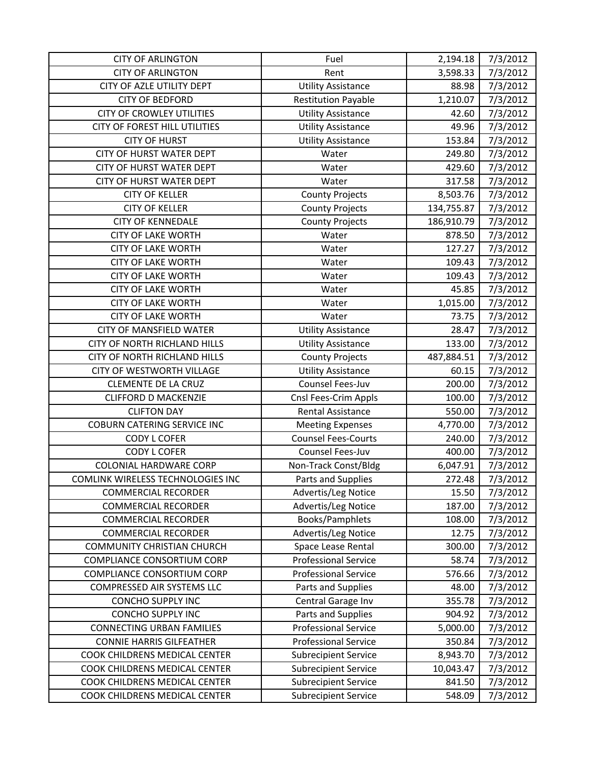| <b>CITY OF ARLINGTON</b>            | Fuel                        | 2,194.18   | 7/3/2012 |
|-------------------------------------|-----------------------------|------------|----------|
| <b>CITY OF ARLINGTON</b>            | Rent                        | 3,598.33   | 7/3/2012 |
| CITY OF AZLE UTILITY DEPT           | <b>Utility Assistance</b>   | 88.98      | 7/3/2012 |
| <b>CITY OF BEDFORD</b>              | <b>Restitution Payable</b>  | 1,210.07   | 7/3/2012 |
| <b>CITY OF CROWLEY UTILITIES</b>    | <b>Utility Assistance</b>   | 42.60      | 7/3/2012 |
| CITY OF FOREST HILL UTILITIES       | <b>Utility Assistance</b>   | 49.96      | 7/3/2012 |
| <b>CITY OF HURST</b>                | <b>Utility Assistance</b>   | 153.84     | 7/3/2012 |
| <b>CITY OF HURST WATER DEPT</b>     | Water                       | 249.80     | 7/3/2012 |
| <b>CITY OF HURST WATER DEPT</b>     | Water                       | 429.60     | 7/3/2012 |
| <b>CITY OF HURST WATER DEPT</b>     | Water                       | 317.58     | 7/3/2012 |
| <b>CITY OF KELLER</b>               | <b>County Projects</b>      | 8,503.76   | 7/3/2012 |
| <b>CITY OF KELLER</b>               | <b>County Projects</b>      | 134,755.87 | 7/3/2012 |
| <b>CITY OF KENNEDALE</b>            | <b>County Projects</b>      | 186,910.79 | 7/3/2012 |
| <b>CITY OF LAKE WORTH</b>           | Water                       | 878.50     | 7/3/2012 |
| <b>CITY OF LAKE WORTH</b>           | Water                       | 127.27     | 7/3/2012 |
| <b>CITY OF LAKE WORTH</b>           | Water                       | 109.43     | 7/3/2012 |
| <b>CITY OF LAKE WORTH</b>           | Water                       | 109.43     | 7/3/2012 |
| <b>CITY OF LAKE WORTH</b>           | Water                       | 45.85      | 7/3/2012 |
| <b>CITY OF LAKE WORTH</b>           | Water                       | 1,015.00   | 7/3/2012 |
| <b>CITY OF LAKE WORTH</b>           | Water                       | 73.75      | 7/3/2012 |
| CITY OF MANSFIELD WATER             | <b>Utility Assistance</b>   | 28.47      | 7/3/2012 |
| <b>CITY OF NORTH RICHLAND HILLS</b> | <b>Utility Assistance</b>   | 133.00     | 7/3/2012 |
| <b>CITY OF NORTH RICHLAND HILLS</b> | <b>County Projects</b>      | 487,884.51 | 7/3/2012 |
| CITY OF WESTWORTH VILLAGE           | <b>Utility Assistance</b>   | 60.15      | 7/3/2012 |
| <b>CLEMENTE DE LA CRUZ</b>          | Counsel Fees-Juv            | 200.00     | 7/3/2012 |
| <b>CLIFFORD D MACKENZIE</b>         | Cnsl Fees-Crim Appls        | 100.00     | 7/3/2012 |
| <b>CLIFTON DAY</b>                  | Rental Assistance           | 550.00     | 7/3/2012 |
| <b>COBURN CATERING SERVICE INC</b>  | <b>Meeting Expenses</b>     | 4,770.00   | 7/3/2012 |
| <b>CODY L COFER</b>                 | <b>Counsel Fees-Courts</b>  | 240.00     | 7/3/2012 |
| <b>CODY L COFER</b>                 | Counsel Fees-Juv            | 400.00     | 7/3/2012 |
| <b>COLONIAL HARDWARE CORP</b>       | Non-Track Const/Bldg        | 6,047.91   | 7/3/2012 |
| COMLINK WIRELESS TECHNOLOGIES INC   | Parts and Supplies          | 272.48     | 7/3/2012 |
| <b>COMMERCIAL RECORDER</b>          | Advertis/Leg Notice         | 15.50      | 7/3/2012 |
| <b>COMMERCIAL RECORDER</b>          | Advertis/Leg Notice         | 187.00     | 7/3/2012 |
| <b>COMMERCIAL RECORDER</b>          | Books/Pamphlets             | 108.00     | 7/3/2012 |
| <b>COMMERCIAL RECORDER</b>          | Advertis/Leg Notice         | 12.75      | 7/3/2012 |
| <b>COMMUNITY CHRISTIAN CHURCH</b>   | Space Lease Rental          | 300.00     | 7/3/2012 |
| <b>COMPLIANCE CONSORTIUM CORP</b>   | <b>Professional Service</b> | 58.74      | 7/3/2012 |
| COMPLIANCE CONSORTIUM CORP          | <b>Professional Service</b> | 576.66     | 7/3/2012 |
| COMPRESSED AIR SYSTEMS LLC          | Parts and Supplies          | 48.00      | 7/3/2012 |
| <b>CONCHO SUPPLY INC</b>            | Central Garage Inv          | 355.78     | 7/3/2012 |
| <b>CONCHO SUPPLY INC</b>            | Parts and Supplies          | 904.92     | 7/3/2012 |
| <b>CONNECTING URBAN FAMILIES</b>    | <b>Professional Service</b> | 5,000.00   | 7/3/2012 |
| <b>CONNIE HARRIS GILFEATHER</b>     | <b>Professional Service</b> | 350.84     | 7/3/2012 |
| COOK CHILDRENS MEDICAL CENTER       | <b>Subrecipient Service</b> | 8,943.70   | 7/3/2012 |
| COOK CHILDRENS MEDICAL CENTER       | <b>Subrecipient Service</b> | 10,043.47  | 7/3/2012 |
| COOK CHILDRENS MEDICAL CENTER       | <b>Subrecipient Service</b> | 841.50     | 7/3/2012 |
| COOK CHILDRENS MEDICAL CENTER       | <b>Subrecipient Service</b> | 548.09     | 7/3/2012 |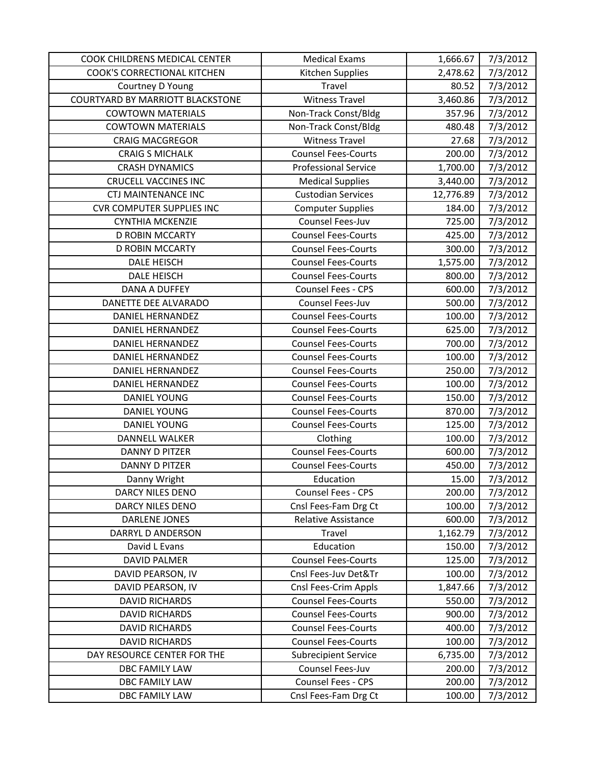| COOK CHILDRENS MEDICAL CENTER           | <b>Medical Exams</b>        | 1,666.67  | 7/3/2012 |
|-----------------------------------------|-----------------------------|-----------|----------|
| <b>COOK'S CORRECTIONAL KITCHEN</b>      | Kitchen Supplies            | 2,478.62  | 7/3/2012 |
| Courtney D Young                        | Travel                      | 80.52     | 7/3/2012 |
| <b>COURTYARD BY MARRIOTT BLACKSTONE</b> | <b>Witness Travel</b>       | 3,460.86  | 7/3/2012 |
| <b>COWTOWN MATERIALS</b>                | Non-Track Const/Bldg        | 357.96    | 7/3/2012 |
| <b>COWTOWN MATERIALS</b>                | Non-Track Const/Bldg        | 480.48    | 7/3/2012 |
| <b>CRAIG MACGREGOR</b>                  | <b>Witness Travel</b>       | 27.68     | 7/3/2012 |
| <b>CRAIG S MICHALK</b>                  | <b>Counsel Fees-Courts</b>  | 200.00    | 7/3/2012 |
| <b>CRASH DYNAMICS</b>                   | <b>Professional Service</b> | 1,700.00  | 7/3/2012 |
| <b>CRUCELL VACCINES INC</b>             | <b>Medical Supplies</b>     | 3,440.00  | 7/3/2012 |
| <b>CTJ MAINTENANCE INC</b>              | <b>Custodian Services</b>   | 12,776.89 | 7/3/2012 |
| <b>CVR COMPUTER SUPPLIES INC</b>        | <b>Computer Supplies</b>    | 184.00    | 7/3/2012 |
| <b>CYNTHIA MCKENZIE</b>                 | Counsel Fees-Juv            | 725.00    | 7/3/2012 |
| <b>D ROBIN MCCARTY</b>                  | <b>Counsel Fees-Courts</b>  | 425.00    | 7/3/2012 |
| <b>D ROBIN MCCARTY</b>                  | <b>Counsel Fees-Courts</b>  | 300.00    | 7/3/2012 |
| <b>DALE HEISCH</b>                      | <b>Counsel Fees-Courts</b>  | 1,575.00  | 7/3/2012 |
| <b>DALE HEISCH</b>                      | <b>Counsel Fees-Courts</b>  | 800.00    | 7/3/2012 |
| DANA A DUFFEY                           | <b>Counsel Fees - CPS</b>   | 600.00    | 7/3/2012 |
| DANETTE DEE ALVARADO                    | Counsel Fees-Juv            | 500.00    | 7/3/2012 |
| <b>DANIEL HERNANDEZ</b>                 | <b>Counsel Fees-Courts</b>  | 100.00    | 7/3/2012 |
| DANIEL HERNANDEZ                        | <b>Counsel Fees-Courts</b>  | 625.00    | 7/3/2012 |
| <b>DANIEL HERNANDEZ</b>                 | <b>Counsel Fees-Courts</b>  | 700.00    | 7/3/2012 |
| DANIEL HERNANDEZ                        | <b>Counsel Fees-Courts</b>  | 100.00    | 7/3/2012 |
| DANIEL HERNANDEZ                        | <b>Counsel Fees-Courts</b>  | 250.00    | 7/3/2012 |
| <b>DANIEL HERNANDEZ</b>                 | <b>Counsel Fees-Courts</b>  | 100.00    | 7/3/2012 |
| <b>DANIEL YOUNG</b>                     | <b>Counsel Fees-Courts</b>  | 150.00    | 7/3/2012 |
| <b>DANIEL YOUNG</b>                     | <b>Counsel Fees-Courts</b>  | 870.00    | 7/3/2012 |
| <b>DANIEL YOUNG</b>                     | <b>Counsel Fees-Courts</b>  | 125.00    | 7/3/2012 |
| <b>DANNELL WALKER</b>                   | Clothing                    | 100.00    | 7/3/2012 |
| <b>DANNY D PITZER</b>                   | <b>Counsel Fees-Courts</b>  | 600.00    | 7/3/2012 |
| <b>DANNY D PITZER</b>                   | <b>Counsel Fees-Courts</b>  | 450.00    | 7/3/2012 |
| Danny Wright                            | Education                   | 15.00     | 7/3/2012 |
| DARCY NILES DENO                        | Counsel Fees - CPS          | 200.00    | 7/3/2012 |
| DARCY NILES DENO                        | Cnsl Fees-Fam Drg Ct        | 100.00    | 7/3/2012 |
| <b>DARLENE JONES</b>                    | <b>Relative Assistance</b>  | 600.00    | 7/3/2012 |
| DARRYL D ANDERSON                       | Travel                      | 1,162.79  | 7/3/2012 |
| David L Evans                           | Education                   | 150.00    | 7/3/2012 |
| <b>DAVID PALMER</b>                     | <b>Counsel Fees-Courts</b>  | 125.00    | 7/3/2012 |
| DAVID PEARSON, IV                       | Cnsl Fees-Juv Det&Tr        | 100.00    | 7/3/2012 |
| DAVID PEARSON, IV                       | Cnsl Fees-Crim Appls        | 1,847.66  | 7/3/2012 |
| <b>DAVID RICHARDS</b>                   | <b>Counsel Fees-Courts</b>  | 550.00    | 7/3/2012 |
| <b>DAVID RICHARDS</b>                   | <b>Counsel Fees-Courts</b>  | 900.00    | 7/3/2012 |
| <b>DAVID RICHARDS</b>                   | <b>Counsel Fees-Courts</b>  | 400.00    | 7/3/2012 |
| <b>DAVID RICHARDS</b>                   | <b>Counsel Fees-Courts</b>  | 100.00    | 7/3/2012 |
| DAY RESOURCE CENTER FOR THE             | <b>Subrecipient Service</b> | 6,735.00  | 7/3/2012 |
| DBC FAMILY LAW                          | Counsel Fees-Juv            | 200.00    | 7/3/2012 |
| DBC FAMILY LAW                          | Counsel Fees - CPS          | 200.00    | 7/3/2012 |
| DBC FAMILY LAW                          | Cnsl Fees-Fam Drg Ct        | 100.00    | 7/3/2012 |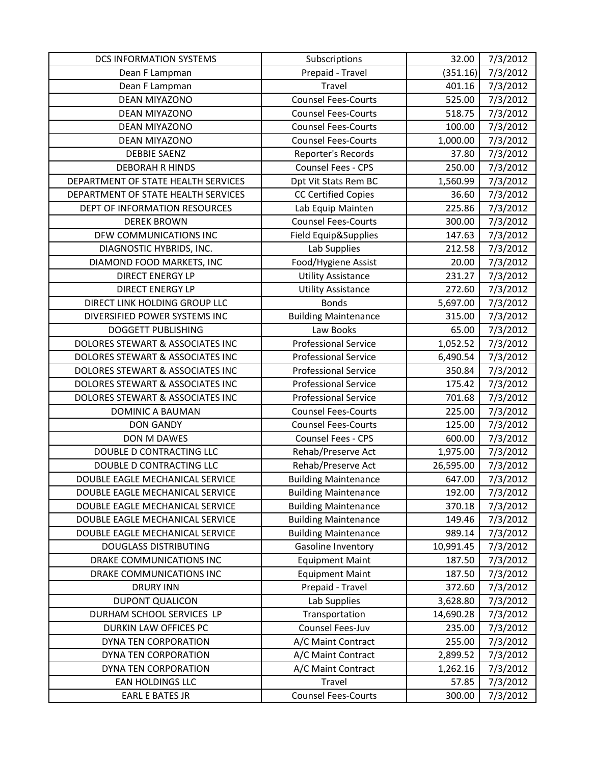| <b>DCS INFORMATION SYSTEMS</b>      | Subscriptions               | 32.00     | 7/3/2012 |
|-------------------------------------|-----------------------------|-----------|----------|
| Dean F Lampman                      | Prepaid - Travel            | (351.16)  | 7/3/2012 |
| Dean F Lampman                      | Travel                      | 401.16    | 7/3/2012 |
| <b>DEAN MIYAZONO</b>                | <b>Counsel Fees-Courts</b>  | 525.00    | 7/3/2012 |
| <b>DEAN MIYAZONO</b>                | <b>Counsel Fees-Courts</b>  | 518.75    | 7/3/2012 |
| <b>DEAN MIYAZONO</b>                | <b>Counsel Fees-Courts</b>  | 100.00    | 7/3/2012 |
| <b>DEAN MIYAZONO</b>                | <b>Counsel Fees-Courts</b>  | 1,000.00  | 7/3/2012 |
| <b>DEBBIE SAENZ</b>                 | Reporter's Records          | 37.80     | 7/3/2012 |
| <b>DEBORAH R HINDS</b>              | Counsel Fees - CPS          | 250.00    | 7/3/2012 |
| DEPARTMENT OF STATE HEALTH SERVICES | Dpt Vit Stats Rem BC        | 1,560.99  | 7/3/2012 |
| DEPARTMENT OF STATE HEALTH SERVICES | <b>CC Certified Copies</b>  | 36.60     | 7/3/2012 |
| DEPT OF INFORMATION RESOURCES       | Lab Equip Mainten           | 225.86    | 7/3/2012 |
| <b>DEREK BROWN</b>                  | <b>Counsel Fees-Courts</b>  | 300.00    | 7/3/2012 |
| DFW COMMUNICATIONS INC              | Field Equip&Supplies        | 147.63    | 7/3/2012 |
| DIAGNOSTIC HYBRIDS, INC.            | Lab Supplies                | 212.58    | 7/3/2012 |
| DIAMOND FOOD MARKETS, INC           | Food/Hygiene Assist         | 20.00     | 7/3/2012 |
| <b>DIRECT ENERGY LP</b>             | <b>Utility Assistance</b>   | 231.27    | 7/3/2012 |
| <b>DIRECT ENERGY LP</b>             | <b>Utility Assistance</b>   | 272.60    | 7/3/2012 |
| DIRECT LINK HOLDING GROUP LLC       | <b>Bonds</b>                | 5,697.00  | 7/3/2012 |
| DIVERSIFIED POWER SYSTEMS INC       | <b>Building Maintenance</b> | 315.00    | 7/3/2012 |
| <b>DOGGETT PUBLISHING</b>           | Law Books                   | 65.00     | 7/3/2012 |
| DOLORES STEWART & ASSOCIATES INC    | <b>Professional Service</b> | 1,052.52  | 7/3/2012 |
| DOLORES STEWART & ASSOCIATES INC    | <b>Professional Service</b> | 6,490.54  | 7/3/2012 |
| DOLORES STEWART & ASSOCIATES INC    | <b>Professional Service</b> | 350.84    | 7/3/2012 |
| DOLORES STEWART & ASSOCIATES INC    | <b>Professional Service</b> | 175.42    | 7/3/2012 |
| DOLORES STEWART & ASSOCIATES INC    | <b>Professional Service</b> | 701.68    | 7/3/2012 |
| DOMINIC A BAUMAN                    | <b>Counsel Fees-Courts</b>  | 225.00    | 7/3/2012 |
| <b>DON GANDY</b>                    | <b>Counsel Fees-Courts</b>  | 125.00    | 7/3/2012 |
| DON M DAWES                         | <b>Counsel Fees - CPS</b>   | 600.00    | 7/3/2012 |
| DOUBLE D CONTRACTING LLC            | Rehab/Preserve Act          | 1,975.00  | 7/3/2012 |
| DOUBLE D CONTRACTING LLC            | Rehab/Preserve Act          | 26,595.00 | 7/3/2012 |
| DOUBLE EAGLE MECHANICAL SERVICE     | <b>Building Maintenance</b> | 647.00    | 7/3/2012 |
| DOUBLE EAGLE MECHANICAL SERVICE     | <b>Building Maintenance</b> | 192.00    | 7/3/2012 |
| DOUBLE EAGLE MECHANICAL SERVICE     | <b>Building Maintenance</b> | 370.18    | 7/3/2012 |
| DOUBLE EAGLE MECHANICAL SERVICE     | <b>Building Maintenance</b> | 149.46    | 7/3/2012 |
| DOUBLE EAGLE MECHANICAL SERVICE     | <b>Building Maintenance</b> | 989.14    | 7/3/2012 |
| <b>DOUGLASS DISTRIBUTING</b>        | Gasoline Inventory          | 10,991.45 | 7/3/2012 |
| DRAKE COMMUNICATIONS INC            | <b>Equipment Maint</b>      | 187.50    | 7/3/2012 |
| DRAKE COMMUNICATIONS INC            | <b>Equipment Maint</b>      | 187.50    | 7/3/2012 |
| <b>DRURY INN</b>                    | Prepaid - Travel            | 372.60    | 7/3/2012 |
| <b>DUPONT QUALICON</b>              | Lab Supplies                | 3,628.80  | 7/3/2012 |
| DURHAM SCHOOL SERVICES LP           | Transportation              | 14,690.28 | 7/3/2012 |
| DURKIN LAW OFFICES PC               | Counsel Fees-Juv            | 235.00    | 7/3/2012 |
| DYNA TEN CORPORATION                | A/C Maint Contract          | 255.00    | 7/3/2012 |
| DYNA TEN CORPORATION                | A/C Maint Contract          | 2,899.52  | 7/3/2012 |
| DYNA TEN CORPORATION                | A/C Maint Contract          | 1,262.16  | 7/3/2012 |
| EAN HOLDINGS LLC                    | Travel                      | 57.85     | 7/3/2012 |
| <b>EARL E BATES JR</b>              | <b>Counsel Fees-Courts</b>  | 300.00    | 7/3/2012 |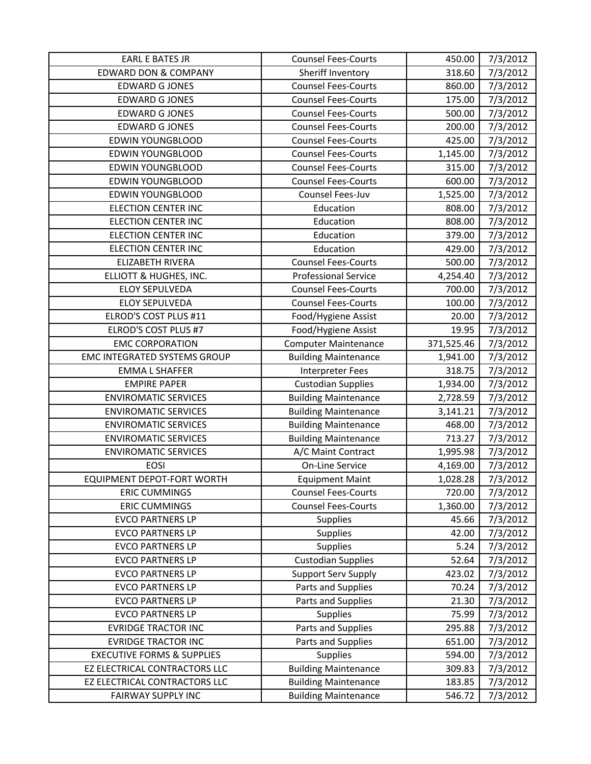| <b>EARL E BATES JR</b>                | <b>Counsel Fees-Courts</b>  | 450.00     | 7/3/2012 |
|---------------------------------------|-----------------------------|------------|----------|
| <b>EDWARD DON &amp; COMPANY</b>       | Sheriff Inventory           | 318.60     | 7/3/2012 |
| <b>EDWARD G JONES</b>                 | <b>Counsel Fees-Courts</b>  | 860.00     | 7/3/2012 |
| <b>EDWARD G JONES</b>                 | <b>Counsel Fees-Courts</b>  | 175.00     | 7/3/2012 |
| <b>EDWARD G JONES</b>                 | <b>Counsel Fees-Courts</b>  | 500.00     | 7/3/2012 |
| <b>EDWARD G JONES</b>                 | <b>Counsel Fees-Courts</b>  | 200.00     | 7/3/2012 |
| <b>EDWIN YOUNGBLOOD</b>               | <b>Counsel Fees-Courts</b>  | 425.00     | 7/3/2012 |
| <b>EDWIN YOUNGBLOOD</b>               | <b>Counsel Fees-Courts</b>  | 1,145.00   | 7/3/2012 |
| <b>EDWIN YOUNGBLOOD</b>               | <b>Counsel Fees-Courts</b>  | 315.00     | 7/3/2012 |
| <b>EDWIN YOUNGBLOOD</b>               | <b>Counsel Fees-Courts</b>  | 600.00     | 7/3/2012 |
| <b>EDWIN YOUNGBLOOD</b>               | Counsel Fees-Juv            | 1,525.00   | 7/3/2012 |
| <b>ELECTION CENTER INC</b>            | Education                   | 808.00     | 7/3/2012 |
| <b>ELECTION CENTER INC</b>            | Education                   | 808.00     | 7/3/2012 |
| <b>ELECTION CENTER INC</b>            | Education                   | 379.00     | 7/3/2012 |
| <b>ELECTION CENTER INC</b>            | Education                   | 429.00     | 7/3/2012 |
| <b>ELIZABETH RIVERA</b>               | <b>Counsel Fees-Courts</b>  | 500.00     | 7/3/2012 |
| ELLIOTT & HUGHES, INC.                | <b>Professional Service</b> | 4,254.40   | 7/3/2012 |
| <b>ELOY SEPULVEDA</b>                 | <b>Counsel Fees-Courts</b>  | 700.00     | 7/3/2012 |
| <b>ELOY SEPULVEDA</b>                 | <b>Counsel Fees-Courts</b>  | 100.00     | 7/3/2012 |
| ELROD'S COST PLUS #11                 | Food/Hygiene Assist         | 20.00      | 7/3/2012 |
| ELROD'S COST PLUS #7                  | Food/Hygiene Assist         | 19.95      | 7/3/2012 |
| <b>EMC CORPORATION</b>                | <b>Computer Maintenance</b> | 371,525.46 | 7/3/2012 |
| <b>EMC INTEGRATED SYSTEMS GROUP</b>   | <b>Building Maintenance</b> | 1,941.00   | 7/3/2012 |
| <b>EMMA L SHAFFER</b>                 | Interpreter Fees            | 318.75     | 7/3/2012 |
| <b>EMPIRE PAPER</b>                   | <b>Custodian Supplies</b>   | 1,934.00   | 7/3/2012 |
| <b>ENVIROMATIC SERVICES</b>           | <b>Building Maintenance</b> | 2,728.59   | 7/3/2012 |
| <b>ENVIROMATIC SERVICES</b>           | <b>Building Maintenance</b> | 3,141.21   | 7/3/2012 |
| <b>ENVIROMATIC SERVICES</b>           | <b>Building Maintenance</b> | 468.00     | 7/3/2012 |
| <b>ENVIROMATIC SERVICES</b>           | <b>Building Maintenance</b> | 713.27     | 7/3/2012 |
| <b>ENVIROMATIC SERVICES</b>           | A/C Maint Contract          | 1,995.98   | 7/3/2012 |
| <b>EOSI</b>                           | On-Line Service             | 4,169.00   | 7/3/2012 |
| <b>EQUIPMENT DEPOT-FORT WORTH</b>     | <b>Equipment Maint</b>      | 1,028.28   | 7/3/2012 |
| <b>ERIC CUMMINGS</b>                  | <b>Counsel Fees-Courts</b>  | 720.00     | 7/3/2012 |
| <b>ERIC CUMMINGS</b>                  | <b>Counsel Fees-Courts</b>  | 1,360.00   | 7/3/2012 |
| <b>EVCO PARTNERS LP</b>               | <b>Supplies</b>             | 45.66      | 7/3/2012 |
| <b>EVCO PARTNERS LP</b>               | <b>Supplies</b>             | 42.00      | 7/3/2012 |
| <b>EVCO PARTNERS LP</b>               | <b>Supplies</b>             | 5.24       | 7/3/2012 |
| <b>EVCO PARTNERS LP</b>               | <b>Custodian Supplies</b>   | 52.64      | 7/3/2012 |
| <b>EVCO PARTNERS LP</b>               | <b>Support Serv Supply</b>  | 423.02     | 7/3/2012 |
| <b>EVCO PARTNERS LP</b>               | Parts and Supplies          | 70.24      | 7/3/2012 |
| <b>EVCO PARTNERS LP</b>               | Parts and Supplies          | 21.30      | 7/3/2012 |
| <b>EVCO PARTNERS LP</b>               | Supplies                    | 75.99      | 7/3/2012 |
| <b>EVRIDGE TRACTOR INC</b>            | Parts and Supplies          | 295.88     | 7/3/2012 |
| <b>EVRIDGE TRACTOR INC</b>            | Parts and Supplies          | 651.00     | 7/3/2012 |
| <b>EXECUTIVE FORMS &amp; SUPPLIES</b> | <b>Supplies</b>             | 594.00     | 7/3/2012 |
| EZ ELECTRICAL CONTRACTORS LLC         | <b>Building Maintenance</b> | 309.83     | 7/3/2012 |
| EZ ELECTRICAL CONTRACTORS LLC         | <b>Building Maintenance</b> | 183.85     | 7/3/2012 |
| <b>FAIRWAY SUPPLY INC</b>             | <b>Building Maintenance</b> | 546.72     | 7/3/2012 |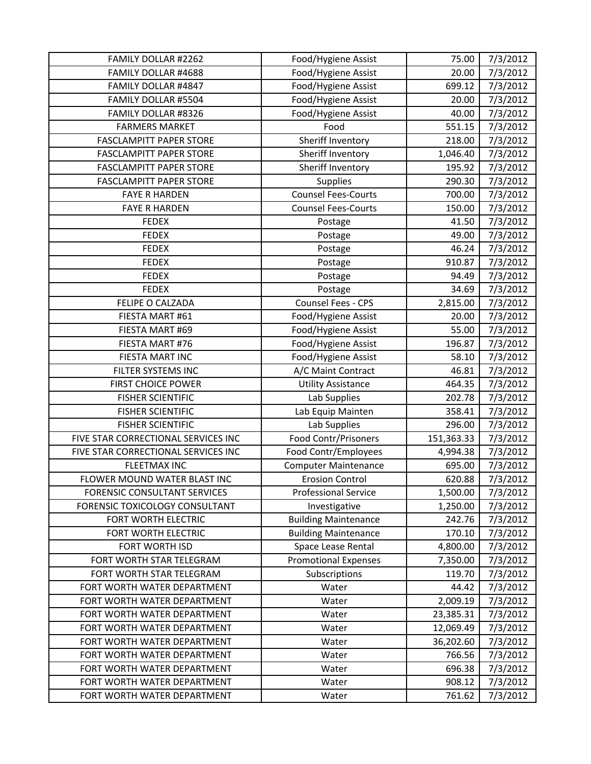| FAMILY DOLLAR #2262                 | Food/Hygiene Assist         | 75.00      | 7/3/2012             |
|-------------------------------------|-----------------------------|------------|----------------------|
| FAMILY DOLLAR #4688                 | Food/Hygiene Assist         | 20.00      | 7/3/2012             |
| FAMILY DOLLAR #4847                 | Food/Hygiene Assist         | 699.12     | 7/3/2012             |
| FAMILY DOLLAR #5504                 | Food/Hygiene Assist         | 20.00      | 7/3/2012             |
| FAMILY DOLLAR #8326                 | Food/Hygiene Assist         | 40.00      | 7/3/2012             |
| <b>FARMERS MARKET</b>               | Food                        | 551.15     | 7/3/2012             |
| <b>FASCLAMPITT PAPER STORE</b>      | Sheriff Inventory           | 218.00     | 7/3/2012             |
| <b>FASCLAMPITT PAPER STORE</b>      | Sheriff Inventory           | 1,046.40   | 7/3/2012             |
| <b>FASCLAMPITT PAPER STORE</b>      | Sheriff Inventory           | 195.92     | 7/3/2012             |
| <b>FASCLAMPITT PAPER STORE</b>      | Supplies                    | 290.30     | 7/3/2012             |
| <b>FAYE R HARDEN</b>                | <b>Counsel Fees-Courts</b>  | 700.00     | 7/3/2012             |
| <b>FAYE R HARDEN</b>                | <b>Counsel Fees-Courts</b>  | 150.00     | 7/3/2012             |
| <b>FEDEX</b>                        | Postage                     | 41.50      | 7/3/2012             |
| <b>FEDEX</b>                        | Postage                     | 49.00      | 7/3/2012             |
| <b>FEDEX</b>                        | Postage                     | 46.24      | 7/3/2012             |
| <b>FEDEX</b>                        | Postage                     | 910.87     | 7/3/2012             |
| <b>FEDEX</b>                        | Postage                     | 94.49      | 7/3/2012             |
| <b>FEDEX</b>                        | Postage                     | 34.69      | 7/3/2012             |
| FELIPE O CALZADA                    | Counsel Fees - CPS          | 2,815.00   | 7/3/2012             |
| FIESTA MART #61                     | Food/Hygiene Assist         | 20.00      | 7/3/2012             |
| FIESTA MART #69                     | Food/Hygiene Assist         | 55.00      | 7/3/2012             |
| FIESTA MART #76                     | Food/Hygiene Assist         | 196.87     | 7/3/2012             |
| FIESTA MART INC                     | Food/Hygiene Assist         | 58.10      | 7/3/2012             |
| FILTER SYSTEMS INC                  | A/C Maint Contract          | 46.81      | 7/3/2012             |
| <b>FIRST CHOICE POWER</b>           | <b>Utility Assistance</b>   | 464.35     | 7/3/2012             |
| <b>FISHER SCIENTIFIC</b>            | Lab Supplies                | 202.78     | 7/3/2012             |
| <b>FISHER SCIENTIFIC</b>            | Lab Equip Mainten           | 358.41     | 7/3/2012             |
| <b>FISHER SCIENTIFIC</b>            | Lab Supplies                | 296.00     | 7/3/2012             |
| FIVE STAR CORRECTIONAL SERVICES INC | Food Contr/Prisoners        | 151,363.33 | 7/3/2012             |
| FIVE STAR CORRECTIONAL SERVICES INC | Food Contr/Employees        | 4,994.38   | 7/3/2012             |
| <b>FLEETMAX INC</b>                 | <b>Computer Maintenance</b> | 695.00     | $\frac{1}{7}/3/2012$ |
| FLOWER MOUND WATER BLAST INC        | <b>Erosion Control</b>      | 620.88     | 7/3/2012             |
| <b>FORENSIC CONSULTANT SERVICES</b> | <b>Professional Service</b> | 1,500.00   | 7/3/2012             |
| FORENSIC TOXICOLOGY CONSULTANT      | Investigative               | 1,250.00   | 7/3/2012             |
| FORT WORTH ELECTRIC                 | <b>Building Maintenance</b> | 242.76     | 7/3/2012             |
| FORT WORTH ELECTRIC                 | <b>Building Maintenance</b> | 170.10     | 7/3/2012             |
| FORT WORTH ISD                      | Space Lease Rental          | 4,800.00   | 7/3/2012             |
| FORT WORTH STAR TELEGRAM            | <b>Promotional Expenses</b> | 7,350.00   | 7/3/2012             |
| FORT WORTH STAR TELEGRAM            | Subscriptions               | 119.70     | 7/3/2012             |
| FORT WORTH WATER DEPARTMENT         | Water                       | 44.42      | 7/3/2012             |
| FORT WORTH WATER DEPARTMENT         | Water                       | 2,009.19   | 7/3/2012             |
| FORT WORTH WATER DEPARTMENT         | Water                       | 23,385.31  | 7/3/2012             |
| FORT WORTH WATER DEPARTMENT         | Water                       | 12,069.49  | 7/3/2012             |
| FORT WORTH WATER DEPARTMENT         | Water                       | 36,202.60  | 7/3/2012             |
| FORT WORTH WATER DEPARTMENT         | Water                       | 766.56     | 7/3/2012             |
| FORT WORTH WATER DEPARTMENT         | Water                       | 696.38     | 7/3/2012             |
| FORT WORTH WATER DEPARTMENT         | Water                       | 908.12     | 7/3/2012             |
| FORT WORTH WATER DEPARTMENT         | Water                       | 761.62     | 7/3/2012             |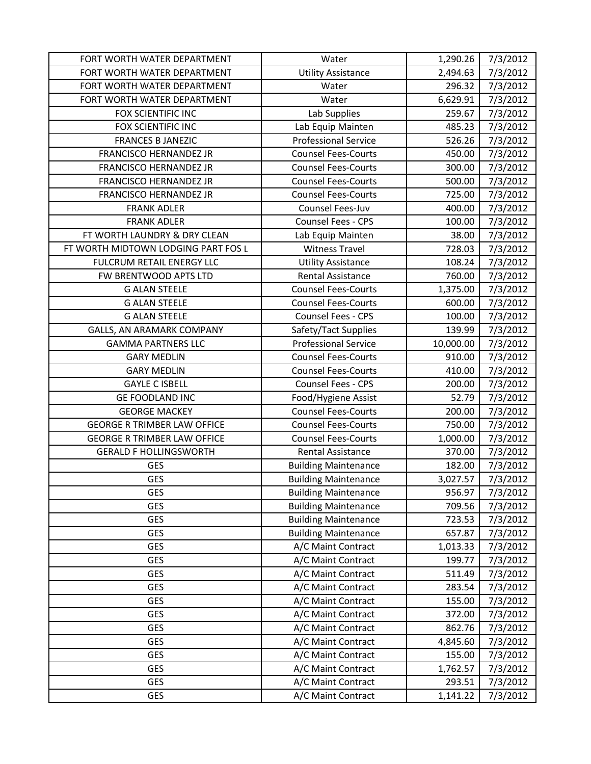| FORT WORTH WATER DEPARTMENT         | Water                       | 1,290.26  | 7/3/2012 |
|-------------------------------------|-----------------------------|-----------|----------|
| FORT WORTH WATER DEPARTMENT         | <b>Utility Assistance</b>   | 2,494.63  | 7/3/2012 |
| FORT WORTH WATER DEPARTMENT         | Water                       | 296.32    | 7/3/2012 |
| FORT WORTH WATER DEPARTMENT         | Water                       | 6,629.91  | 7/3/2012 |
| FOX SCIENTIFIC INC                  | Lab Supplies                | 259.67    | 7/3/2012 |
| FOX SCIENTIFIC INC                  | Lab Equip Mainten           | 485.23    | 7/3/2012 |
| <b>FRANCES B JANEZIC</b>            | <b>Professional Service</b> | 526.26    | 7/3/2012 |
| <b>FRANCISCO HERNANDEZ JR</b>       | <b>Counsel Fees-Courts</b>  | 450.00    | 7/3/2012 |
| <b>FRANCISCO HERNANDEZ JR</b>       | <b>Counsel Fees-Courts</b>  | 300.00    | 7/3/2012 |
| <b>FRANCISCO HERNANDEZ JR</b>       | <b>Counsel Fees-Courts</b>  | 500.00    | 7/3/2012 |
| <b>FRANCISCO HERNANDEZ JR</b>       | <b>Counsel Fees-Courts</b>  | 725.00    | 7/3/2012 |
| <b>FRANK ADLER</b>                  | Counsel Fees-Juv            | 400.00    | 7/3/2012 |
| <b>FRANK ADLER</b>                  | Counsel Fees - CPS          | 100.00    | 7/3/2012 |
| FT WORTH LAUNDRY & DRY CLEAN        | Lab Equip Mainten           | 38.00     | 7/3/2012 |
| FT WORTH MIDTOWN LODGING PART FOS L | <b>Witness Travel</b>       | 728.03    | 7/3/2012 |
| FULCRUM RETAIL ENERGY LLC           | <b>Utility Assistance</b>   | 108.24    | 7/3/2012 |
| FW BRENTWOOD APTS LTD               | <b>Rental Assistance</b>    | 760.00    | 7/3/2012 |
| <b>G ALAN STEELE</b>                | <b>Counsel Fees-Courts</b>  | 1,375.00  | 7/3/2012 |
| <b>G ALAN STEELE</b>                | <b>Counsel Fees-Courts</b>  | 600.00    | 7/3/2012 |
| <b>G ALAN STEELE</b>                | Counsel Fees - CPS          | 100.00    | 7/3/2012 |
| GALLS, AN ARAMARK COMPANY           | Safety/Tact Supplies        | 139.99    | 7/3/2012 |
| <b>GAMMA PARTNERS LLC</b>           | <b>Professional Service</b> | 10,000.00 | 7/3/2012 |
| <b>GARY MEDLIN</b>                  | <b>Counsel Fees-Courts</b>  | 910.00    | 7/3/2012 |
| <b>GARY MEDLIN</b>                  | <b>Counsel Fees-Courts</b>  | 410.00    | 7/3/2012 |
| <b>GAYLE C ISBELL</b>               | Counsel Fees - CPS          | 200.00    | 7/3/2012 |
| <b>GE FOODLAND INC</b>              | Food/Hygiene Assist         | 52.79     | 7/3/2012 |
| <b>GEORGE MACKEY</b>                | <b>Counsel Fees-Courts</b>  | 200.00    | 7/3/2012 |
| <b>GEORGE R TRIMBER LAW OFFICE</b>  | <b>Counsel Fees-Courts</b>  | 750.00    | 7/3/2012 |
| <b>GEORGE R TRIMBER LAW OFFICE</b>  | <b>Counsel Fees-Courts</b>  | 1,000.00  | 7/3/2012 |
| <b>GERALD F HOLLINGSWORTH</b>       | Rental Assistance           | 370.00    | 7/3/2012 |
| <b>GES</b>                          | <b>Building Maintenance</b> | 182.00    | 7/3/2012 |
| <b>GES</b>                          | <b>Building Maintenance</b> | 3,027.57  | 7/3/2012 |
| <b>GES</b>                          | <b>Building Maintenance</b> | 956.97    | 7/3/2012 |
| <b>GES</b>                          | <b>Building Maintenance</b> | 709.56    | 7/3/2012 |
| GES                                 | <b>Building Maintenance</b> | 723.53    | 7/3/2012 |
| <b>GES</b>                          | <b>Building Maintenance</b> | 657.87    | 7/3/2012 |
| <b>GES</b>                          | A/C Maint Contract          | 1,013.33  | 7/3/2012 |
| <b>GES</b>                          | A/C Maint Contract          | 199.77    | 7/3/2012 |
| GES                                 | A/C Maint Contract          | 511.49    | 7/3/2012 |
| GES                                 | A/C Maint Contract          | 283.54    | 7/3/2012 |
| GES                                 | A/C Maint Contract          | 155.00    | 7/3/2012 |
| GES                                 | A/C Maint Contract          | 372.00    | 7/3/2012 |
| <b>GES</b>                          | A/C Maint Contract          | 862.76    | 7/3/2012 |
| <b>GES</b>                          | A/C Maint Contract          | 4,845.60  | 7/3/2012 |
| GES                                 | A/C Maint Contract          | 155.00    | 7/3/2012 |
| <b>GES</b>                          | A/C Maint Contract          | 1,762.57  | 7/3/2012 |
| GES                                 | A/C Maint Contract          | 293.51    | 7/3/2012 |
| <b>GES</b>                          | A/C Maint Contract          | 1,141.22  | 7/3/2012 |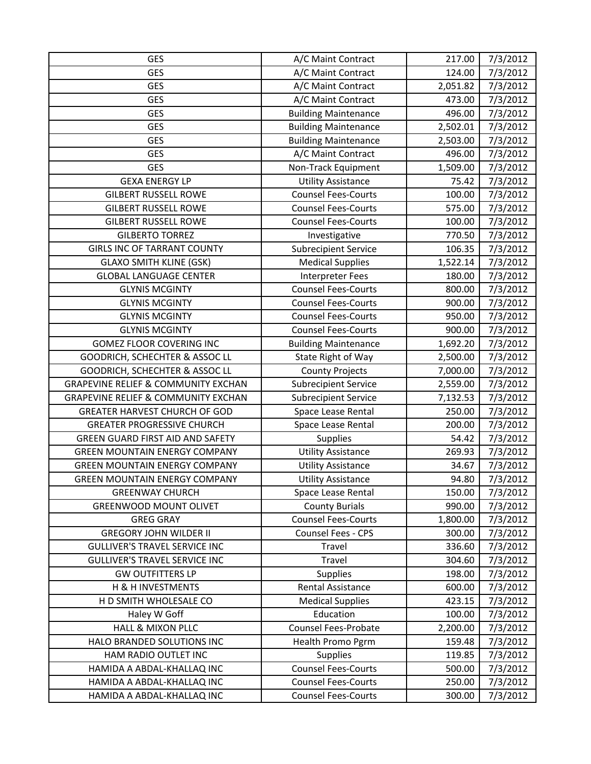| <b>GES</b>                                     | A/C Maint Contract          | 217.00   | 7/3/2012 |
|------------------------------------------------|-----------------------------|----------|----------|
| <b>GES</b>                                     | A/C Maint Contract          | 124.00   | 7/3/2012 |
| <b>GES</b>                                     | A/C Maint Contract          | 2,051.82 | 7/3/2012 |
| <b>GES</b>                                     | A/C Maint Contract          | 473.00   | 7/3/2012 |
| <b>GES</b>                                     | <b>Building Maintenance</b> | 496.00   | 7/3/2012 |
| <b>GES</b>                                     | <b>Building Maintenance</b> | 2,502.01 | 7/3/2012 |
| <b>GES</b>                                     | <b>Building Maintenance</b> | 2,503.00 | 7/3/2012 |
| <b>GES</b>                                     | A/C Maint Contract          | 496.00   | 7/3/2012 |
| <b>GES</b>                                     | Non-Track Equipment         | 1,509.00 | 7/3/2012 |
| <b>GEXA ENERGY LP</b>                          | <b>Utility Assistance</b>   | 75.42    | 7/3/2012 |
| <b>GILBERT RUSSELL ROWE</b>                    | <b>Counsel Fees-Courts</b>  | 100.00   | 7/3/2012 |
| <b>GILBERT RUSSELL ROWE</b>                    | <b>Counsel Fees-Courts</b>  | 575.00   | 7/3/2012 |
| <b>GILBERT RUSSELL ROWE</b>                    | <b>Counsel Fees-Courts</b>  | 100.00   | 7/3/2012 |
| <b>GILBERTO TORREZ</b>                         | Investigative               | 770.50   | 7/3/2012 |
| <b>GIRLS INC OF TARRANT COUNTY</b>             | Subrecipient Service        | 106.35   | 7/3/2012 |
| <b>GLAXO SMITH KLINE (GSK)</b>                 | <b>Medical Supplies</b>     | 1,522.14 | 7/3/2012 |
| <b>GLOBAL LANGUAGE CENTER</b>                  | Interpreter Fees            | 180.00   | 7/3/2012 |
| <b>GLYNIS MCGINTY</b>                          | <b>Counsel Fees-Courts</b>  | 800.00   | 7/3/2012 |
| <b>GLYNIS MCGINTY</b>                          | <b>Counsel Fees-Courts</b>  | 900.00   | 7/3/2012 |
| <b>GLYNIS MCGINTY</b>                          | <b>Counsel Fees-Courts</b>  | 950.00   | 7/3/2012 |
| <b>GLYNIS MCGINTY</b>                          | <b>Counsel Fees-Courts</b>  | 900.00   | 7/3/2012 |
| <b>GOMEZ FLOOR COVERING INC</b>                | <b>Building Maintenance</b> | 1,692.20 | 7/3/2012 |
| GOODRICH, SCHECHTER & ASSOC LL                 | State Right of Way          | 2,500.00 | 7/3/2012 |
| GOODRICH, SCHECHTER & ASSOC LL                 | <b>County Projects</b>      | 7,000.00 | 7/3/2012 |
| <b>GRAPEVINE RELIEF &amp; COMMUNITY EXCHAN</b> | <b>Subrecipient Service</b> | 2,559.00 | 7/3/2012 |
| <b>GRAPEVINE RELIEF &amp; COMMUNITY EXCHAN</b> | <b>Subrecipient Service</b> | 7,132.53 | 7/3/2012 |
| GREATER HARVEST CHURCH OF GOD                  | Space Lease Rental          | 250.00   | 7/3/2012 |
| <b>GREATER PROGRESSIVE CHURCH</b>              | Space Lease Rental          | 200.00   | 7/3/2012 |
| <b>GREEN GUARD FIRST AID AND SAFETY</b>        | Supplies                    | 54.42    | 7/3/2012 |
| <b>GREEN MOUNTAIN ENERGY COMPANY</b>           | <b>Utility Assistance</b>   | 269.93   | 7/3/2012 |
| <b>GREEN MOUNTAIN ENERGY COMPANY</b>           | <b>Utility Assistance</b>   | 34.67    | 7/3/2012 |
| <b>GREEN MOUNTAIN ENERGY COMPANY</b>           | <b>Utility Assistance</b>   | 94.80    | 7/3/2012 |
| <b>GREENWAY CHURCH</b>                         | Space Lease Rental          | 150.00   | 7/3/2012 |
| <b>GREENWOOD MOUNT OLIVET</b>                  | <b>County Burials</b>       | 990.00   | 7/3/2012 |
| <b>GREG GRAY</b>                               | <b>Counsel Fees-Courts</b>  | 1,800.00 | 7/3/2012 |
| <b>GREGORY JOHN WILDER II</b>                  | Counsel Fees - CPS          | 300.00   | 7/3/2012 |
| <b>GULLIVER'S TRAVEL SERVICE INC</b>           | Travel                      | 336.60   | 7/3/2012 |
| <b>GULLIVER'S TRAVEL SERVICE INC</b>           | Travel                      | 304.60   | 7/3/2012 |
| <b>GW OUTFITTERS LP</b>                        | Supplies                    | 198.00   | 7/3/2012 |
| H & H INVESTMENTS                              | <b>Rental Assistance</b>    | 600.00   | 7/3/2012 |
| H D SMITH WHOLESALE CO                         | <b>Medical Supplies</b>     | 423.15   | 7/3/2012 |
| Haley W Goff                                   | Education                   | 100.00   | 7/3/2012 |
| <b>HALL &amp; MIXON PLLC</b>                   | <b>Counsel Fees-Probate</b> | 2,200.00 | 7/3/2012 |
| HALO BRANDED SOLUTIONS INC                     | Health Promo Pgrm           | 159.48   | 7/3/2012 |
| HAM RADIO OUTLET INC                           | Supplies                    | 119.85   | 7/3/2012 |
| HAMIDA A ABDAL-KHALLAQ INC                     | <b>Counsel Fees-Courts</b>  | 500.00   | 7/3/2012 |
| HAMIDA A ABDAL-KHALLAQ INC                     | <b>Counsel Fees-Courts</b>  | 250.00   | 7/3/2012 |
| HAMIDA A ABDAL-KHALLAQ INC                     | <b>Counsel Fees-Courts</b>  | 300.00   | 7/3/2012 |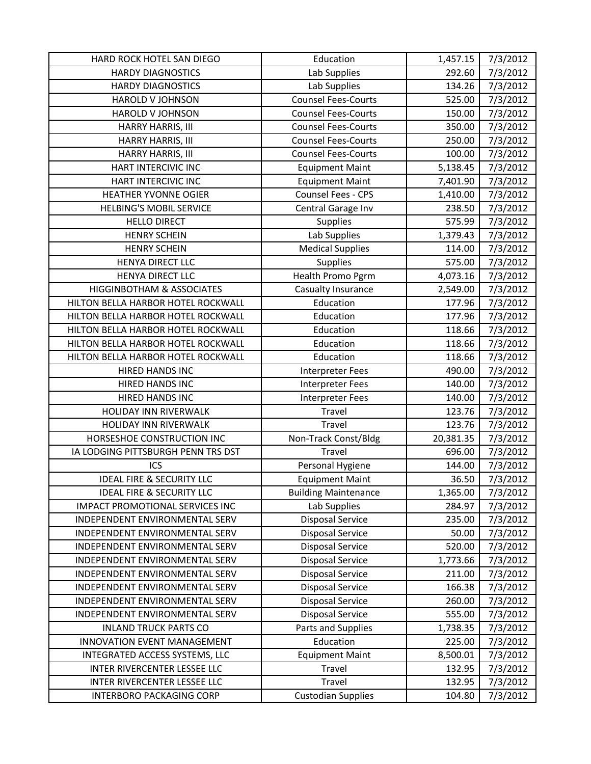| HARD ROCK HOTEL SAN DIEGO            | Education                   | 1,457.15  | 7/3/2012             |
|--------------------------------------|-----------------------------|-----------|----------------------|
| <b>HARDY DIAGNOSTICS</b>             | Lab Supplies                | 292.60    | 7/3/2012             |
| <b>HARDY DIAGNOSTICS</b>             | Lab Supplies                | 134.26    | 7/3/2012             |
| HAROLD V JOHNSON                     | <b>Counsel Fees-Courts</b>  | 525.00    | 7/3/2012             |
| <b>HAROLD V JOHNSON</b>              | <b>Counsel Fees-Courts</b>  | 150.00    | 7/3/2012             |
| HARRY HARRIS, III                    | <b>Counsel Fees-Courts</b>  | 350.00    | 7/3/2012             |
| HARRY HARRIS, III                    | <b>Counsel Fees-Courts</b>  | 250.00    | 7/3/2012             |
| HARRY HARRIS, III                    | <b>Counsel Fees-Courts</b>  | 100.00    | 7/3/2012             |
| HART INTERCIVIC INC                  | <b>Equipment Maint</b>      | 5,138.45  | 7/3/2012             |
| <b>HART INTERCIVIC INC</b>           | <b>Equipment Maint</b>      | 7,401.90  | 7/3/2012             |
| <b>HEATHER YVONNE OGIER</b>          | Counsel Fees - CPS          | 1,410.00  | 7/3/2012             |
| <b>HELBING'S MOBIL SERVICE</b>       | Central Garage Inv          | 238.50    | 7/3/2012             |
| <b>HELLO DIRECT</b>                  | <b>Supplies</b>             | 575.99    | 7/3/2012             |
| <b>HENRY SCHEIN</b>                  | Lab Supplies                | 1,379.43  | 7/3/2012             |
| <b>HENRY SCHEIN</b>                  | <b>Medical Supplies</b>     | 114.00    | $\frac{1}{7}/3/2012$ |
| HENYA DIRECT LLC                     | Supplies                    | 575.00    | 7/3/2012             |
| <b>HENYA DIRECT LLC</b>              | Health Promo Pgrm           | 4,073.16  | 7/3/2012             |
| <b>HIGGINBOTHAM &amp; ASSOCIATES</b> | Casualty Insurance          | 2,549.00  | 7/3/2012             |
| HILTON BELLA HARBOR HOTEL ROCKWALL   | Education                   | 177.96    | 7/3/2012             |
| HILTON BELLA HARBOR HOTEL ROCKWALL   | Education                   | 177.96    | 7/3/2012             |
| HILTON BELLA HARBOR HOTEL ROCKWALL   | Education                   | 118.66    | 7/3/2012             |
| HILTON BELLA HARBOR HOTEL ROCKWALL   | Education                   | 118.66    | 7/3/2012             |
| HILTON BELLA HARBOR HOTEL ROCKWALL   | Education                   | 118.66    | 7/3/2012             |
| HIRED HANDS INC                      | Interpreter Fees            | 490.00    | 7/3/2012             |
| HIRED HANDS INC                      | Interpreter Fees            | 140.00    | 7/3/2012             |
| HIRED HANDS INC                      | Interpreter Fees            | 140.00    | 7/3/2012             |
| HOLIDAY INN RIVERWALK                | Travel                      | 123.76    | 7/3/2012             |
| HOLIDAY INN RIVERWALK                | Travel                      | 123.76    | 7/3/2012             |
| HORSESHOE CONSTRUCTION INC           | Non-Track Const/Bldg        | 20,381.35 | 7/3/2012             |
| IA LODGING PITTSBURGH PENN TRS DST   | Travel                      | 696.00    | 7/3/2012             |
| ICS                                  | Personal Hygiene            | 144.00    | 7/3/2012             |
| <b>IDEAL FIRE &amp; SECURITY LLC</b> | <b>Equipment Maint</b>      | 36.50     | 7/3/2012             |
| <b>IDEAL FIRE &amp; SECURITY LLC</b> | <b>Building Maintenance</b> | 1,365.00  | 7/3/2012             |
| IMPACT PROMOTIONAL SERVICES INC      | Lab Supplies                | 284.97    | 7/3/2012             |
| INDEPENDENT ENVIRONMENTAL SERV       | <b>Disposal Service</b>     | 235.00    | 7/3/2012             |
| INDEPENDENT ENVIRONMENTAL SERV       | <b>Disposal Service</b>     | 50.00     | 7/3/2012             |
| INDEPENDENT ENVIRONMENTAL SERV       | <b>Disposal Service</b>     | 520.00    | 7/3/2012             |
| INDEPENDENT ENVIRONMENTAL SERV       | <b>Disposal Service</b>     | 1,773.66  | 7/3/2012             |
| INDEPENDENT ENVIRONMENTAL SERV       | <b>Disposal Service</b>     | 211.00    | 7/3/2012             |
| INDEPENDENT ENVIRONMENTAL SERV       | <b>Disposal Service</b>     | 166.38    | 7/3/2012             |
| INDEPENDENT ENVIRONMENTAL SERV       | <b>Disposal Service</b>     | 260.00    | 7/3/2012             |
| INDEPENDENT ENVIRONMENTAL SERV       | <b>Disposal Service</b>     | 555.00    | 7/3/2012             |
| <b>INLAND TRUCK PARTS CO</b>         | Parts and Supplies          | 1,738.35  | 7/3/2012             |
| INNOVATION EVENT MANAGEMENT          | Education                   | 225.00    | 7/3/2012             |
| INTEGRATED ACCESS SYSTEMS, LLC       | <b>Equipment Maint</b>      | 8,500.01  | 7/3/2012             |
| INTER RIVERCENTER LESSEE LLC         | Travel                      | 132.95    | 7/3/2012             |
| INTER RIVERCENTER LESSEE LLC         | Travel                      | 132.95    | 7/3/2012             |
| <b>INTERBORO PACKAGING CORP</b>      | <b>Custodian Supplies</b>   | 104.80    | 7/3/2012             |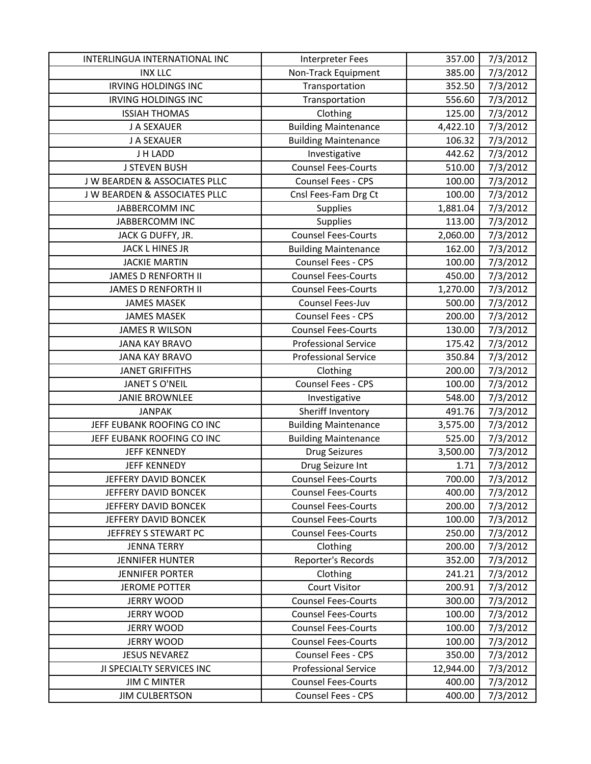| INTERLINGUA INTERNATIONAL INC | Interpreter Fees            | 357.00    | 7/3/2012 |
|-------------------------------|-----------------------------|-----------|----------|
| <b>INX LLC</b>                | Non-Track Equipment         | 385.00    | 7/3/2012 |
| <b>IRVING HOLDINGS INC</b>    | Transportation              | 352.50    | 7/3/2012 |
| <b>IRVING HOLDINGS INC</b>    | Transportation              | 556.60    | 7/3/2012 |
| <b>ISSIAH THOMAS</b>          | Clothing                    | 125.00    | 7/3/2012 |
| J A SEXAUER                   | <b>Building Maintenance</b> | 4,422.10  | 7/3/2012 |
| J A SEXAUER                   | <b>Building Maintenance</b> | 106.32    | 7/3/2012 |
| J H LADD                      | Investigative               | 442.62    | 7/3/2012 |
| <b>J STEVEN BUSH</b>          | Counsel Fees-Courts         | 510.00    | 7/3/2012 |
| J W BEARDEN & ASSOCIATES PLLC | Counsel Fees - CPS          | 100.00    | 7/3/2012 |
| J W BEARDEN & ASSOCIATES PLLC | Cnsl Fees-Fam Drg Ct        | 100.00    | 7/3/2012 |
| JABBERCOMM INC                | Supplies                    | 1,881.04  | 7/3/2012 |
| JABBERCOMM INC                | Supplies                    | 113.00    | 7/3/2012 |
| JACK G DUFFY, JR.             | <b>Counsel Fees-Courts</b>  | 2,060.00  | 7/3/2012 |
| JACK L HINES JR               | <b>Building Maintenance</b> | 162.00    | 7/3/2012 |
| <b>JACKIE MARTIN</b>          | Counsel Fees - CPS          | 100.00    | 7/3/2012 |
| <b>JAMES D RENFORTH II</b>    | <b>Counsel Fees-Courts</b>  | 450.00    | 7/3/2012 |
| <b>JAMES D RENFORTH II</b>    | <b>Counsel Fees-Courts</b>  | 1,270.00  | 7/3/2012 |
| <b>JAMES MASEK</b>            | Counsel Fees-Juv            | 500.00    | 7/3/2012 |
| <b>JAMES MASEK</b>            | Counsel Fees - CPS          | 200.00    | 7/3/2012 |
| <b>JAMES R WILSON</b>         | <b>Counsel Fees-Courts</b>  | 130.00    | 7/3/2012 |
| <b>JANA KAY BRAVO</b>         | <b>Professional Service</b> | 175.42    | 7/3/2012 |
| <b>JANA KAY BRAVO</b>         | <b>Professional Service</b> | 350.84    | 7/3/2012 |
| <b>JANET GRIFFITHS</b>        | Clothing                    | 200.00    | 7/3/2012 |
| <b>JANET S O'NEIL</b>         | Counsel Fees - CPS          | 100.00    | 7/3/2012 |
| <b>JANIE BROWNLEE</b>         | Investigative               | 548.00    | 7/3/2012 |
| <b>JANPAK</b>                 | Sheriff Inventory           | 491.76    | 7/3/2012 |
| JEFF EUBANK ROOFING CO INC    | <b>Building Maintenance</b> | 3,575.00  | 7/3/2012 |
| JEFF EUBANK ROOFING CO INC    | <b>Building Maintenance</b> | 525.00    | 7/3/2012 |
| <b>JEFF KENNEDY</b>           | <b>Drug Seizures</b>        | 3,500.00  | 7/3/2012 |
| <b>JEFF KENNEDY</b>           | Drug Seizure Int            | 1.71      | 7/3/2012 |
| JEFFERY DAVID BONCEK          | <b>Counsel Fees-Courts</b>  | 700.00    | 7/3/2012 |
| JEFFERY DAVID BONCEK          | <b>Counsel Fees-Courts</b>  | 400.00    | 7/3/2012 |
| JEFFERY DAVID BONCEK          | <b>Counsel Fees-Courts</b>  | 200.00    | 7/3/2012 |
| JEFFERY DAVID BONCEK          | <b>Counsel Fees-Courts</b>  | 100.00    | 7/3/2012 |
| JEFFREY S STEWART PC          | <b>Counsel Fees-Courts</b>  | 250.00    | 7/3/2012 |
| <b>JENNA TERRY</b>            | Clothing                    | 200.00    | 7/3/2012 |
| <b>JENNIFER HUNTER</b>        | Reporter's Records          | 352.00    | 7/3/2012 |
| <b>JENNIFER PORTER</b>        | Clothing                    | 241.21    | 7/3/2012 |
| <b>JEROME POTTER</b>          | <b>Court Visitor</b>        | 200.91    | 7/3/2012 |
| <b>JERRY WOOD</b>             | <b>Counsel Fees-Courts</b>  | 300.00    | 7/3/2012 |
| <b>JERRY WOOD</b>             | <b>Counsel Fees-Courts</b>  | 100.00    | 7/3/2012 |
| <b>JERRY WOOD</b>             | <b>Counsel Fees-Courts</b>  | 100.00    | 7/3/2012 |
| <b>JERRY WOOD</b>             | <b>Counsel Fees-Courts</b>  | 100.00    | 7/3/2012 |
| <b>JESUS NEVAREZ</b>          | <b>Counsel Fees - CPS</b>   | 350.00    | 7/3/2012 |
| JI SPECIALTY SERVICES INC     | <b>Professional Service</b> | 12,944.00 | 7/3/2012 |
| <b>JIM C MINTER</b>           | <b>Counsel Fees-Courts</b>  | 400.00    | 7/3/2012 |
| <b>JIM CULBERTSON</b>         | Counsel Fees - CPS          | 400.00    | 7/3/2012 |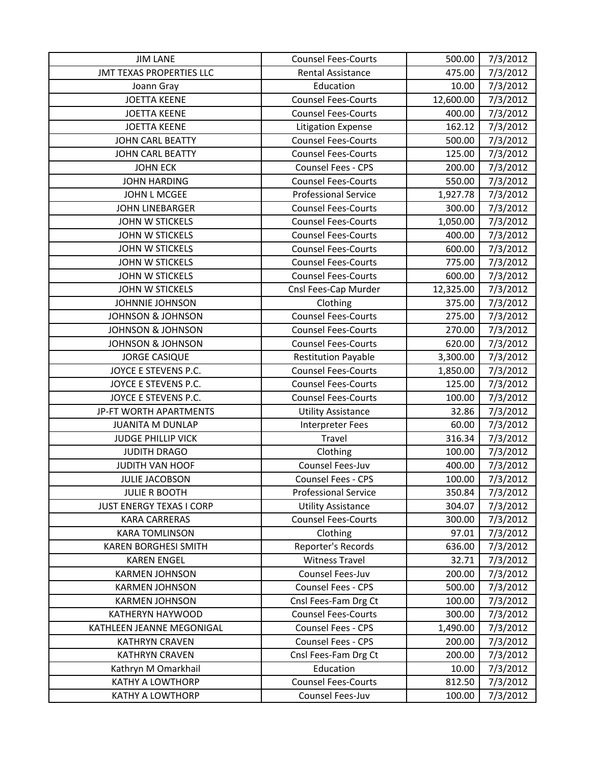| <b>JIM LANE</b>                 | <b>Counsel Fees-Courts</b>  | 500.00    | 7/3/2012 |
|---------------------------------|-----------------------------|-----------|----------|
| <b>JMT TEXAS PROPERTIES LLC</b> | <b>Rental Assistance</b>    | 475.00    | 7/3/2012 |
| Joann Gray                      | Education                   | 10.00     | 7/3/2012 |
| <b>JOETTA KEENE</b>             | <b>Counsel Fees-Courts</b>  | 12,600.00 | 7/3/2012 |
| <b>JOETTA KEENE</b>             | <b>Counsel Fees-Courts</b>  | 400.00    | 7/3/2012 |
| <b>JOETTA KEENE</b>             | Litigation Expense          | 162.12    | 7/3/2012 |
| <b>JOHN CARL BEATTY</b>         | <b>Counsel Fees-Courts</b>  | 500.00    | 7/3/2012 |
| JOHN CARL BEATTY                | <b>Counsel Fees-Courts</b>  | 125.00    | 7/3/2012 |
| <b>JOHN ECK</b>                 | Counsel Fees - CPS          | 200.00    | 7/3/2012 |
| <b>JOHN HARDING</b>             | <b>Counsel Fees-Courts</b>  | 550.00    | 7/3/2012 |
| <b>JOHN L MCGEE</b>             | <b>Professional Service</b> | 1,927.78  | 7/3/2012 |
| <b>JOHN LINEBARGER</b>          | <b>Counsel Fees-Courts</b>  | 300.00    | 7/3/2012 |
| <b>JOHN W STICKELS</b>          | <b>Counsel Fees-Courts</b>  | 1,050.00  | 7/3/2012 |
| <b>JOHN W STICKELS</b>          | <b>Counsel Fees-Courts</b>  | 400.00    | 7/3/2012 |
| <b>JOHN W STICKELS</b>          | <b>Counsel Fees-Courts</b>  | 600.00    | 7/3/2012 |
| <b>JOHN W STICKELS</b>          | <b>Counsel Fees-Courts</b>  | 775.00    | 7/3/2012 |
| <b>JOHN W STICKELS</b>          | <b>Counsel Fees-Courts</b>  | 600.00    | 7/3/2012 |
| <b>JOHN W STICKELS</b>          | Cnsl Fees-Cap Murder        | 12,325.00 | 7/3/2012 |
| JOHNNIE JOHNSON                 | Clothing                    | 375.00    | 7/3/2012 |
| <b>JOHNSON &amp; JOHNSON</b>    | <b>Counsel Fees-Courts</b>  | 275.00    | 7/3/2012 |
| <b>JOHNSON &amp; JOHNSON</b>    | <b>Counsel Fees-Courts</b>  | 270.00    | 7/3/2012 |
| <b>JOHNSON &amp; JOHNSON</b>    | <b>Counsel Fees-Courts</b>  | 620.00    | 7/3/2012 |
| <b>JORGE CASIQUE</b>            | <b>Restitution Payable</b>  | 3,300.00  | 7/3/2012 |
| JOYCE E STEVENS P.C.            | <b>Counsel Fees-Courts</b>  | 1,850.00  | 7/3/2012 |
| JOYCE E STEVENS P.C.            | <b>Counsel Fees-Courts</b>  | 125.00    | 7/3/2012 |
| JOYCE E STEVENS P.C.            | <b>Counsel Fees-Courts</b>  | 100.00    | 7/3/2012 |
| JP-FT WORTH APARTMENTS          | <b>Utility Assistance</b>   | 32.86     | 7/3/2012 |
| <b>JUANITA M DUNLAP</b>         | <b>Interpreter Fees</b>     | 60.00     | 7/3/2012 |
| <b>JUDGE PHILLIP VICK</b>       | Travel                      | 316.34    | 7/3/2012 |
| <b>JUDITH DRAGO</b>             | Clothing                    | 100.00    | 7/3/2012 |
| JUDITH VAN HOOF                 | Counsel Fees-Juv            | 400.00    | 7/3/2012 |
| <b>JULIE JACOBSON</b>           | Counsel Fees - CPS          | 100.00    | 7/3/2012 |
| <b>JULIE R BOOTH</b>            | <b>Professional Service</b> | 350.84    | 7/3/2012 |
| <b>JUST ENERGY TEXAS I CORP</b> | <b>Utility Assistance</b>   | 304.07    | 7/3/2012 |
| <b>KARA CARRERAS</b>            | <b>Counsel Fees-Courts</b>  | 300.00    | 7/3/2012 |
| <b>KARA TOMLINSON</b>           | Clothing                    | 97.01     | 7/3/2012 |
| <b>KAREN BORGHESI SMITH</b>     | Reporter's Records          | 636.00    | 7/3/2012 |
| <b>KAREN ENGEL</b>              | <b>Witness Travel</b>       | 32.71     | 7/3/2012 |
| <b>KARMEN JOHNSON</b>           | Counsel Fees-Juv            | 200.00    | 7/3/2012 |
| <b>KARMEN JOHNSON</b>           | Counsel Fees - CPS          | 500.00    | 7/3/2012 |
| <b>KARMEN JOHNSON</b>           | Cnsl Fees-Fam Drg Ct        | 100.00    | 7/3/2012 |
| <b>KATHERYN HAYWOOD</b>         | <b>Counsel Fees-Courts</b>  | 300.00    | 7/3/2012 |
| KATHLEEN JEANNE MEGONIGAL       | Counsel Fees - CPS          | 1,490.00  | 7/3/2012 |
| <b>KATHRYN CRAVEN</b>           | Counsel Fees - CPS          | 200.00    | 7/3/2012 |
| <b>KATHRYN CRAVEN</b>           | Cnsl Fees-Fam Drg Ct        | 200.00    | 7/3/2012 |
| Kathryn M Omarkhail             | Education                   | 10.00     | 7/3/2012 |
| <b>KATHY A LOWTHORP</b>         | <b>Counsel Fees-Courts</b>  | 812.50    | 7/3/2012 |
| <b>KATHY A LOWTHORP</b>         | Counsel Fees-Juv            | 100.00    | 7/3/2012 |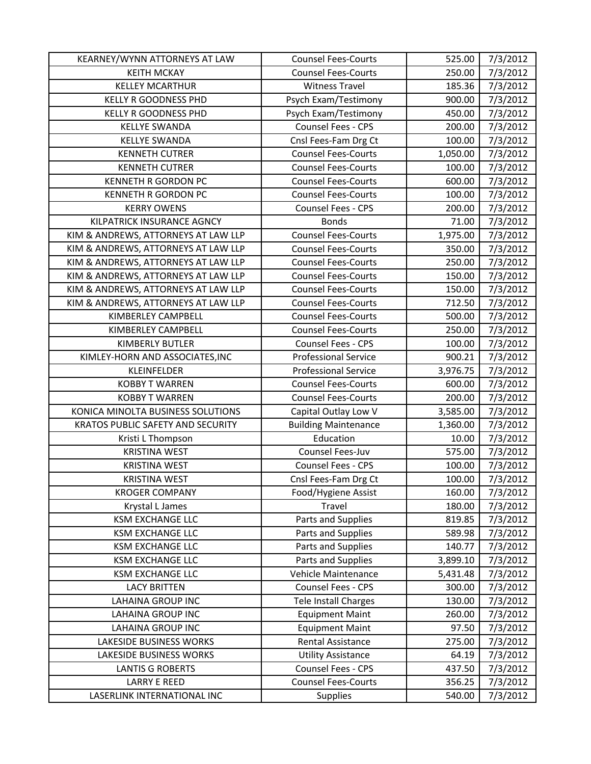| KEARNEY/WYNN ATTORNEYS AT LAW       | <b>Counsel Fees-Courts</b>  | 525.00   | 7/3/2012 |
|-------------------------------------|-----------------------------|----------|----------|
| <b>KEITH MCKAY</b>                  | <b>Counsel Fees-Courts</b>  | 250.00   | 7/3/2012 |
| <b>KELLEY MCARTHUR</b>              | <b>Witness Travel</b>       | 185.36   | 7/3/2012 |
| <b>KELLY R GOODNESS PHD</b>         | Psych Exam/Testimony        | 900.00   | 7/3/2012 |
| <b>KELLY R GOODNESS PHD</b>         | Psych Exam/Testimony        | 450.00   | 7/3/2012 |
| <b>KELLYE SWANDA</b>                | Counsel Fees - CPS          | 200.00   | 7/3/2012 |
| <b>KELLYE SWANDA</b>                | Cnsl Fees-Fam Drg Ct        | 100.00   | 7/3/2012 |
| <b>KENNETH CUTRER</b>               | <b>Counsel Fees-Courts</b>  | 1,050.00 | 7/3/2012 |
| <b>KENNETH CUTRER</b>               | <b>Counsel Fees-Courts</b>  | 100.00   | 7/3/2012 |
| <b>KENNETH R GORDON PC</b>          | <b>Counsel Fees-Courts</b>  | 600.00   | 7/3/2012 |
| <b>KENNETH R GORDON PC</b>          | <b>Counsel Fees-Courts</b>  | 100.00   | 7/3/2012 |
| <b>KERRY OWENS</b>                  | Counsel Fees - CPS          | 200.00   | 7/3/2012 |
| KILPATRICK INSURANCE AGNCY          | <b>Bonds</b>                | 71.00    | 7/3/2012 |
| KIM & ANDREWS, ATTORNEYS AT LAW LLP | <b>Counsel Fees-Courts</b>  | 1,975.00 | 7/3/2012 |
| KIM & ANDREWS, ATTORNEYS AT LAW LLP | <b>Counsel Fees-Courts</b>  | 350.00   | 7/3/2012 |
| KIM & ANDREWS, ATTORNEYS AT LAW LLP | <b>Counsel Fees-Courts</b>  | 250.00   | 7/3/2012 |
| KIM & ANDREWS, ATTORNEYS AT LAW LLP | <b>Counsel Fees-Courts</b>  | 150.00   | 7/3/2012 |
| KIM & ANDREWS, ATTORNEYS AT LAW LLP | <b>Counsel Fees-Courts</b>  | 150.00   | 7/3/2012 |
| KIM & ANDREWS, ATTORNEYS AT LAW LLP | <b>Counsel Fees-Courts</b>  | 712.50   | 7/3/2012 |
| KIMBERLEY CAMPBELL                  | <b>Counsel Fees-Courts</b>  | 500.00   | 7/3/2012 |
| KIMBERLEY CAMPBELL                  | <b>Counsel Fees-Courts</b>  | 250.00   | 7/3/2012 |
| KIMBERLY BUTLER                     | Counsel Fees - CPS          | 100.00   | 7/3/2012 |
| KIMLEY-HORN AND ASSOCIATES, INC     | <b>Professional Service</b> | 900.21   | 7/3/2012 |
| KLEINFELDER                         | <b>Professional Service</b> | 3,976.75 | 7/3/2012 |
| <b>KOBBY T WARREN</b>               | <b>Counsel Fees-Courts</b>  | 600.00   | 7/3/2012 |
| <b>KOBBY T WARREN</b>               | <b>Counsel Fees-Courts</b>  | 200.00   | 7/3/2012 |
| KONICA MINOLTA BUSINESS SOLUTIONS   | Capital Outlay Low V        | 3,585.00 | 7/3/2012 |
| KRATOS PUBLIC SAFETY AND SECURITY   | <b>Building Maintenance</b> | 1,360.00 | 7/3/2012 |
| Kristi L Thompson                   | Education                   | 10.00    | 7/3/2012 |
| <b>KRISTINA WEST</b>                | Counsel Fees-Juv            | 575.00   | 7/3/2012 |
| <b>KRISTINA WEST</b>                | Counsel Fees - CPS          | 100.00   | 7/3/2012 |
| <b>KRISTINA WEST</b>                | Cnsl Fees-Fam Drg Ct        | 100.00   | 7/3/2012 |
| <b>KROGER COMPANY</b>               | Food/Hygiene Assist         | 160.00   | 7/3/2012 |
| Krystal L James                     | Travel                      | 180.00   | 7/3/2012 |
| <b>KSM EXCHANGE LLC</b>             | Parts and Supplies          | 819.85   | 7/3/2012 |
| <b>KSM EXCHANGE LLC</b>             | Parts and Supplies          | 589.98   | 7/3/2012 |
| <b>KSM EXCHANGE LLC</b>             | Parts and Supplies          | 140.77   | 7/3/2012 |
| <b>KSM EXCHANGE LLC</b>             | Parts and Supplies          | 3,899.10 | 7/3/2012 |
| <b>KSM EXCHANGE LLC</b>             | Vehicle Maintenance         | 5,431.48 | 7/3/2012 |
| <b>LACY BRITTEN</b>                 | Counsel Fees - CPS          | 300.00   | 7/3/2012 |
| <b>LAHAINA GROUP INC</b>            | Tele Install Charges        | 130.00   | 7/3/2012 |
| <b>LAHAINA GROUP INC</b>            | <b>Equipment Maint</b>      | 260.00   | 7/3/2012 |
| <b>LAHAINA GROUP INC</b>            | <b>Equipment Maint</b>      | 97.50    | 7/3/2012 |
| LAKESIDE BUSINESS WORKS             | Rental Assistance           | 275.00   | 7/3/2012 |
| LAKESIDE BUSINESS WORKS             | <b>Utility Assistance</b>   | 64.19    | 7/3/2012 |
| <b>LANTIS G ROBERTS</b>             | Counsel Fees - CPS          | 437.50   | 7/3/2012 |
| <b>LARRY E REED</b>                 | <b>Counsel Fees-Courts</b>  | 356.25   | 7/3/2012 |
| LASERLINK INTERNATIONAL INC         | <b>Supplies</b>             | 540.00   | 7/3/2012 |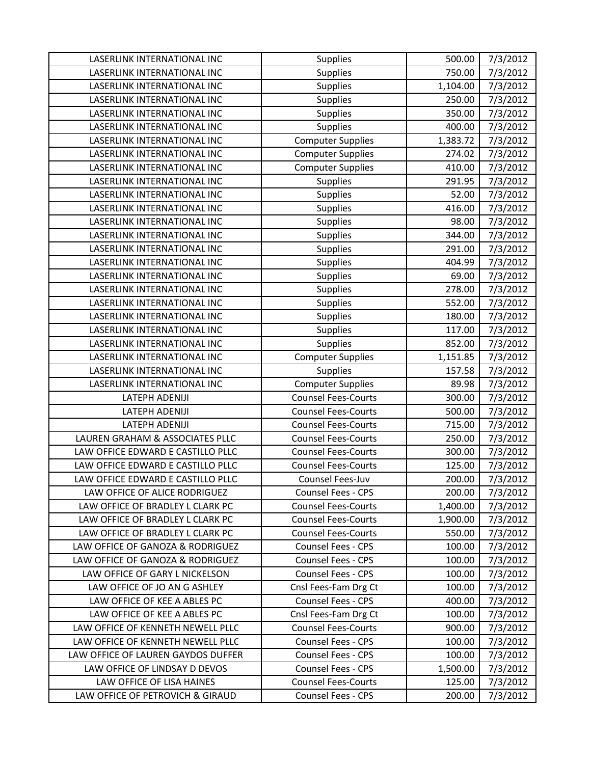| LASERLINK INTERNATIONAL INC        | Supplies                   | 500.00   | 7/3/2012 |
|------------------------------------|----------------------------|----------|----------|
| LASERLINK INTERNATIONAL INC        | Supplies                   | 750.00   | 7/3/2012 |
| LASERLINK INTERNATIONAL INC        | Supplies                   | 1,104.00 | 7/3/2012 |
| LASERLINK INTERNATIONAL INC        | Supplies                   | 250.00   | 7/3/2012 |
| LASERLINK INTERNATIONAL INC        | Supplies                   | 350.00   | 7/3/2012 |
| LASERLINK INTERNATIONAL INC        | <b>Supplies</b>            | 400.00   | 7/3/2012 |
| LASERLINK INTERNATIONAL INC        | <b>Computer Supplies</b>   | 1,383.72 | 7/3/2012 |
| LASERLINK INTERNATIONAL INC        | <b>Computer Supplies</b>   | 274.02   | 7/3/2012 |
| LASERLINK INTERNATIONAL INC        | <b>Computer Supplies</b>   | 410.00   | 7/3/2012 |
| LASERLINK INTERNATIONAL INC        | Supplies                   | 291.95   | 7/3/2012 |
| LASERLINK INTERNATIONAL INC        | <b>Supplies</b>            | 52.00    | 7/3/2012 |
| LASERLINK INTERNATIONAL INC        | <b>Supplies</b>            | 416.00   | 7/3/2012 |
| LASERLINK INTERNATIONAL INC        | <b>Supplies</b>            | 98.00    | 7/3/2012 |
| LASERLINK INTERNATIONAL INC        | Supplies                   | 344.00   | 7/3/2012 |
| LASERLINK INTERNATIONAL INC        | <b>Supplies</b>            | 291.00   | 7/3/2012 |
| LASERLINK INTERNATIONAL INC        | <b>Supplies</b>            | 404.99   | 7/3/2012 |
| LASERLINK INTERNATIONAL INC        | Supplies                   | 69.00    | 7/3/2012 |
| LASERLINK INTERNATIONAL INC        | Supplies                   | 278.00   | 7/3/2012 |
| LASERLINK INTERNATIONAL INC        | <b>Supplies</b>            | 552.00   | 7/3/2012 |
| LASERLINK INTERNATIONAL INC        | Supplies                   | 180.00   | 7/3/2012 |
| LASERLINK INTERNATIONAL INC        | Supplies                   | 117.00   | 7/3/2012 |
| LASERLINK INTERNATIONAL INC        | Supplies                   | 852.00   | 7/3/2012 |
| LASERLINK INTERNATIONAL INC        | <b>Computer Supplies</b>   | 1,151.85 | 7/3/2012 |
| LASERLINK INTERNATIONAL INC        | Supplies                   | 157.58   | 7/3/2012 |
| LASERLINK INTERNATIONAL INC        | <b>Computer Supplies</b>   | 89.98    | 7/3/2012 |
| <b>LATEPH ADENIJI</b>              | <b>Counsel Fees-Courts</b> | 300.00   | 7/3/2012 |
| LATEPH ADENIJI                     | <b>Counsel Fees-Courts</b> | 500.00   | 7/3/2012 |
| <b>LATEPH ADENIJI</b>              | <b>Counsel Fees-Courts</b> | 715.00   | 7/3/2012 |
| LAUREN GRAHAM & ASSOCIATES PLLC    | <b>Counsel Fees-Courts</b> | 250.00   | 7/3/2012 |
| LAW OFFICE EDWARD E CASTILLO PLLC  | <b>Counsel Fees-Courts</b> | 300.00   | 7/3/2012 |
| LAW OFFICE EDWARD E CASTILLO PLLC  | <b>Counsel Fees-Courts</b> | 125.00   | 7/3/2012 |
| LAW OFFICE EDWARD E CASTILLO PLLC  | Counsel Fees-Juv           | 200.00   | 7/3/2012 |
| LAW OFFICE OF ALICE RODRIGUEZ      | Counsel Fees - CPS         | 200.00   | 7/3/2012 |
| LAW OFFICE OF BRADLEY L CLARK PC   | <b>Counsel Fees-Courts</b> | 1,400.00 | 7/3/2012 |
| LAW OFFICE OF BRADLEY L CLARK PC   | <b>Counsel Fees-Courts</b> | 1,900.00 | 7/3/2012 |
| LAW OFFICE OF BRADLEY L CLARK PC   | <b>Counsel Fees-Courts</b> | 550.00   | 7/3/2012 |
| LAW OFFICE OF GANOZA & RODRIGUEZ   | Counsel Fees - CPS         | 100.00   | 7/3/2012 |
| LAW OFFICE OF GANOZA & RODRIGUEZ   | Counsel Fees - CPS         | 100.00   | 7/3/2012 |
| LAW OFFICE OF GARY L NICKELSON     | <b>Counsel Fees - CPS</b>  | 100.00   | 7/3/2012 |
| LAW OFFICE OF JO AN G ASHLEY       | Cnsl Fees-Fam Drg Ct       | 100.00   | 7/3/2012 |
| LAW OFFICE OF KEE A ABLES PC       | <b>Counsel Fees - CPS</b>  | 400.00   | 7/3/2012 |
| LAW OFFICE OF KEE A ABLES PC       | Cnsl Fees-Fam Drg Ct       | 100.00   | 7/3/2012 |
| LAW OFFICE OF KENNETH NEWELL PLLC  | <b>Counsel Fees-Courts</b> | 900.00   | 7/3/2012 |
| LAW OFFICE OF KENNETH NEWELL PLLC  | <b>Counsel Fees - CPS</b>  | 100.00   | 7/3/2012 |
| LAW OFFICE OF LAUREN GAYDOS DUFFER | Counsel Fees - CPS         | 100.00   | 7/3/2012 |
| LAW OFFICE OF LINDSAY D DEVOS      | Counsel Fees - CPS         | 1,500.00 | 7/3/2012 |
| LAW OFFICE OF LISA HAINES          | <b>Counsel Fees-Courts</b> | 125.00   | 7/3/2012 |
| LAW OFFICE OF PETROVICH & GIRAUD   | Counsel Fees - CPS         | 200.00   | 7/3/2012 |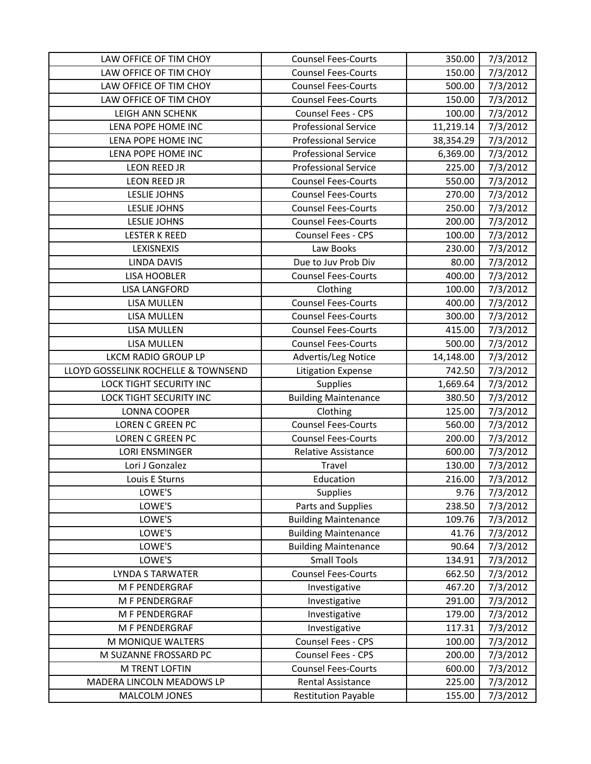| LAW OFFICE OF TIM CHOY              | <b>Counsel Fees-Courts</b>  | 350.00    | 7/3/2012 |
|-------------------------------------|-----------------------------|-----------|----------|
| LAW OFFICE OF TIM CHOY              | <b>Counsel Fees-Courts</b>  | 150.00    | 7/3/2012 |
| LAW OFFICE OF TIM CHOY              | <b>Counsel Fees-Courts</b>  | 500.00    | 7/3/2012 |
| LAW OFFICE OF TIM CHOY              | <b>Counsel Fees-Courts</b>  | 150.00    | 7/3/2012 |
| <b>LEIGH ANN SCHENK</b>             | Counsel Fees - CPS          | 100.00    | 7/3/2012 |
| LENA POPE HOME INC                  | <b>Professional Service</b> | 11,219.14 | 7/3/2012 |
| LENA POPE HOME INC                  | <b>Professional Service</b> | 38,354.29 | 7/3/2012 |
| LENA POPE HOME INC                  | <b>Professional Service</b> | 6,369.00  | 7/3/2012 |
| LEON REED JR                        | <b>Professional Service</b> | 225.00    | 7/3/2012 |
| <b>LEON REED JR</b>                 | <b>Counsel Fees-Courts</b>  | 550.00    | 7/3/2012 |
| <b>LESLIE JOHNS</b>                 | <b>Counsel Fees-Courts</b>  | 270.00    | 7/3/2012 |
| <b>LESLIE JOHNS</b>                 | <b>Counsel Fees-Courts</b>  | 250.00    | 7/3/2012 |
| <b>LESLIE JOHNS</b>                 | <b>Counsel Fees-Courts</b>  | 200.00    | 7/3/2012 |
| <b>LESTER K REED</b>                | Counsel Fees - CPS          | 100.00    | 7/3/2012 |
| LEXISNEXIS                          | Law Books                   | 230.00    | 7/3/2012 |
| <b>LINDA DAVIS</b>                  | Due to Juv Prob Div         | 80.00     | 7/3/2012 |
| <b>LISA HOOBLER</b>                 | <b>Counsel Fees-Courts</b>  | 400.00    | 7/3/2012 |
| <b>LISA LANGFORD</b>                | Clothing                    | 100.00    | 7/3/2012 |
| LISA MULLEN                         | <b>Counsel Fees-Courts</b>  | 400.00    | 7/3/2012 |
| LISA MULLEN                         | <b>Counsel Fees-Courts</b>  | 300.00    | 7/3/2012 |
| LISA MULLEN                         | <b>Counsel Fees-Courts</b>  | 415.00    | 7/3/2012 |
| <b>LISA MULLEN</b>                  | <b>Counsel Fees-Courts</b>  | 500.00    | 7/3/2012 |
| <b>LKCM RADIO GROUP LP</b>          | Advertis/Leg Notice         | 14,148.00 | 7/3/2012 |
| LLOYD GOSSELINK ROCHELLE & TOWNSEND | <b>Litigation Expense</b>   | 742.50    | 7/3/2012 |
| LOCK TIGHT SECURITY INC             | Supplies                    | 1,669.64  | 7/3/2012 |
| <b>LOCK TIGHT SECURITY INC</b>      | <b>Building Maintenance</b> | 380.50    | 7/3/2012 |
| LONNA COOPER                        | Clothing                    | 125.00    | 7/3/2012 |
| LOREN C GREEN PC                    | <b>Counsel Fees-Courts</b>  | 560.00    | 7/3/2012 |
| <b>LOREN C GREEN PC</b>             | <b>Counsel Fees-Courts</b>  | 200.00    | 7/3/2012 |
| <b>LORI ENSMINGER</b>               | Relative Assistance         | 600.00    | 7/3/2012 |
| Lori J Gonzalez                     | Travel                      | 130.00    | 7/3/2012 |
| Louis E Sturns                      | Education                   | 216.00    | 7/3/2012 |
| LOWE'S                              | Supplies                    | 9.76      | 7/3/2012 |
| LOWE'S                              | Parts and Supplies          | 238.50    | 7/3/2012 |
| LOWE'S                              | <b>Building Maintenance</b> | 109.76    | 7/3/2012 |
| LOWE'S                              | <b>Building Maintenance</b> | 41.76     | 7/3/2012 |
| LOWE'S                              | <b>Building Maintenance</b> | 90.64     | 7/3/2012 |
| LOWE'S                              | <b>Small Tools</b>          | 134.91    | 7/3/2012 |
| <b>LYNDA S TARWATER</b>             | <b>Counsel Fees-Courts</b>  | 662.50    | 7/3/2012 |
| M F PENDERGRAF                      | Investigative               | 467.20    | 7/3/2012 |
| M F PENDERGRAF                      | Investigative               | 291.00    | 7/3/2012 |
| M F PENDERGRAF                      | Investigative               | 179.00    | 7/3/2012 |
| M F PENDERGRAF                      | Investigative               | 117.31    | 7/3/2012 |
| M MONIQUE WALTERS                   | Counsel Fees - CPS          | 100.00    | 7/3/2012 |
| M SUZANNE FROSSARD PC               | Counsel Fees - CPS          | 200.00    | 7/3/2012 |
| M TRENT LOFTIN                      | <b>Counsel Fees-Courts</b>  | 600.00    | 7/3/2012 |
| MADERA LINCOLN MEADOWS LP           | Rental Assistance           | 225.00    | 7/3/2012 |
| MALCOLM JONES                       | <b>Restitution Payable</b>  | 155.00    | 7/3/2012 |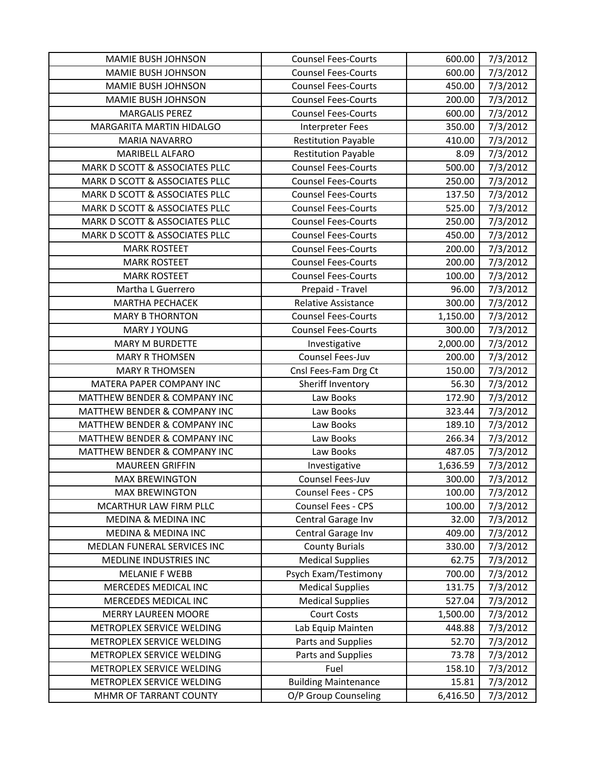| <b>MAMIE BUSH JOHNSON</b>               | <b>Counsel Fees-Courts</b>  | 600.00                | 7/3/2012 |
|-----------------------------------------|-----------------------------|-----------------------|----------|
| <b>MAMIE BUSH JOHNSON</b>               | <b>Counsel Fees-Courts</b>  | 600.00                | 7/3/2012 |
| <b>MAMIE BUSH JOHNSON</b>               | <b>Counsel Fees-Courts</b>  | 450.00                | 7/3/2012 |
| MAMIE BUSH JOHNSON                      | <b>Counsel Fees-Courts</b>  | 200.00                | 7/3/2012 |
| <b>MARGALIS PEREZ</b>                   | <b>Counsel Fees-Courts</b>  | 600.00                | 7/3/2012 |
| MARGARITA MARTIN HIDALGO                | Interpreter Fees            | 350.00                | 7/3/2012 |
| <b>MARIA NAVARRO</b>                    | <b>Restitution Payable</b>  | 410.00                | 7/3/2012 |
| MARIBELL ALFARO                         | <b>Restitution Payable</b>  | 8.09                  | 7/3/2012 |
| MARK D SCOTT & ASSOCIATES PLLC          | <b>Counsel Fees-Courts</b>  | 500.00                | 7/3/2012 |
| MARK D SCOTT & ASSOCIATES PLLC          | <b>Counsel Fees-Courts</b>  | 250.00                | 7/3/2012 |
| MARK D SCOTT & ASSOCIATES PLLC          | <b>Counsel Fees-Courts</b>  | 137.50                | 7/3/2012 |
| MARK D SCOTT & ASSOCIATES PLLC          | <b>Counsel Fees-Courts</b>  | 525.00                | 7/3/2012 |
| MARK D SCOTT & ASSOCIATES PLLC          | <b>Counsel Fees-Courts</b>  | 250.00                | 7/3/2012 |
| MARK D SCOTT & ASSOCIATES PLLC          | <b>Counsel Fees-Courts</b>  | 450.00                | 7/3/2012 |
| <b>MARK ROSTEET</b>                     | <b>Counsel Fees-Courts</b>  | 200.00                | 7/3/2012 |
| <b>MARK ROSTEET</b>                     | <b>Counsel Fees-Courts</b>  | 200.00                | 7/3/2012 |
| <b>MARK ROSTEET</b>                     | <b>Counsel Fees-Courts</b>  | 100.00                | 7/3/2012 |
| Martha L Guerrero                       | Prepaid - Travel            | 96.00                 | 7/3/2012 |
| <b>MARTHA PECHACEK</b>                  | Relative Assistance         | 300.00                | 7/3/2012 |
| <b>MARY B THORNTON</b>                  | <b>Counsel Fees-Courts</b>  | $\overline{1,}150.00$ | 7/3/2012 |
| <b>MARY J YOUNG</b>                     | <b>Counsel Fees-Courts</b>  | 300.00                | 7/3/2012 |
| <b>MARY M BURDETTE</b>                  | Investigative               | 2,000.00              | 7/3/2012 |
| <b>MARY R THOMSEN</b>                   | Counsel Fees-Juv            | 200.00                | 7/3/2012 |
| <b>MARY R THOMSEN</b>                   | Cnsl Fees-Fam Drg Ct        | 150.00                | 7/3/2012 |
| MATERA PAPER COMPANY INC                | Sheriff Inventory           | 56.30                 | 7/3/2012 |
| MATTHEW BENDER & COMPANY INC            | Law Books                   | 172.90                | 7/3/2012 |
| MATTHEW BENDER & COMPANY INC            | Law Books                   | 323.44                | 7/3/2012 |
| MATTHEW BENDER & COMPANY INC            | Law Books                   | 189.10                | 7/3/2012 |
| MATTHEW BENDER & COMPANY INC            | Law Books                   | 266.34                | 7/3/2012 |
| <b>MATTHEW BENDER &amp; COMPANY INC</b> | Law Books                   | 487.05                | 7/3/2012 |
| <b>MAUREEN GRIFFIN</b>                  | Investigative               | 1,636.59              | 7/3/2012 |
| <b>MAX BREWINGTON</b>                   | Counsel Fees-Juv            | 300.00                | 7/3/2012 |
| <b>MAX BREWINGTON</b>                   | Counsel Fees - CPS          | 100.00                | 7/3/2012 |
| MCARTHUR LAW FIRM PLLC                  | Counsel Fees - CPS          | 100.00                | 7/3/2012 |
| <b>MEDINA &amp; MEDINA INC</b>          | Central Garage Inv          | 32.00                 | 7/3/2012 |
| <b>MEDINA &amp; MEDINA INC</b>          | Central Garage Inv          | 409.00                | 7/3/2012 |
| MEDLAN FUNERAL SERVICES INC             | <b>County Burials</b>       | 330.00                | 7/3/2012 |
| MEDLINE INDUSTRIES INC                  | <b>Medical Supplies</b>     | 62.75                 | 7/3/2012 |
| <b>MELANIE F WEBB</b>                   | Psych Exam/Testimony        | 700.00                | 7/3/2012 |
| MERCEDES MEDICAL INC                    | <b>Medical Supplies</b>     | 131.75                | 7/3/2012 |
| MERCEDES MEDICAL INC                    | <b>Medical Supplies</b>     | 527.04                | 7/3/2012 |
| <b>MERRY LAUREEN MOORE</b>              | <b>Court Costs</b>          | 1,500.00              | 7/3/2012 |
| METROPLEX SERVICE WELDING               | Lab Equip Mainten           | 448.88                | 7/3/2012 |
| METROPLEX SERVICE WELDING               | Parts and Supplies          | 52.70                 | 7/3/2012 |
| METROPLEX SERVICE WELDING               | Parts and Supplies          | 73.78                 | 7/3/2012 |
| METROPLEX SERVICE WELDING               | Fuel                        | 158.10                | 7/3/2012 |
| METROPLEX SERVICE WELDING               | <b>Building Maintenance</b> | 15.81                 | 7/3/2012 |
| MHMR OF TARRANT COUNTY                  | O/P Group Counseling        | 6,416.50              | 7/3/2012 |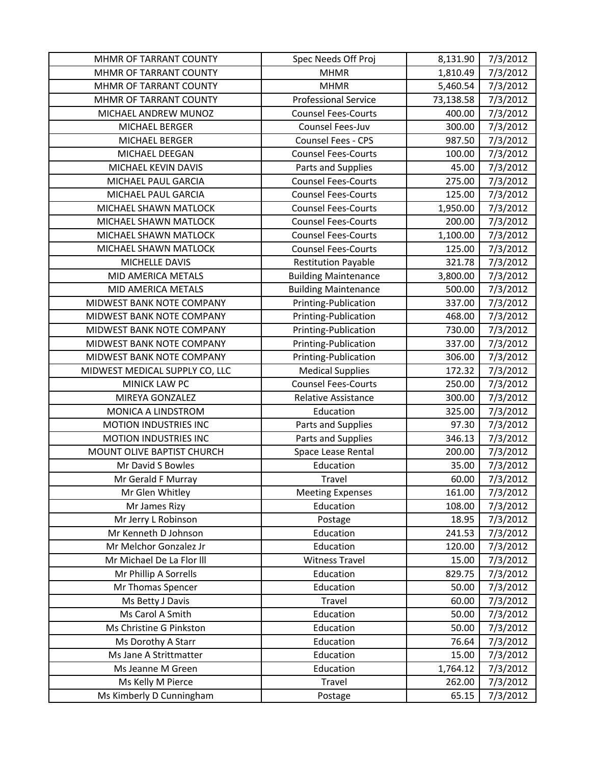| MHMR OF TARRANT COUNTY         | Spec Needs Off Proj         | 8,131.90  | 7/3/2012 |
|--------------------------------|-----------------------------|-----------|----------|
| MHMR OF TARRANT COUNTY         | <b>MHMR</b>                 | 1,810.49  | 7/3/2012 |
| MHMR OF TARRANT COUNTY         | <b>MHMR</b>                 | 5,460.54  | 7/3/2012 |
| MHMR OF TARRANT COUNTY         | <b>Professional Service</b> | 73,138.58 | 7/3/2012 |
| MICHAEL ANDREW MUNOZ           | <b>Counsel Fees-Courts</b>  | 400.00    | 7/3/2012 |
| <b>MICHAEL BERGER</b>          | Counsel Fees-Juv            | 300.00    | 7/3/2012 |
| <b>MICHAEL BERGER</b>          | Counsel Fees - CPS          | 987.50    | 7/3/2012 |
| MICHAEL DEEGAN                 | <b>Counsel Fees-Courts</b>  | 100.00    | 7/3/2012 |
| MICHAEL KEVIN DAVIS            | Parts and Supplies          | 45.00     | 7/3/2012 |
| MICHAEL PAUL GARCIA            | <b>Counsel Fees-Courts</b>  | 275.00    | 7/3/2012 |
| MICHAEL PAUL GARCIA            | <b>Counsel Fees-Courts</b>  | 125.00    | 7/3/2012 |
| MICHAEL SHAWN MATLOCK          | <b>Counsel Fees-Courts</b>  | 1,950.00  | 7/3/2012 |
| MICHAEL SHAWN MATLOCK          | <b>Counsel Fees-Courts</b>  | 200.00    | 7/3/2012 |
| MICHAEL SHAWN MATLOCK          | <b>Counsel Fees-Courts</b>  | 1,100.00  | 7/3/2012 |
| MICHAEL SHAWN MATLOCK          | <b>Counsel Fees-Courts</b>  | 125.00    | 7/3/2012 |
| MICHELLE DAVIS                 | <b>Restitution Payable</b>  | 321.78    | 7/3/2012 |
| MID AMERICA METALS             | <b>Building Maintenance</b> | 3,800.00  | 7/3/2012 |
| MID AMERICA METALS             | <b>Building Maintenance</b> | 500.00    | 7/3/2012 |
| MIDWEST BANK NOTE COMPANY      | Printing-Publication        | 337.00    | 7/3/2012 |
| MIDWEST BANK NOTE COMPANY      | Printing-Publication        | 468.00    | 7/3/2012 |
| MIDWEST BANK NOTE COMPANY      | Printing-Publication        | 730.00    | 7/3/2012 |
| MIDWEST BANK NOTE COMPANY      | Printing-Publication        | 337.00    | 7/3/2012 |
| MIDWEST BANK NOTE COMPANY      | Printing-Publication        | 306.00    | 7/3/2012 |
| MIDWEST MEDICAL SUPPLY CO, LLC | <b>Medical Supplies</b>     | 172.32    | 7/3/2012 |
| MINICK LAW PC                  | <b>Counsel Fees-Courts</b>  | 250.00    | 7/3/2012 |
| MIREYA GONZALEZ                | Relative Assistance         | 300.00    | 7/3/2012 |
| MONICA A LINDSTROM             | Education                   | 325.00    | 7/3/2012 |
| MOTION INDUSTRIES INC          | Parts and Supplies          | 97.30     | 7/3/2012 |
| <b>MOTION INDUSTRIES INC</b>   | Parts and Supplies          | 346.13    | 7/3/2012 |
| MOUNT OLIVE BAPTIST CHURCH     | Space Lease Rental          | 200.00    | 7/3/2012 |
| Mr David S Bowles              | Education                   | 35.00     | 7/3/2012 |
| Mr Gerald F Murray             | Travel                      | 60.00     | 7/3/2012 |
| Mr Glen Whitley                | <b>Meeting Expenses</b>     | 161.00    | 7/3/2012 |
| Mr James Rizy                  | Education                   | 108.00    | 7/3/2012 |
| Mr Jerry L Robinson            | Postage                     | 18.95     | 7/3/2012 |
| Mr Kenneth D Johnson           | Education                   | 241.53    | 7/3/2012 |
| Mr Melchor Gonzalez Jr         | Education                   | 120.00    | 7/3/2012 |
| Mr Michael De La Flor III      | <b>Witness Travel</b>       | 15.00     | 7/3/2012 |
| Mr Phillip A Sorrells          | Education                   | 829.75    | 7/3/2012 |
| Mr Thomas Spencer              | Education                   | 50.00     | 7/3/2012 |
| Ms Betty J Davis               | Travel                      | 60.00     | 7/3/2012 |
| Ms Carol A Smith               | Education                   | 50.00     | 7/3/2012 |
| Ms Christine G Pinkston        | Education                   | 50.00     | 7/3/2012 |
| Ms Dorothy A Starr             | Education                   | 76.64     | 7/3/2012 |
| Ms Jane A Strittmatter         | Education                   | 15.00     | 7/3/2012 |
| Ms Jeanne M Green              | Education                   | 1,764.12  | 7/3/2012 |
| Ms Kelly M Pierce              | Travel                      | 262.00    | 7/3/2012 |
| Ms Kimberly D Cunningham       | Postage                     | 65.15     | 7/3/2012 |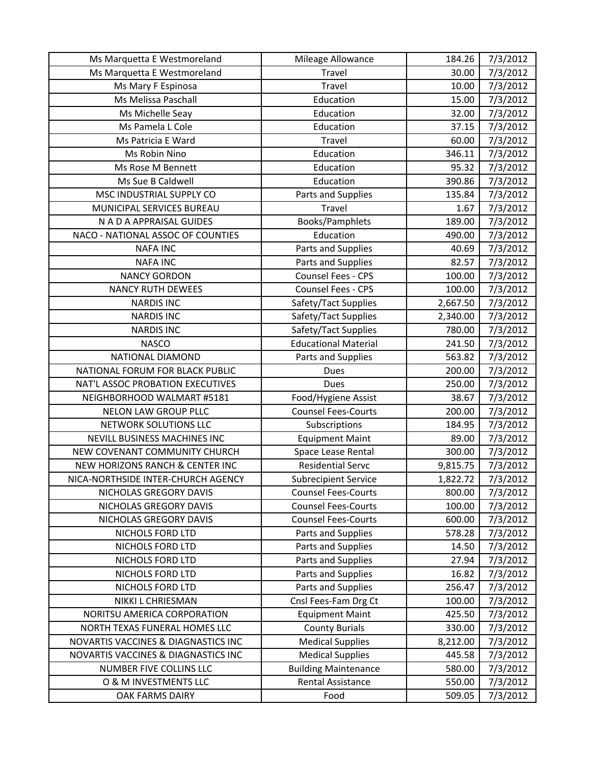| Ms Marquetta E Westmoreland                | Mileage Allowance           | 184.26   | 7/3/2012 |
|--------------------------------------------|-----------------------------|----------|----------|
| Ms Marquetta E Westmoreland                | Travel                      | 30.00    | 7/3/2012 |
| Ms Mary F Espinosa                         | Travel                      | 10.00    | 7/3/2012 |
| Ms Melissa Paschall                        | Education                   | 15.00    | 7/3/2012 |
| Ms Michelle Seay                           | Education                   | 32.00    | 7/3/2012 |
| Ms Pamela L Cole                           | Education                   | 37.15    | 7/3/2012 |
| Ms Patricia E Ward                         | Travel                      | 60.00    | 7/3/2012 |
| Ms Robin Nino                              | Education                   | 346.11   | 7/3/2012 |
| Ms Rose M Bennett                          | Education                   | 95.32    | 7/3/2012 |
| Ms Sue B Caldwell                          | Education                   | 390.86   | 7/3/2012 |
| MSC INDUSTRIAL SUPPLY CO                   | Parts and Supplies          | 135.84   | 7/3/2012 |
| MUNICIPAL SERVICES BUREAU                  | Travel                      | 1.67     | 7/3/2012 |
| N A D A APPRAISAL GUIDES                   | Books/Pamphlets             | 189.00   | 7/3/2012 |
| NACO - NATIONAL ASSOC OF COUNTIES          | Education                   | 490.00   | 7/3/2012 |
| <b>NAFA INC</b>                            | Parts and Supplies          | 40.69    | 7/3/2012 |
| <b>NAFA INC</b>                            | Parts and Supplies          | 82.57    | 7/3/2012 |
| <b>NANCY GORDON</b>                        | Counsel Fees - CPS          | 100.00   | 7/3/2012 |
| <b>NANCY RUTH DEWEES</b>                   | Counsel Fees - CPS          | 100.00   | 7/3/2012 |
| <b>NARDIS INC</b>                          | Safety/Tact Supplies        | 2,667.50 | 7/3/2012 |
| <b>NARDIS INC</b>                          | Safety/Tact Supplies        | 2,340.00 | 7/3/2012 |
| <b>NARDIS INC</b>                          | Safety/Tact Supplies        | 780.00   | 7/3/2012 |
| <b>NASCO</b>                               | <b>Educational Material</b> | 241.50   | 7/3/2012 |
| NATIONAL DIAMOND                           | Parts and Supplies          | 563.82   | 7/3/2012 |
| NATIONAL FORUM FOR BLACK PUBLIC            | Dues                        | 200.00   | 7/3/2012 |
| NAT'L ASSOC PROBATION EXECUTIVES           | Dues                        | 250.00   | 7/3/2012 |
| NEIGHBORHOOD WALMART #5181                 | Food/Hygiene Assist         | 38.67    | 7/3/2012 |
| NELON LAW GROUP PLLC                       | <b>Counsel Fees-Courts</b>  | 200.00   | 7/3/2012 |
| NETWORK SOLUTIONS LLC                      | Subscriptions               | 184.95   | 7/3/2012 |
| NEVILL BUSINESS MACHINES INC               | <b>Equipment Maint</b>      | 89.00    | 7/3/2012 |
| NEW COVENANT COMMUNITY CHURCH              | Space Lease Rental          | 300.00   | 7/3/2012 |
| <b>NEW HORIZONS RANCH &amp; CENTER INC</b> | <b>Residential Servc</b>    | 9,815.75 | 7/3/2012 |
| NICA-NORTHSIDE INTER-CHURCH AGENCY         | <b>Subrecipient Service</b> | 1,822.72 | 7/3/2012 |
| NICHOLAS GREGORY DAVIS                     | <b>Counsel Fees-Courts</b>  | 800.00   | 7/3/2012 |
| NICHOLAS GREGORY DAVIS                     | <b>Counsel Fees-Courts</b>  | 100.00   | 7/3/2012 |
| NICHOLAS GREGORY DAVIS                     | <b>Counsel Fees-Courts</b>  | 600.00   | 7/3/2012 |
| NICHOLS FORD LTD                           | Parts and Supplies          | 578.28   | 7/3/2012 |
| NICHOLS FORD LTD                           | Parts and Supplies          | 14.50    | 7/3/2012 |
| NICHOLS FORD LTD                           | Parts and Supplies          | 27.94    | 7/3/2012 |
| NICHOLS FORD LTD                           | Parts and Supplies          | 16.82    | 7/3/2012 |
| NICHOLS FORD LTD                           | Parts and Supplies          | 256.47   | 7/3/2012 |
| NIKKI L CHRIESMAN                          | Cnsl Fees-Fam Drg Ct        | 100.00   | 7/3/2012 |
| NORITSU AMERICA CORPORATION                | <b>Equipment Maint</b>      | 425.50   | 7/3/2012 |
| NORTH TEXAS FUNERAL HOMES LLC              | <b>County Burials</b>       | 330.00   | 7/3/2012 |
| NOVARTIS VACCINES & DIAGNASTICS INC        | <b>Medical Supplies</b>     | 8,212.00 | 7/3/2012 |
| NOVARTIS VACCINES & DIAGNASTICS INC        | <b>Medical Supplies</b>     | 445.58   | 7/3/2012 |
| NUMBER FIVE COLLINS LLC                    | <b>Building Maintenance</b> | 580.00   | 7/3/2012 |
| O & M INVESTMENTS LLC                      | Rental Assistance           | 550.00   | 7/3/2012 |
| OAK FARMS DAIRY                            | Food                        | 509.05   | 7/3/2012 |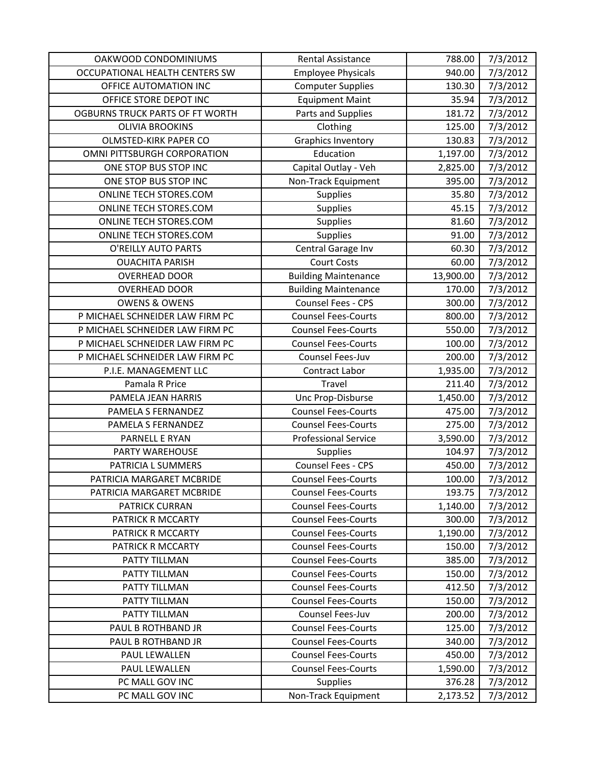| OAKWOOD CONDOMINIUMS                   | <b>Rental Assistance</b>    | 788.00    | 7/3/2012 |
|----------------------------------------|-----------------------------|-----------|----------|
| OCCUPATIONAL HEALTH CENTERS SW         | <b>Employee Physicals</b>   | 940.00    | 7/3/2012 |
| OFFICE AUTOMATION INC                  | <b>Computer Supplies</b>    | 130.30    | 7/3/2012 |
| OFFICE STORE DEPOT INC                 | <b>Equipment Maint</b>      | 35.94     | 7/3/2012 |
| <b>OGBURNS TRUCK PARTS OF FT WORTH</b> | Parts and Supplies          | 181.72    | 7/3/2012 |
| <b>OLIVIA BROOKINS</b>                 | Clothing                    | 125.00    | 7/3/2012 |
| <b>OLMSTED-KIRK PAPER CO</b>           | <b>Graphics Inventory</b>   | 130.83    | 7/3/2012 |
| OMNI PITTSBURGH CORPORATION            | Education                   | 1,197.00  | 7/3/2012 |
| ONE STOP BUS STOP INC                  | Capital Outlay - Veh        | 2,825.00  | 7/3/2012 |
| ONE STOP BUS STOP INC                  | Non-Track Equipment         | 395.00    | 7/3/2012 |
| ONLINE TECH STORES.COM                 | Supplies                    | 35.80     | 7/3/2012 |
| ONLINE TECH STORES.COM                 | <b>Supplies</b>             | 45.15     | 7/3/2012 |
| ONLINE TECH STORES.COM                 | <b>Supplies</b>             | 81.60     | 7/3/2012 |
| ONLINE TECH STORES.COM                 | Supplies                    | 91.00     | 7/3/2012 |
| O'REILLY AUTO PARTS                    | Central Garage Inv          | 60.30     | 7/3/2012 |
| <b>OUACHITA PARISH</b>                 | <b>Court Costs</b>          | 60.00     | 7/3/2012 |
| <b>OVERHEAD DOOR</b>                   | <b>Building Maintenance</b> | 13,900.00 | 7/3/2012 |
| <b>OVERHEAD DOOR</b>                   | <b>Building Maintenance</b> | 170.00    | 7/3/2012 |
| <b>OWENS &amp; OWENS</b>               | Counsel Fees - CPS          | 300.00    | 7/3/2012 |
| P MICHAEL SCHNEIDER LAW FIRM PC        | <b>Counsel Fees-Courts</b>  | 800.00    | 7/3/2012 |
| P MICHAEL SCHNEIDER LAW FIRM PC        | <b>Counsel Fees-Courts</b>  | 550.00    | 7/3/2012 |
| P MICHAEL SCHNEIDER LAW FIRM PC        | <b>Counsel Fees-Courts</b>  | 100.00    | 7/3/2012 |
| P MICHAEL SCHNEIDER LAW FIRM PC        | Counsel Fees-Juv            | 200.00    | 7/3/2012 |
| P.I.E. MANAGEMENT LLC                  | Contract Labor              | 1,935.00  | 7/3/2012 |
| Pamala R Price                         | Travel                      | 211.40    | 7/3/2012 |
| PAMELA JEAN HARRIS                     | Unc Prop-Disburse           | 1,450.00  | 7/3/2012 |
| PAMELA S FERNANDEZ                     | <b>Counsel Fees-Courts</b>  | 475.00    | 7/3/2012 |
| PAMELA S FERNANDEZ                     | <b>Counsel Fees-Courts</b>  | 275.00    | 7/3/2012 |
| PARNELL E RYAN                         | <b>Professional Service</b> | 3,590.00  | 7/3/2012 |
| <b>PARTY WAREHOUSE</b>                 | Supplies                    | 104.97    | 7/3/2012 |
| PATRICIA L SUMMERS                     | Counsel Fees - CPS          | 450.00    | 7/3/2012 |
| PATRICIA MARGARET MCBRIDE              | <b>Counsel Fees-Courts</b>  | 100.00    | 7/3/2012 |
| PATRICIA MARGARET MCBRIDE              | <b>Counsel Fees-Courts</b>  | 193.75    | 7/3/2012 |
| PATRICK CURRAN                         | <b>Counsel Fees-Courts</b>  | 1,140.00  | 7/3/2012 |
| PATRICK R MCCARTY                      | <b>Counsel Fees-Courts</b>  | 300.00    | 7/3/2012 |
| PATRICK R MCCARTY                      | <b>Counsel Fees-Courts</b>  | 1,190.00  | 7/3/2012 |
| PATRICK R MCCARTY                      | <b>Counsel Fees-Courts</b>  | 150.00    | 7/3/2012 |
| PATTY TILLMAN                          | <b>Counsel Fees-Courts</b>  | 385.00    | 7/3/2012 |
| PATTY TILLMAN                          | <b>Counsel Fees-Courts</b>  | 150.00    | 7/3/2012 |
| PATTY TILLMAN                          | <b>Counsel Fees-Courts</b>  | 412.50    | 7/3/2012 |
| PATTY TILLMAN                          | <b>Counsel Fees-Courts</b>  | 150.00    | 7/3/2012 |
| PATTY TILLMAN                          | Counsel Fees-Juv            | 200.00    | 7/3/2012 |
| PAUL B ROTHBAND JR                     | <b>Counsel Fees-Courts</b>  | 125.00    | 7/3/2012 |
| PAUL B ROTHBAND JR                     | <b>Counsel Fees-Courts</b>  | 340.00    | 7/3/2012 |
| PAUL LEWALLEN                          | <b>Counsel Fees-Courts</b>  | 450.00    | 7/3/2012 |
| PAUL LEWALLEN                          | <b>Counsel Fees-Courts</b>  | 1,590.00  | 7/3/2012 |
| PC MALL GOV INC                        | Supplies                    | 376.28    | 7/3/2012 |
| PC MALL GOV INC                        | Non-Track Equipment         | 2,173.52  | 7/3/2012 |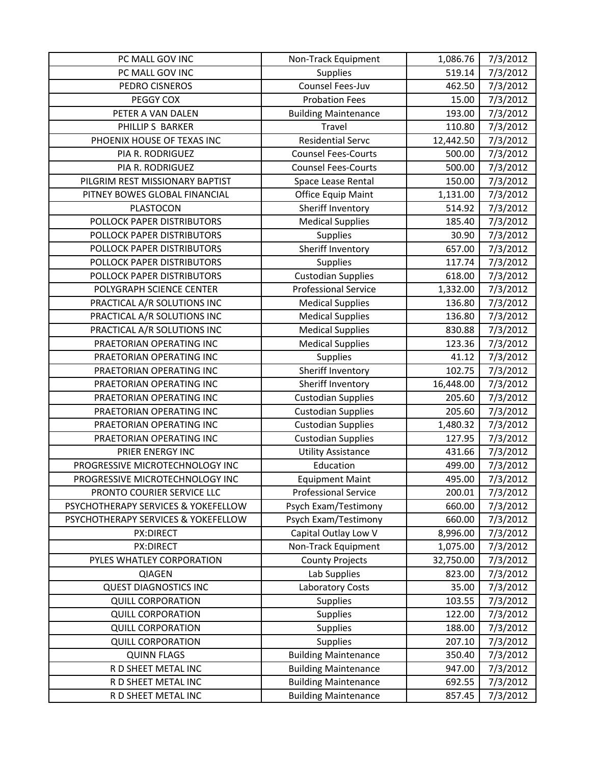| PC MALL GOV INC                     | Non-Track Equipment         | 1,086.76  | 7/3/2012 |
|-------------------------------------|-----------------------------|-----------|----------|
| PC MALL GOV INC                     | Supplies                    | 519.14    | 7/3/2012 |
| PEDRO CISNEROS                      | Counsel Fees-Juv            | 462.50    | 7/3/2012 |
| PEGGY COX                           | <b>Probation Fees</b>       | 15.00     | 7/3/2012 |
| PETER A VAN DALEN                   | <b>Building Maintenance</b> | 193.00    | 7/3/2012 |
| PHILLIP S BARKER                    | Travel                      | 110.80    | 7/3/2012 |
| PHOENIX HOUSE OF TEXAS INC          | <b>Residential Servc</b>    | 12,442.50 | 7/3/2012 |
| PIA R. RODRIGUEZ                    | <b>Counsel Fees-Courts</b>  | 500.00    | 7/3/2012 |
| PIA R. RODRIGUEZ                    | <b>Counsel Fees-Courts</b>  | 500.00    | 7/3/2012 |
| PILGRIM REST MISSIONARY BAPTIST     | Space Lease Rental          | 150.00    | 7/3/2012 |
| PITNEY BOWES GLOBAL FINANCIAL       | Office Equip Maint          | 1,131.00  | 7/3/2012 |
| PLASTOCON                           | Sheriff Inventory           | 514.92    | 7/3/2012 |
| POLLOCK PAPER DISTRIBUTORS          | <b>Medical Supplies</b>     | 185.40    | 7/3/2012 |
| POLLOCK PAPER DISTRIBUTORS          | Supplies                    | 30.90     | 7/3/2012 |
| POLLOCK PAPER DISTRIBUTORS          | Sheriff Inventory           | 657.00    | 7/3/2012 |
| POLLOCK PAPER DISTRIBUTORS          | Supplies                    | 117.74    | 7/3/2012 |
| POLLOCK PAPER DISTRIBUTORS          | <b>Custodian Supplies</b>   | 618.00    | 7/3/2012 |
| POLYGRAPH SCIENCE CENTER            | <b>Professional Service</b> | 1,332.00  | 7/3/2012 |
| PRACTICAL A/R SOLUTIONS INC         | <b>Medical Supplies</b>     | 136.80    | 7/3/2012 |
| PRACTICAL A/R SOLUTIONS INC         | <b>Medical Supplies</b>     | 136.80    | 7/3/2012 |
| PRACTICAL A/R SOLUTIONS INC         | <b>Medical Supplies</b>     | 830.88    | 7/3/2012 |
| PRAETORIAN OPERATING INC            | <b>Medical Supplies</b>     | 123.36    | 7/3/2012 |
| PRAETORIAN OPERATING INC            | Supplies                    | 41.12     | 7/3/2012 |
| PRAETORIAN OPERATING INC            | Sheriff Inventory           | 102.75    | 7/3/2012 |
| PRAETORIAN OPERATING INC            | Sheriff Inventory           | 16,448.00 | 7/3/2012 |
| PRAETORIAN OPERATING INC            | <b>Custodian Supplies</b>   | 205.60    | 7/3/2012 |
| PRAETORIAN OPERATING INC            | <b>Custodian Supplies</b>   | 205.60    | 7/3/2012 |
| PRAETORIAN OPERATING INC            | <b>Custodian Supplies</b>   | 1,480.32  | 7/3/2012 |
| PRAETORIAN OPERATING INC            | <b>Custodian Supplies</b>   | 127.95    | 7/3/2012 |
| PRIER ENERGY INC                    | <b>Utility Assistance</b>   | 431.66    | 7/3/2012 |
| PROGRESSIVE MICROTECHNOLOGY INC     | Education                   | 499.00    | 7/3/2012 |
| PROGRESSIVE MICROTECHNOLOGY INC     | <b>Equipment Maint</b>      | 495.00    | 7/3/2012 |
| PRONTO COURIER SERVICE LLC          | <b>Professional Service</b> | 200.01    | 7/3/2012 |
| PSYCHOTHERAPY SERVICES & YOKEFELLOW | Psych Exam/Testimony        | 660.00    | 7/3/2012 |
| PSYCHOTHERAPY SERVICES & YOKEFELLOW | Psych Exam/Testimony        | 660.00    | 7/3/2012 |
| PX:DIRECT                           | Capital Outlay Low V        | 8,996.00  | 7/3/2012 |
| PX:DIRECT                           | Non-Track Equipment         | 1,075.00  | 7/3/2012 |
| PYLES WHATLEY CORPORATION           | <b>County Projects</b>      | 32,750.00 | 7/3/2012 |
| QIAGEN                              | Lab Supplies                | 823.00    | 7/3/2012 |
| <b>QUEST DIAGNOSTICS INC</b>        | <b>Laboratory Costs</b>     | 35.00     | 7/3/2012 |
| <b>QUILL CORPORATION</b>            | Supplies                    | 103.55    | 7/3/2012 |
| <b>QUILL CORPORATION</b>            | Supplies                    | 122.00    | 7/3/2012 |
| <b>QUILL CORPORATION</b>            | Supplies                    | 188.00    | 7/3/2012 |
| <b>QUILL CORPORATION</b>            | Supplies                    | 207.10    | 7/3/2012 |
| <b>QUINN FLAGS</b>                  | <b>Building Maintenance</b> | 350.40    | 7/3/2012 |
| R D SHEET METAL INC                 | <b>Building Maintenance</b> | 947.00    | 7/3/2012 |
| R D SHEET METAL INC                 | <b>Building Maintenance</b> | 692.55    | 7/3/2012 |
| R D SHEET METAL INC                 | <b>Building Maintenance</b> | 857.45    | 7/3/2012 |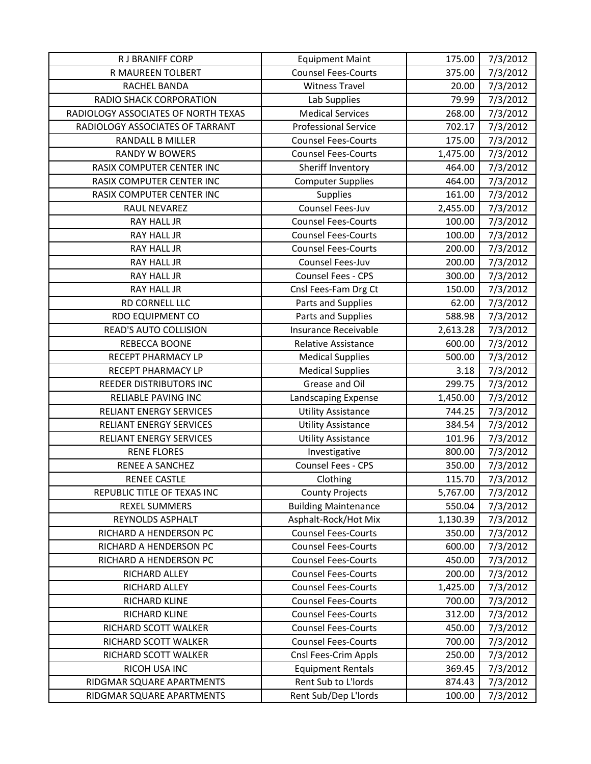| R J BRANIFF CORP                    | <b>Equipment Maint</b>      | 175.00   | 7/3/2012 |
|-------------------------------------|-----------------------------|----------|----------|
| R MAUREEN TOLBERT                   | <b>Counsel Fees-Courts</b>  | 375.00   | 7/3/2012 |
| RACHEL BANDA                        | <b>Witness Travel</b>       | 20.00    | 7/3/2012 |
| <b>RADIO SHACK CORPORATION</b>      | Lab Supplies                | 79.99    | 7/3/2012 |
| RADIOLOGY ASSOCIATES OF NORTH TEXAS | <b>Medical Services</b>     | 268.00   | 7/3/2012 |
| RADIOLOGY ASSOCIATES OF TARRANT     | <b>Professional Service</b> | 702.17   | 7/3/2012 |
| <b>RANDALL B MILLER</b>             | <b>Counsel Fees-Courts</b>  | 175.00   | 7/3/2012 |
| <b>RANDY W BOWERS</b>               | <b>Counsel Fees-Courts</b>  | 1,475.00 | 7/3/2012 |
| RASIX COMPUTER CENTER INC           | Sheriff Inventory           | 464.00   | 7/3/2012 |
| <b>RASIX COMPUTER CENTER INC</b>    | <b>Computer Supplies</b>    | 464.00   | 7/3/2012 |
| RASIX COMPUTER CENTER INC           | Supplies                    | 161.00   | 7/3/2012 |
| RAUL NEVAREZ                        | Counsel Fees-Juv            | 2,455.00 | 7/3/2012 |
| <b>RAY HALL JR</b>                  | <b>Counsel Fees-Courts</b>  | 100.00   | 7/3/2012 |
| RAY HALL JR                         | <b>Counsel Fees-Courts</b>  | 100.00   | 7/3/2012 |
| RAY HALL JR                         | <b>Counsel Fees-Courts</b>  | 200.00   | 7/3/2012 |
| <b>RAY HALL JR</b>                  | Counsel Fees-Juv            | 200.00   | 7/3/2012 |
| <b>RAY HALL JR</b>                  | Counsel Fees - CPS          | 300.00   | 7/3/2012 |
| <b>RAY HALL JR</b>                  | Cnsl Fees-Fam Drg Ct        | 150.00   | 7/3/2012 |
| RD CORNELL LLC                      | Parts and Supplies          | 62.00    | 7/3/2012 |
| <b>RDO EQUIPMENT CO</b>             | Parts and Supplies          | 588.98   | 7/3/2012 |
| <b>READ'S AUTO COLLISION</b>        | Insurance Receivable        | 2,613.28 | 7/3/2012 |
| REBECCA BOONE                       | Relative Assistance         | 600.00   | 7/3/2012 |
| RECEPT PHARMACY LP                  | <b>Medical Supplies</b>     | 500.00   | 7/3/2012 |
| RECEPT PHARMACY LP                  | <b>Medical Supplies</b>     | 3.18     | 7/3/2012 |
| REEDER DISTRIBUTORS INC             | Grease and Oil              | 299.75   | 7/3/2012 |
| <b>RELIABLE PAVING INC</b>          | Landscaping Expense         | 1,450.00 | 7/3/2012 |
| RELIANT ENERGY SERVICES             | <b>Utility Assistance</b>   | 744.25   | 7/3/2012 |
| <b>RELIANT ENERGY SERVICES</b>      | <b>Utility Assistance</b>   | 384.54   | 7/3/2012 |
| RELIANT ENERGY SERVICES             | <b>Utility Assistance</b>   | 101.96   | 7/3/2012 |
| <b>RENE FLORES</b>                  | Investigative               | 800.00   | 7/3/2012 |
| <b>RENEE A SANCHEZ</b>              | Counsel Fees - CPS          | 350.00   | 7/3/2012 |
| <b>RENEE CASTLE</b>                 | Clothing                    | 115.70   | 7/3/2012 |
| REPUBLIC TITLE OF TEXAS INC         | <b>County Projects</b>      | 5,767.00 | 7/3/2012 |
| <b>REXEL SUMMERS</b>                | <b>Building Maintenance</b> | 550.04   | 7/3/2012 |
| REYNOLDS ASPHALT                    | Asphalt-Rock/Hot Mix        | 1,130.39 | 7/3/2012 |
| RICHARD A HENDERSON PC              | <b>Counsel Fees-Courts</b>  | 350.00   | 7/3/2012 |
| RICHARD A HENDERSON PC              | <b>Counsel Fees-Courts</b>  | 600.00   | 7/3/2012 |
| RICHARD A HENDERSON PC              | <b>Counsel Fees-Courts</b>  | 450.00   | 7/3/2012 |
| RICHARD ALLEY                       | <b>Counsel Fees-Courts</b>  | 200.00   | 7/3/2012 |
| RICHARD ALLEY                       | <b>Counsel Fees-Courts</b>  | 1,425.00 | 7/3/2012 |
| RICHARD KLINE                       | <b>Counsel Fees-Courts</b>  | 700.00   | 7/3/2012 |
| RICHARD KLINE                       | <b>Counsel Fees-Courts</b>  | 312.00   | 7/3/2012 |
| RICHARD SCOTT WALKER                | <b>Counsel Fees-Courts</b>  | 450.00   | 7/3/2012 |
| RICHARD SCOTT WALKER                | <b>Counsel Fees-Courts</b>  | 700.00   | 7/3/2012 |
| RICHARD SCOTT WALKER                | Cnsl Fees-Crim Appls        | 250.00   | 7/3/2012 |
| RICOH USA INC                       | <b>Equipment Rentals</b>    | 369.45   | 7/3/2012 |
| RIDGMAR SQUARE APARTMENTS           | Rent Sub to L'Iords         | 874.43   | 7/3/2012 |
| RIDGMAR SQUARE APARTMENTS           | Rent Sub/Dep L'Iords        | 100.00   | 7/3/2012 |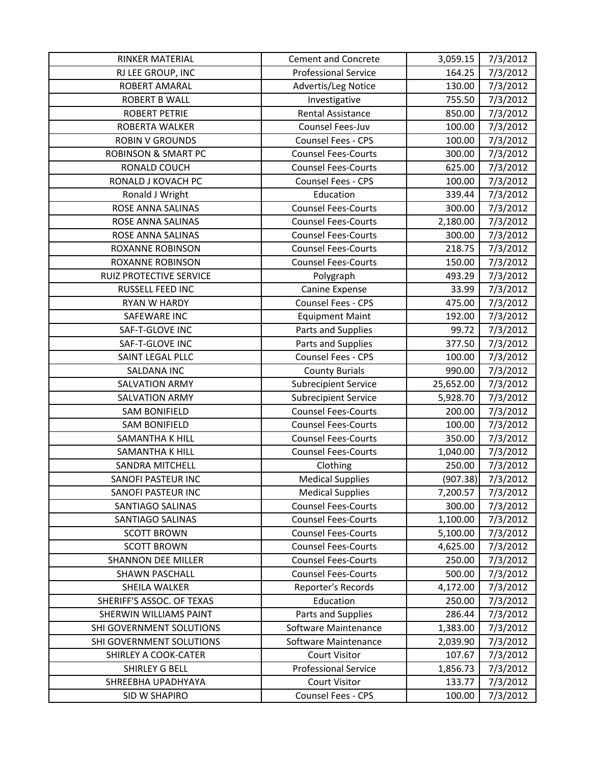| RINKER MATERIAL                | <b>Cement and Concrete</b>  | 3,059.15  | 7/3/2012 |
|--------------------------------|-----------------------------|-----------|----------|
| RJ LEE GROUP, INC              | <b>Professional Service</b> | 164.25    | 7/3/2012 |
| ROBERT AMARAL                  | Advertis/Leg Notice         | 130.00    | 7/3/2012 |
| <b>ROBERT B WALL</b>           | Investigative               | 755.50    | 7/3/2012 |
| <b>ROBERT PETRIE</b>           | <b>Rental Assistance</b>    | 850.00    | 7/3/2012 |
| ROBERTA WALKER                 | Counsel Fees-Juv            | 100.00    | 7/3/2012 |
| <b>ROBIN V GROUNDS</b>         | Counsel Fees - CPS          | 100.00    | 7/3/2012 |
| <b>ROBINSON &amp; SMART PC</b> | <b>Counsel Fees-Courts</b>  | 300.00    | 7/3/2012 |
| RONALD COUCH                   | <b>Counsel Fees-Courts</b>  | 625.00    | 7/3/2012 |
| RONALD J KOVACH PC             | Counsel Fees - CPS          | 100.00    | 7/3/2012 |
| Ronald J Wright                | Education                   | 339.44    | 7/3/2012 |
| ROSE ANNA SALINAS              | <b>Counsel Fees-Courts</b>  | 300.00    | 7/3/2012 |
| ROSE ANNA SALINAS              | <b>Counsel Fees-Courts</b>  | 2,180.00  | 7/3/2012 |
| ROSE ANNA SALINAS              | <b>Counsel Fees-Courts</b>  | 300.00    | 7/3/2012 |
| <b>ROXANNE ROBINSON</b>        | <b>Counsel Fees-Courts</b>  | 218.75    | 7/3/2012 |
| ROXANNE ROBINSON               | <b>Counsel Fees-Courts</b>  | 150.00    | 7/3/2012 |
| <b>RUIZ PROTECTIVE SERVICE</b> | Polygraph                   | 493.29    | 7/3/2012 |
| RUSSELL FEED INC               | Canine Expense              | 33.99     | 7/3/2012 |
| <b>RYAN W HARDY</b>            | Counsel Fees - CPS          | 475.00    | 7/3/2012 |
| SAFEWARE INC                   | <b>Equipment Maint</b>      | 192.00    | 7/3/2012 |
| SAF-T-GLOVE INC                | Parts and Supplies          | 99.72     | 7/3/2012 |
| SAF-T-GLOVE INC                | Parts and Supplies          | 377.50    | 7/3/2012 |
| SAINT LEGAL PLLC               | Counsel Fees - CPS          | 100.00    | 7/3/2012 |
| <b>SALDANA INC</b>             | <b>County Burials</b>       | 990.00    | 7/3/2012 |
| <b>SALVATION ARMY</b>          | <b>Subrecipient Service</b> | 25,652.00 | 7/3/2012 |
| <b>SALVATION ARMY</b>          | <b>Subrecipient Service</b> | 5,928.70  | 7/3/2012 |
| <b>SAM BONIFIELD</b>           | <b>Counsel Fees-Courts</b>  | 200.00    | 7/3/2012 |
| <b>SAM BONIFIELD</b>           | <b>Counsel Fees-Courts</b>  | 100.00    | 7/3/2012 |
| <b>SAMANTHA K HILL</b>         | <b>Counsel Fees-Courts</b>  | 350.00    | 7/3/2012 |
| SAMANTHA K HILL                | <b>Counsel Fees-Courts</b>  | 1,040.00  | 7/3/2012 |
| <b>SANDRA MITCHELL</b>         | Clothing                    | 250.00    | 7/3/2012 |
| <b>SANOFI PASTEUR INC</b>      | <b>Medical Supplies</b>     | (907.38)  | 7/3/2012 |
| SANOFI PASTEUR INC             | <b>Medical Supplies</b>     | 7,200.57  | 7/3/2012 |
| SANTIAGO SALINAS               | <b>Counsel Fees-Courts</b>  | 300.00    | 7/3/2012 |
| <b>SANTIAGO SALINAS</b>        | <b>Counsel Fees-Courts</b>  | 1,100.00  | 7/3/2012 |
| <b>SCOTT BROWN</b>             | <b>Counsel Fees-Courts</b>  | 5,100.00  | 7/3/2012 |
| <b>SCOTT BROWN</b>             | <b>Counsel Fees-Courts</b>  | 4,625.00  | 7/3/2012 |
| <b>SHANNON DEE MILLER</b>      | <b>Counsel Fees-Courts</b>  | 250.00    | 7/3/2012 |
| <b>SHAWN PASCHALL</b>          | <b>Counsel Fees-Courts</b>  | 500.00    | 7/3/2012 |
| SHEILA WALKER                  | Reporter's Records          | 4,172.00  | 7/3/2012 |
| SHERIFF'S ASSOC. OF TEXAS      | Education                   | 250.00    | 7/3/2012 |
| <b>SHERWIN WILLIAMS PAINT</b>  | Parts and Supplies          | 286.44    | 7/3/2012 |
| SHI GOVERNMENT SOLUTIONS       | Software Maintenance        | 1,383.00  | 7/3/2012 |
| SHI GOVERNMENT SOLUTIONS       | Software Maintenance        | 2,039.90  | 7/3/2012 |
| SHIRLEY A COOK-CATER           | <b>Court Visitor</b>        | 107.67    | 7/3/2012 |
| SHIRLEY G BELL                 | <b>Professional Service</b> | 1,856.73  | 7/3/2012 |
| SHREEBHA UPADHYAYA             | <b>Court Visitor</b>        | 133.77    | 7/3/2012 |
| SID W SHAPIRO                  | <b>Counsel Fees - CPS</b>   | 100.00    | 7/3/2012 |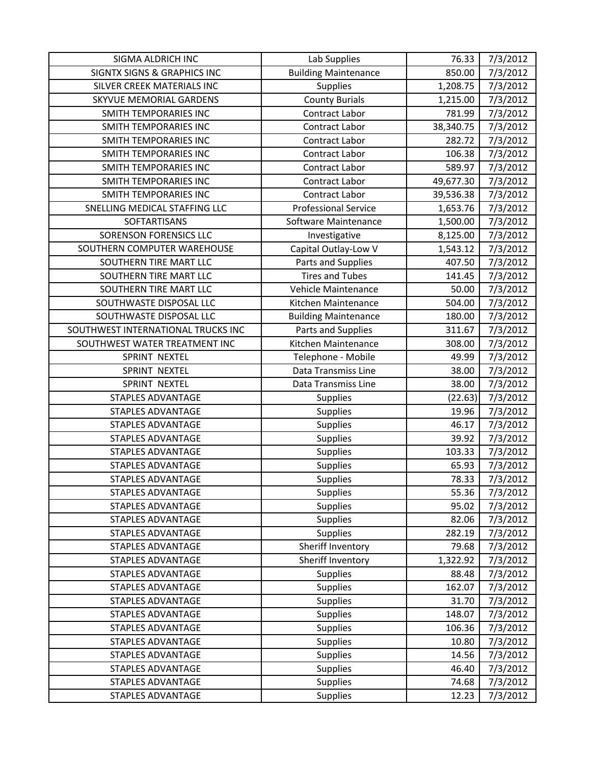| SIGMA ALDRICH INC                      | Lab Supplies                | 76.33     | 7/3/2012 |
|----------------------------------------|-----------------------------|-----------|----------|
| <b>SIGNTX SIGNS &amp; GRAPHICS INC</b> | <b>Building Maintenance</b> | 850.00    | 7/3/2012 |
| SILVER CREEK MATERIALS INC             | Supplies                    | 1,208.75  | 7/3/2012 |
| SKYVUE MEMORIAL GARDENS                | <b>County Burials</b>       | 1,215.00  | 7/3/2012 |
| SMITH TEMPORARIES INC                  | <b>Contract Labor</b>       | 781.99    | 7/3/2012 |
| SMITH TEMPORARIES INC                  | Contract Labor              | 38,340.75 | 7/3/2012 |
| SMITH TEMPORARIES INC                  | Contract Labor              | 282.72    | 7/3/2012 |
| <b>SMITH TEMPORARIES INC</b>           | Contract Labor              | 106.38    | 7/3/2012 |
| <b>SMITH TEMPORARIES INC</b>           | Contract Labor              | 589.97    | 7/3/2012 |
| SMITH TEMPORARIES INC                  | Contract Labor              | 49,677.30 | 7/3/2012 |
| <b>SMITH TEMPORARIES INC</b>           | Contract Labor              | 39,536.38 | 7/3/2012 |
| SNELLING MEDICAL STAFFING LLC          | <b>Professional Service</b> | 1,653.76  | 7/3/2012 |
| SOFTARTISANS                           | Software Maintenance        | 1,500.00  | 7/3/2012 |
| <b>SORENSON FORENSICS LLC</b>          | Investigative               | 8,125.00  | 7/3/2012 |
| SOUTHERN COMPUTER WAREHOUSE            | Capital Outlay-Low V        | 1,543.12  | 7/3/2012 |
| SOUTHERN TIRE MART LLC                 | Parts and Supplies          | 407.50    | 7/3/2012 |
| SOUTHERN TIRE MART LLC                 | <b>Tires and Tubes</b>      | 141.45    | 7/3/2012 |
| SOUTHERN TIRE MART LLC                 | Vehicle Maintenance         | 50.00     | 7/3/2012 |
| SOUTHWASTE DISPOSAL LLC                | Kitchen Maintenance         | 504.00    | 7/3/2012 |
| SOUTHWASTE DISPOSAL LLC                | <b>Building Maintenance</b> | 180.00    | 7/3/2012 |
| SOUTHWEST INTERNATIONAL TRUCKS INC     | Parts and Supplies          | 311.67    | 7/3/2012 |
| SOUTHWEST WATER TREATMENT INC          | Kitchen Maintenance         | 308.00    | 7/3/2012 |
| SPRINT NEXTEL                          | Telephone - Mobile          | 49.99     | 7/3/2012 |
| SPRINT NEXTEL                          | Data Transmiss Line         | 38.00     | 7/3/2012 |
| SPRINT NEXTEL                          | Data Transmiss Line         | 38.00     | 7/3/2012 |
| STAPLES ADVANTAGE                      | Supplies                    | (22.63)   | 7/3/2012 |
| STAPLES ADVANTAGE                      | <b>Supplies</b>             | 19.96     | 7/3/2012 |
| <b>STAPLES ADVANTAGE</b>               | Supplies                    | 46.17     | 7/3/2012 |
| <b>STAPLES ADVANTAGE</b>               | Supplies                    | 39.92     | 7/3/2012 |
| <b>STAPLES ADVANTAGE</b>               | <b>Supplies</b>             | 103.33    | 7/3/2012 |
| <b>STAPLES ADVANTAGE</b>               | Supplies                    | 65.93     | 7/3/2012 |
| <b>STAPLES ADVANTAGE</b>               | Supplies                    | 78.33     | 7/3/2012 |
| <b>STAPLES ADVANTAGE</b>               | Supplies                    | 55.36     | 7/3/2012 |
| <b>STAPLES ADVANTAGE</b>               | <b>Supplies</b>             | 95.02     | 7/3/2012 |
| <b>STAPLES ADVANTAGE</b>               | <b>Supplies</b>             | 82.06     | 7/3/2012 |
| <b>STAPLES ADVANTAGE</b>               | Supplies                    | 282.19    | 7/3/2012 |
| <b>STAPLES ADVANTAGE</b>               | Sheriff Inventory           | 79.68     | 7/3/2012 |
| STAPLES ADVANTAGE                      | Sheriff Inventory           | 1,322.92  | 7/3/2012 |
| <b>STAPLES ADVANTAGE</b>               | <b>Supplies</b>             | 88.48     | 7/3/2012 |
| <b>STAPLES ADVANTAGE</b>               | <b>Supplies</b>             | 162.07    | 7/3/2012 |
| STAPLES ADVANTAGE                      | <b>Supplies</b>             | 31.70     | 7/3/2012 |
| STAPLES ADVANTAGE                      | <b>Supplies</b>             | 148.07    | 7/3/2012 |
| <b>STAPLES ADVANTAGE</b>               | <b>Supplies</b>             | 106.36    | 7/3/2012 |
| <b>STAPLES ADVANTAGE</b>               | <b>Supplies</b>             | 10.80     | 7/3/2012 |
| STAPLES ADVANTAGE                      | <b>Supplies</b>             | 14.56     | 7/3/2012 |
| <b>STAPLES ADVANTAGE</b>               | <b>Supplies</b>             | 46.40     | 7/3/2012 |
| <b>STAPLES ADVANTAGE</b>               | <b>Supplies</b>             | 74.68     | 7/3/2012 |
| STAPLES ADVANTAGE                      | <b>Supplies</b>             | 12.23     | 7/3/2012 |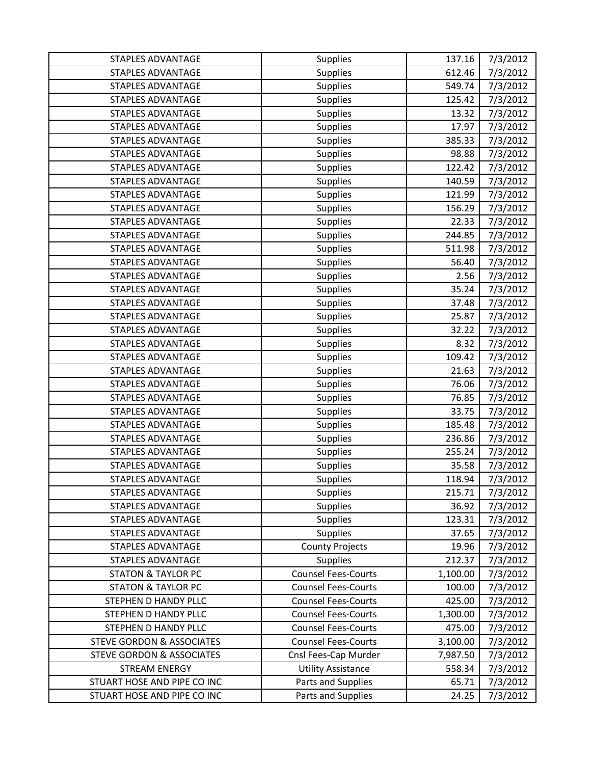| STAPLES ADVANTAGE                    | Supplies                   | 137.16   | 7/3/2012 |
|--------------------------------------|----------------------------|----------|----------|
| STAPLES ADVANTAGE                    | Supplies                   | 612.46   | 7/3/2012 |
| <b>STAPLES ADVANTAGE</b>             | <b>Supplies</b>            | 549.74   | 7/3/2012 |
| STAPLES ADVANTAGE                    | Supplies                   | 125.42   | 7/3/2012 |
| <b>STAPLES ADVANTAGE</b>             | Supplies                   | 13.32    | 7/3/2012 |
| <b>STAPLES ADVANTAGE</b>             | Supplies                   | 17.97    | 7/3/2012 |
| STAPLES ADVANTAGE                    | Supplies                   | 385.33   | 7/3/2012 |
| <b>STAPLES ADVANTAGE</b>             | Supplies                   | 98.88    | 7/3/2012 |
| <b>STAPLES ADVANTAGE</b>             | Supplies                   | 122.42   | 7/3/2012 |
| <b>STAPLES ADVANTAGE</b>             | Supplies                   | 140.59   | 7/3/2012 |
| <b>STAPLES ADVANTAGE</b>             | Supplies                   | 121.99   | 7/3/2012 |
| <b>STAPLES ADVANTAGE</b>             | <b>Supplies</b>            | 156.29   | 7/3/2012 |
| <b>STAPLES ADVANTAGE</b>             | Supplies                   | 22.33    | 7/3/2012 |
| STAPLES ADVANTAGE                    | Supplies                   | 244.85   | 7/3/2012 |
| <b>STAPLES ADVANTAGE</b>             | <b>Supplies</b>            | 511.98   | 7/3/2012 |
| <b>STAPLES ADVANTAGE</b>             | <b>Supplies</b>            | 56.40    | 7/3/2012 |
| <b>STAPLES ADVANTAGE</b>             | Supplies                   | 2.56     | 7/3/2012 |
| <b>STAPLES ADVANTAGE</b>             | Supplies                   | 35.24    | 7/3/2012 |
| <b>STAPLES ADVANTAGE</b>             | Supplies                   | 37.48    | 7/3/2012 |
| STAPLES ADVANTAGE                    | Supplies                   | 25.87    | 7/3/2012 |
| <b>STAPLES ADVANTAGE</b>             | <b>Supplies</b>            | 32.22    | 7/3/2012 |
| <b>STAPLES ADVANTAGE</b>             | Supplies                   | 8.32     | 7/3/2012 |
| <b>STAPLES ADVANTAGE</b>             | Supplies                   | 109.42   | 7/3/2012 |
| <b>STAPLES ADVANTAGE</b>             | <b>Supplies</b>            | 21.63    | 7/3/2012 |
| <b>STAPLES ADVANTAGE</b>             | Supplies                   | 76.06    | 7/3/2012 |
| STAPLES ADVANTAGE                    | Supplies                   | 76.85    | 7/3/2012 |
| <b>STAPLES ADVANTAGE</b>             | <b>Supplies</b>            | 33.75    | 7/3/2012 |
| <b>STAPLES ADVANTAGE</b>             | Supplies                   | 185.48   | 7/3/2012 |
| <b>STAPLES ADVANTAGE</b>             | Supplies                   | 236.86   | 7/3/2012 |
| <b>STAPLES ADVANTAGE</b>             | <b>Supplies</b>            | 255.24   | 7/3/2012 |
| <b>STAPLES ADVANTAGE</b>             | Supplies                   | 35.58    | 7/3/2012 |
| <b>STAPLES ADVANTAGE</b>             | <b>Supplies</b>            | 118.94   | 7/3/2012 |
| <b>STAPLES ADVANTAGE</b>             | Supplies                   | 215.71   | 7/3/2012 |
| <b>STAPLES ADVANTAGE</b>             | <b>Supplies</b>            | 36.92    | 7/3/2012 |
| STAPLES ADVANTAGE                    | <b>Supplies</b>            | 123.31   | 7/3/2012 |
| <b>STAPLES ADVANTAGE</b>             | Supplies                   | 37.65    | 7/3/2012 |
| <b>STAPLES ADVANTAGE</b>             | <b>County Projects</b>     | 19.96    | 7/3/2012 |
| STAPLES ADVANTAGE                    | Supplies                   | 212.37   | 7/3/2012 |
| <b>STATON &amp; TAYLOR PC</b>        | <b>Counsel Fees-Courts</b> | 1,100.00 | 7/3/2012 |
| <b>STATON &amp; TAYLOR PC</b>        | <b>Counsel Fees-Courts</b> | 100.00   | 7/3/2012 |
| STEPHEN D HANDY PLLC                 | <b>Counsel Fees-Courts</b> | 425.00   | 7/3/2012 |
| STEPHEN D HANDY PLLC                 | <b>Counsel Fees-Courts</b> | 1,300.00 | 7/3/2012 |
| STEPHEN D HANDY PLLC                 | <b>Counsel Fees-Courts</b> | 475.00   | 7/3/2012 |
| <b>STEVE GORDON &amp; ASSOCIATES</b> | <b>Counsel Fees-Courts</b> | 3,100.00 | 7/3/2012 |
| <b>STEVE GORDON &amp; ASSOCIATES</b> | Cnsl Fees-Cap Murder       | 7,987.50 | 7/3/2012 |
| <b>STREAM ENERGY</b>                 | <b>Utility Assistance</b>  | 558.34   | 7/3/2012 |
| STUART HOSE AND PIPE CO INC          | Parts and Supplies         | 65.71    | 7/3/2012 |
| STUART HOSE AND PIPE CO INC          | Parts and Supplies         | 24.25    | 7/3/2012 |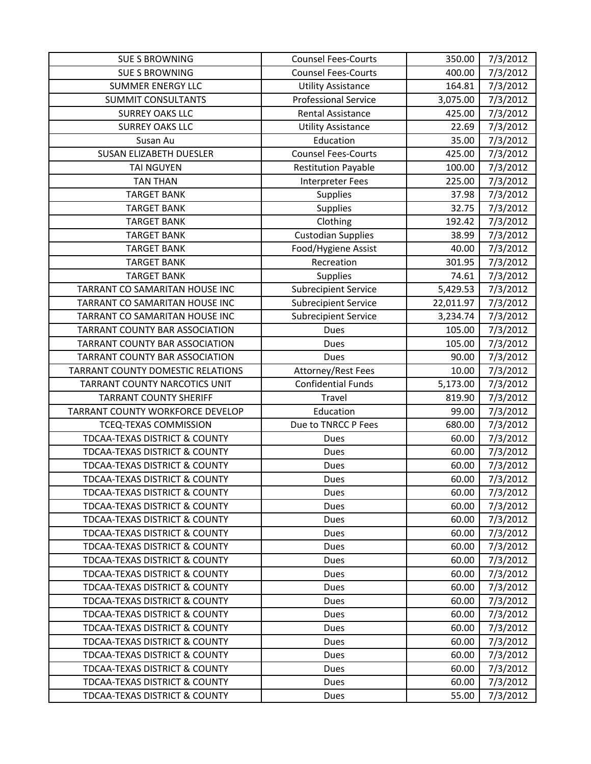| <b>SUE S BROWNING</b>                    | <b>Counsel Fees-Courts</b>  | 350.00    | 7/3/2012 |
|------------------------------------------|-----------------------------|-----------|----------|
| <b>SUE S BROWNING</b>                    | <b>Counsel Fees-Courts</b>  | 400.00    | 7/3/2012 |
| <b>SUMMER ENERGY LLC</b>                 | <b>Utility Assistance</b>   | 164.81    | 7/3/2012 |
| <b>SUMMIT CONSULTANTS</b>                | <b>Professional Service</b> | 3,075.00  | 7/3/2012 |
| <b>SURREY OAKS LLC</b>                   | Rental Assistance           | 425.00    | 7/3/2012 |
| <b>SURREY OAKS LLC</b>                   | <b>Utility Assistance</b>   | 22.69     | 7/3/2012 |
| Susan Au                                 | Education                   | 35.00     | 7/3/2012 |
| <b>SUSAN ELIZABETH DUESLER</b>           | <b>Counsel Fees-Courts</b>  | 425.00    | 7/3/2012 |
| <b>TAI NGUYEN</b>                        | <b>Restitution Payable</b>  | 100.00    | 7/3/2012 |
| <b>TAN THAN</b>                          | Interpreter Fees            | 225.00    | 7/3/2012 |
| <b>TARGET BANK</b>                       | Supplies                    | 37.98     | 7/3/2012 |
| <b>TARGET BANK</b>                       | Supplies                    | 32.75     | 7/3/2012 |
| <b>TARGET BANK</b>                       | Clothing                    | 192.42    | 7/3/2012 |
| <b>TARGET BANK</b>                       | <b>Custodian Supplies</b>   | 38.99     | 7/3/2012 |
| <b>TARGET BANK</b>                       | Food/Hygiene Assist         | 40.00     | 7/3/2012 |
| <b>TARGET BANK</b>                       | Recreation                  | 301.95    | 7/3/2012 |
| <b>TARGET BANK</b>                       | Supplies                    | 74.61     | 7/3/2012 |
| TARRANT CO SAMARITAN HOUSE INC           | <b>Subrecipient Service</b> | 5,429.53  | 7/3/2012 |
| TARRANT CO SAMARITAN HOUSE INC           | <b>Subrecipient Service</b> | 22,011.97 | 7/3/2012 |
| TARRANT CO SAMARITAN HOUSE INC           | <b>Subrecipient Service</b> | 3,234.74  | 7/3/2012 |
| TARRANT COUNTY BAR ASSOCIATION           | <b>Dues</b>                 | 105.00    | 7/3/2012 |
| TARRANT COUNTY BAR ASSOCIATION           | Dues                        | 105.00    | 7/3/2012 |
| TARRANT COUNTY BAR ASSOCIATION           | <b>Dues</b>                 | 90.00     | 7/3/2012 |
| TARRANT COUNTY DOMESTIC RELATIONS        | Attorney/Rest Fees          | 10.00     | 7/3/2012 |
| TARRANT COUNTY NARCOTICS UNIT            | <b>Confidential Funds</b>   | 5,173.00  | 7/3/2012 |
| <b>TARRANT COUNTY SHERIFF</b>            | Travel                      | 819.90    | 7/3/2012 |
| TARRANT COUNTY WORKFORCE DEVELOP         | Education                   | 99.00     | 7/3/2012 |
| TCEQ-TEXAS COMMISSION                    | Due to TNRCC P Fees         | 680.00    | 7/3/2012 |
| TDCAA-TEXAS DISTRICT & COUNTY            | Dues                        | 60.00     | 7/3/2012 |
| <b>TDCAA-TEXAS DISTRICT &amp; COUNTY</b> | Dues                        | 60.00     | 7/3/2012 |
| TDCAA-TEXAS DISTRICT & COUNTY            | Dues                        | 60.00     | 7/3/2012 |
| <b>TDCAA-TEXAS DISTRICT &amp; COUNTY</b> | Dues                        | 60.00     | 7/3/2012 |
| <b>TDCAA-TEXAS DISTRICT &amp; COUNTY</b> | Dues                        | 60.00     | 7/3/2012 |
| <b>TDCAA-TEXAS DISTRICT &amp; COUNTY</b> | Dues                        | 60.00     | 7/3/2012 |
| TDCAA-TEXAS DISTRICT & COUNTY            | Dues                        | 60.00     | 7/3/2012 |
| <b>TDCAA-TEXAS DISTRICT &amp; COUNTY</b> | Dues                        | 60.00     | 7/3/2012 |
| <b>TDCAA-TEXAS DISTRICT &amp; COUNTY</b> | Dues                        | 60.00     | 7/3/2012 |
| <b>TDCAA-TEXAS DISTRICT &amp; COUNTY</b> | Dues                        | 60.00     | 7/3/2012 |
| <b>TDCAA-TEXAS DISTRICT &amp; COUNTY</b> | Dues                        | 60.00     | 7/3/2012 |
| <b>TDCAA-TEXAS DISTRICT &amp; COUNTY</b> | Dues                        | 60.00     | 7/3/2012 |
| <b>TDCAA-TEXAS DISTRICT &amp; COUNTY</b> | Dues                        | 60.00     | 7/3/2012 |
| <b>TDCAA-TEXAS DISTRICT &amp; COUNTY</b> | Dues                        | 60.00     | 7/3/2012 |
| TDCAA-TEXAS DISTRICT & COUNTY            | Dues                        | 60.00     | 7/3/2012 |
| <b>TDCAA-TEXAS DISTRICT &amp; COUNTY</b> | Dues                        | 60.00     | 7/3/2012 |
| <b>TDCAA-TEXAS DISTRICT &amp; COUNTY</b> | Dues                        | 60.00     | 7/3/2012 |
| <b>TDCAA-TEXAS DISTRICT &amp; COUNTY</b> | Dues                        | 60.00     | 7/3/2012 |
| <b>TDCAA-TEXAS DISTRICT &amp; COUNTY</b> | Dues                        | 60.00     | 7/3/2012 |
| <b>TDCAA-TEXAS DISTRICT &amp; COUNTY</b> | Dues                        | 55.00     | 7/3/2012 |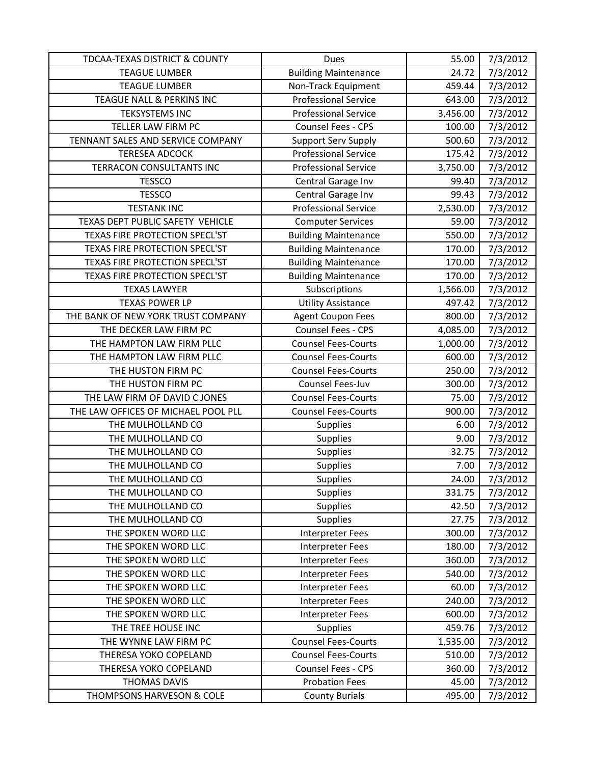| TDCAA-TEXAS DISTRICT & COUNTY       | Dues                        | 55.00    | 7/3/2012 |
|-------------------------------------|-----------------------------|----------|----------|
| <b>TEAGUE LUMBER</b>                | <b>Building Maintenance</b> | 24.72    | 7/3/2012 |
| <b>TEAGUE LUMBER</b>                | Non-Track Equipment         | 459.44   | 7/3/2012 |
| TEAGUE NALL & PERKINS INC           | <b>Professional Service</b> | 643.00   | 7/3/2012 |
| <b>TEKSYSTEMS INC</b>               | <b>Professional Service</b> | 3,456.00 | 7/3/2012 |
| TELLER LAW FIRM PC                  | Counsel Fees - CPS          | 100.00   | 7/3/2012 |
| TENNANT SALES AND SERVICE COMPANY   | <b>Support Serv Supply</b>  | 500.60   | 7/3/2012 |
| <b>TERESEA ADCOCK</b>               | <b>Professional Service</b> | 175.42   | 7/3/2012 |
| TERRACON CONSULTANTS INC            | <b>Professional Service</b> | 3,750.00 | 7/3/2012 |
| <b>TESSCO</b>                       | Central Garage Inv          | 99.40    | 7/3/2012 |
| <b>TESSCO</b>                       | Central Garage Inv          | 99.43    | 7/3/2012 |
| <b>TESTANK INC</b>                  | <b>Professional Service</b> | 2,530.00 | 7/3/2012 |
| TEXAS DEPT PUBLIC SAFETY VEHICLE    | <b>Computer Services</b>    | 59.00    | 7/3/2012 |
| TEXAS FIRE PROTECTION SPECL'ST      | <b>Building Maintenance</b> | 550.00   | 7/3/2012 |
| TEXAS FIRE PROTECTION SPECL'ST      | <b>Building Maintenance</b> | 170.00   | 7/3/2012 |
| TEXAS FIRE PROTECTION SPECL'ST      | <b>Building Maintenance</b> | 170.00   | 7/3/2012 |
| TEXAS FIRE PROTECTION SPECL'ST      | <b>Building Maintenance</b> | 170.00   | 7/3/2012 |
| <b>TEXAS LAWYER</b>                 | Subscriptions               | 1,566.00 | 7/3/2012 |
| <b>TEXAS POWER LP</b>               | <b>Utility Assistance</b>   | 497.42   | 7/3/2012 |
| THE BANK OF NEW YORK TRUST COMPANY  | <b>Agent Coupon Fees</b>    | 800.00   | 7/3/2012 |
| THE DECKER LAW FIRM PC              | Counsel Fees - CPS          | 4,085.00 | 7/3/2012 |
| THE HAMPTON LAW FIRM PLLC           | <b>Counsel Fees-Courts</b>  | 1,000.00 | 7/3/2012 |
| THE HAMPTON LAW FIRM PLLC           | <b>Counsel Fees-Courts</b>  | 600.00   | 7/3/2012 |
| THE HUSTON FIRM PC                  | <b>Counsel Fees-Courts</b>  | 250.00   | 7/3/2012 |
| THE HUSTON FIRM PC                  | Counsel Fees-Juv            | 300.00   | 7/3/2012 |
| THE LAW FIRM OF DAVID C JONES       | <b>Counsel Fees-Courts</b>  | 75.00    | 7/3/2012 |
| THE LAW OFFICES OF MICHAEL POOL PLL | <b>Counsel Fees-Courts</b>  | 900.00   | 7/3/2012 |
| THE MULHOLLAND CO                   | <b>Supplies</b>             | 6.00     | 7/3/2012 |
| THE MULHOLLAND CO                   | Supplies                    | 9.00     | 7/3/2012 |
| THE MULHOLLAND CO                   | <b>Supplies</b>             | 32.75    | 7/3/2012 |
| THE MULHOLLAND CO                   | <b>Supplies</b>             | 7.00     | 7/3/2012 |
| THE MULHOLLAND CO                   | Supplies                    | 24.00    | 7/3/2012 |
| THE MULHOLLAND CO                   | <b>Supplies</b>             | 331.75   | 7/3/2012 |
| THE MULHOLLAND CO                   | <b>Supplies</b>             | 42.50    | 7/3/2012 |
| THE MULHOLLAND CO                   | <b>Supplies</b>             | 27.75    | 7/3/2012 |
| THE SPOKEN WORD LLC                 | Interpreter Fees            | 300.00   | 7/3/2012 |
| THE SPOKEN WORD LLC                 | Interpreter Fees            | 180.00   | 7/3/2012 |
| THE SPOKEN WORD LLC                 | Interpreter Fees            | 360.00   | 7/3/2012 |
| THE SPOKEN WORD LLC                 | <b>Interpreter Fees</b>     | 540.00   | 7/3/2012 |
| THE SPOKEN WORD LLC                 | Interpreter Fees            | 60.00    | 7/3/2012 |
| THE SPOKEN WORD LLC                 | Interpreter Fees            | 240.00   | 7/3/2012 |
| THE SPOKEN WORD LLC                 | Interpreter Fees            | 600.00   | 7/3/2012 |
| THE TREE HOUSE INC                  | <b>Supplies</b>             | 459.76   | 7/3/2012 |
| THE WYNNE LAW FIRM PC               | <b>Counsel Fees-Courts</b>  | 1,535.00 | 7/3/2012 |
| THERESA YOKO COPELAND               | <b>Counsel Fees-Courts</b>  | 510.00   | 7/3/2012 |
| THERESA YOKO COPELAND               | Counsel Fees - CPS          | 360.00   | 7/3/2012 |
| <b>THOMAS DAVIS</b>                 | <b>Probation Fees</b>       | 45.00    | 7/3/2012 |
| THOMPSONS HARVESON & COLE           | <b>County Burials</b>       | 495.00   | 7/3/2012 |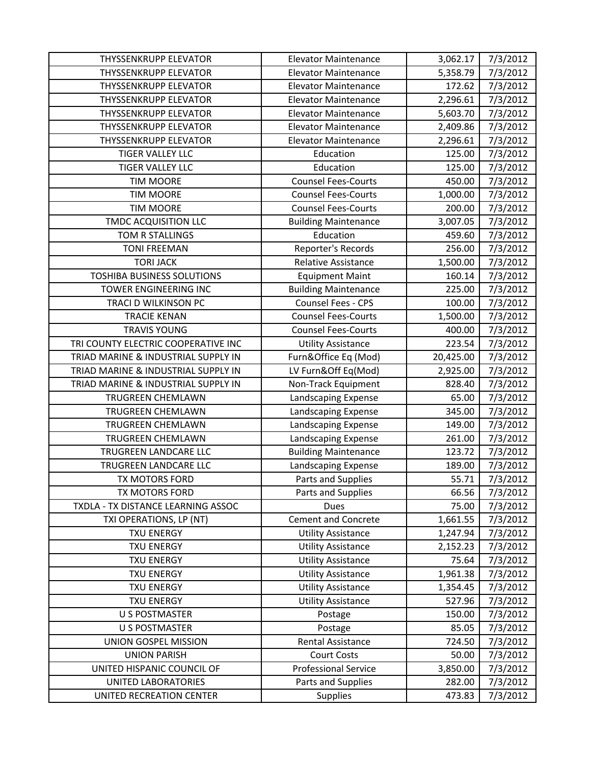| <b>THYSSENKRUPP ELEVATOR</b>        | <b>Elevator Maintenance</b> | 3,062.17  | 7/3/2012 |
|-------------------------------------|-----------------------------|-----------|----------|
| THYSSENKRUPP ELEVATOR               | <b>Elevator Maintenance</b> | 5,358.79  | 7/3/2012 |
| <b>THYSSENKRUPP ELEVATOR</b>        | <b>Elevator Maintenance</b> | 172.62    | 7/3/2012 |
| THYSSENKRUPP ELEVATOR               | <b>Elevator Maintenance</b> | 2,296.61  | 7/3/2012 |
| <b>THYSSENKRUPP ELEVATOR</b>        | <b>Elevator Maintenance</b> | 5,603.70  | 7/3/2012 |
| THYSSENKRUPP ELEVATOR               | <b>Elevator Maintenance</b> | 2,409.86  | 7/3/2012 |
| THYSSENKRUPP ELEVATOR               | <b>Elevator Maintenance</b> | 2,296.61  | 7/3/2012 |
| <b>TIGER VALLEY LLC</b>             | Education                   | 125.00    | 7/3/2012 |
| <b>TIGER VALLEY LLC</b>             | Education                   | 125.00    | 7/3/2012 |
| <b>TIM MOORE</b>                    | <b>Counsel Fees-Courts</b>  | 450.00    | 7/3/2012 |
| <b>TIM MOORE</b>                    | <b>Counsel Fees-Courts</b>  | 1,000.00  | 7/3/2012 |
| <b>TIM MOORE</b>                    | <b>Counsel Fees-Courts</b>  | 200.00    | 7/3/2012 |
| TMDC ACQUISITION LLC                | <b>Building Maintenance</b> | 3,007.05  | 7/3/2012 |
| TOM R STALLINGS                     | Education                   | 459.60    | 7/3/2012 |
| <b>TONI FREEMAN</b>                 | Reporter's Records          | 256.00    | 7/3/2012 |
| <b>TORI JACK</b>                    | <b>Relative Assistance</b>  | 1,500.00  | 7/3/2012 |
| <b>TOSHIBA BUSINESS SOLUTIONS</b>   | <b>Equipment Maint</b>      | 160.14    | 7/3/2012 |
| TOWER ENGINEERING INC               | <b>Building Maintenance</b> | 225.00    | 7/3/2012 |
| TRACI D WILKINSON PC                | Counsel Fees - CPS          | 100.00    | 7/3/2012 |
| <b>TRACIE KENAN</b>                 | <b>Counsel Fees-Courts</b>  | 1,500.00  | 7/3/2012 |
| <b>TRAVIS YOUNG</b>                 | <b>Counsel Fees-Courts</b>  | 400.00    | 7/3/2012 |
| TRI COUNTY ELECTRIC COOPERATIVE INC | <b>Utility Assistance</b>   | 223.54    | 7/3/2012 |
| TRIAD MARINE & INDUSTRIAL SUPPLY IN | Furn&Office Eq (Mod)        | 20,425.00 | 7/3/2012 |
| TRIAD MARINE & INDUSTRIAL SUPPLY IN | LV Furn&Off Eq(Mod)         | 2,925.00  | 7/3/2012 |
| TRIAD MARINE & INDUSTRIAL SUPPLY IN | Non-Track Equipment         | 828.40    | 7/3/2012 |
| <b>TRUGREEN CHEMLAWN</b>            | Landscaping Expense         | 65.00     | 7/3/2012 |
| TRUGREEN CHEMLAWN                   | Landscaping Expense         | 345.00    | 7/3/2012 |
| TRUGREEN CHEMLAWN                   | Landscaping Expense         | 149.00    | 7/3/2012 |
| TRUGREEN CHEMLAWN                   | Landscaping Expense         | 261.00    | 7/3/2012 |
| TRUGREEN LANDCARE LLC               | <b>Building Maintenance</b> | 123.72    | 7/3/2012 |
| TRUGREEN LANDCARE LLC               | Landscaping Expense         | 189.00    | 7/3/2012 |
| TX MOTORS FORD                      | Parts and Supplies          | 55.71     | 7/3/2012 |
| <b>TX MOTORS FORD</b>               | Parts and Supplies          | 66.56     | 7/3/2012 |
| TXDLA - TX DISTANCE LEARNING ASSOC  | Dues                        | 75.00     | 7/3/2012 |
| TXI OPERATIONS, LP (NT)             | <b>Cement and Concrete</b>  | 1,661.55  | 7/3/2012 |
| <b>TXU ENERGY</b>                   | <b>Utility Assistance</b>   | 1,247.94  | 7/3/2012 |
| <b>TXU ENERGY</b>                   | <b>Utility Assistance</b>   | 2,152.23  | 7/3/2012 |
| <b>TXU ENERGY</b>                   | <b>Utility Assistance</b>   | 75.64     | 7/3/2012 |
| <b>TXU ENERGY</b>                   | <b>Utility Assistance</b>   | 1,961.38  | 7/3/2012 |
| <b>TXU ENERGY</b>                   | <b>Utility Assistance</b>   | 1,354.45  | 7/3/2012 |
| <b>TXU ENERGY</b>                   | <b>Utility Assistance</b>   | 527.96    | 7/3/2012 |
| <b>U S POSTMASTER</b>               | Postage                     | 150.00    | 7/3/2012 |
| <b>U S POSTMASTER</b>               | Postage                     | 85.05     | 7/3/2012 |
| UNION GOSPEL MISSION                | Rental Assistance           | 724.50    | 7/3/2012 |
| <b>UNION PARISH</b>                 | <b>Court Costs</b>          | 50.00     | 7/3/2012 |
| UNITED HISPANIC COUNCIL OF          | <b>Professional Service</b> | 3,850.00  | 7/3/2012 |
| UNITED LABORATORIES                 | Parts and Supplies          | 282.00    | 7/3/2012 |
| UNITED RECREATION CENTER            | <b>Supplies</b>             | 473.83    | 7/3/2012 |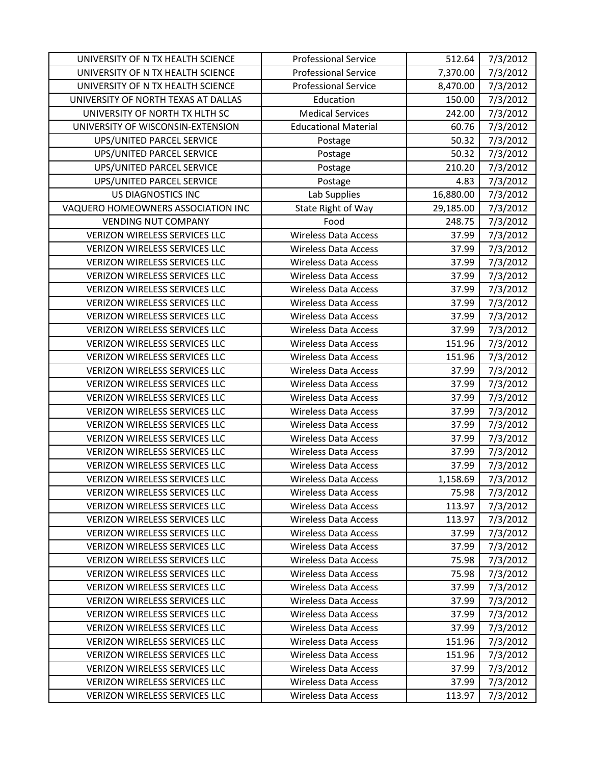| UNIVERSITY OF N TX HEALTH SCIENCE    | <b>Professional Service</b> | 512.64    | 7/3/2012 |
|--------------------------------------|-----------------------------|-----------|----------|
| UNIVERSITY OF N TX HEALTH SCIENCE    | <b>Professional Service</b> | 7,370.00  | 7/3/2012 |
| UNIVERSITY OF N TX HEALTH SCIENCE    | <b>Professional Service</b> | 8,470.00  | 7/3/2012 |
| UNIVERSITY OF NORTH TEXAS AT DALLAS  | Education                   | 150.00    | 7/3/2012 |
| UNIVERSITY OF NORTH TX HLTH SC       | <b>Medical Services</b>     | 242.00    | 7/3/2012 |
| UNIVERSITY OF WISCONSIN-EXTENSION    | <b>Educational Material</b> | 60.76     | 7/3/2012 |
| UPS/UNITED PARCEL SERVICE            | Postage                     | 50.32     | 7/3/2012 |
| UPS/UNITED PARCEL SERVICE            | Postage                     | 50.32     | 7/3/2012 |
| UPS/UNITED PARCEL SERVICE            | Postage                     | 210.20    | 7/3/2012 |
| UPS/UNITED PARCEL SERVICE            | Postage                     | 4.83      | 7/3/2012 |
| <b>US DIAGNOSTICS INC</b>            | Lab Supplies                | 16,880.00 | 7/3/2012 |
| VAQUERO HOMEOWNERS ASSOCIATION INC   | State Right of Way          | 29,185.00 | 7/3/2012 |
| <b>VENDING NUT COMPANY</b>           | Food                        | 248.75    | 7/3/2012 |
| <b>VERIZON WIRELESS SERVICES LLC</b> | <b>Wireless Data Access</b> | 37.99     | 7/3/2012 |
| VERIZON WIRELESS SERVICES LLC        | <b>Wireless Data Access</b> | 37.99     | 7/3/2012 |
| <b>VERIZON WIRELESS SERVICES LLC</b> | <b>Wireless Data Access</b> | 37.99     | 7/3/2012 |
| <b>VERIZON WIRELESS SERVICES LLC</b> | <b>Wireless Data Access</b> | 37.99     | 7/3/2012 |
| VERIZON WIRELESS SERVICES LLC        | <b>Wireless Data Access</b> | 37.99     | 7/3/2012 |
| <b>VERIZON WIRELESS SERVICES LLC</b> | <b>Wireless Data Access</b> | 37.99     | 7/3/2012 |
| VERIZON WIRELESS SERVICES LLC        | <b>Wireless Data Access</b> | 37.99     | 7/3/2012 |
| <b>VERIZON WIRELESS SERVICES LLC</b> | <b>Wireless Data Access</b> | 37.99     | 7/3/2012 |
| <b>VERIZON WIRELESS SERVICES LLC</b> | <b>Wireless Data Access</b> | 151.96    | 7/3/2012 |
| <b>VERIZON WIRELESS SERVICES LLC</b> | <b>Wireless Data Access</b> | 151.96    | 7/3/2012 |
| <b>VERIZON WIRELESS SERVICES LLC</b> | <b>Wireless Data Access</b> | 37.99     | 7/3/2012 |
| VERIZON WIRELESS SERVICES LLC        | <b>Wireless Data Access</b> | 37.99     | 7/3/2012 |
| VERIZON WIRELESS SERVICES LLC        | <b>Wireless Data Access</b> | 37.99     | 7/3/2012 |
| VERIZON WIRELESS SERVICES LLC        | <b>Wireless Data Access</b> | 37.99     | 7/3/2012 |
| VERIZON WIRELESS SERVICES LLC        | <b>Wireless Data Access</b> | 37.99     | 7/3/2012 |
| <b>VERIZON WIRELESS SERVICES LLC</b> | <b>Wireless Data Access</b> | 37.99     | 7/3/2012 |
| <b>VERIZON WIRELESS SERVICES LLC</b> | <b>Wireless Data Access</b> | 37.99     | 7/3/2012 |
| <b>VERIZON WIRELESS SERVICES LLC</b> | <b>Wireless Data Access</b> | 37.99     | 7/3/2012 |
| <b>VERIZON WIRELESS SERVICES LLC</b> | <b>Wireless Data Access</b> | 1,158.69  | 7/3/2012 |
| <b>VERIZON WIRELESS SERVICES LLC</b> | <b>Wireless Data Access</b> | 75.98     | 7/3/2012 |
| <b>VERIZON WIRELESS SERVICES LLC</b> | <b>Wireless Data Access</b> | 113.97    | 7/3/2012 |
| <b>VERIZON WIRELESS SERVICES LLC</b> | <b>Wireless Data Access</b> | 113.97    | 7/3/2012 |
| <b>VERIZON WIRELESS SERVICES LLC</b> | <b>Wireless Data Access</b> | 37.99     | 7/3/2012 |
| <b>VERIZON WIRELESS SERVICES LLC</b> | <b>Wireless Data Access</b> | 37.99     | 7/3/2012 |
| <b>VERIZON WIRELESS SERVICES LLC</b> | <b>Wireless Data Access</b> | 75.98     | 7/3/2012 |
| <b>VERIZON WIRELESS SERVICES LLC</b> | <b>Wireless Data Access</b> | 75.98     | 7/3/2012 |
| <b>VERIZON WIRELESS SERVICES LLC</b> | <b>Wireless Data Access</b> | 37.99     | 7/3/2012 |
| <b>VERIZON WIRELESS SERVICES LLC</b> | <b>Wireless Data Access</b> | 37.99     | 7/3/2012 |
| <b>VERIZON WIRELESS SERVICES LLC</b> | <b>Wireless Data Access</b> | 37.99     | 7/3/2012 |
| <b>VERIZON WIRELESS SERVICES LLC</b> | <b>Wireless Data Access</b> | 37.99     | 7/3/2012 |
| <b>VERIZON WIRELESS SERVICES LLC</b> | <b>Wireless Data Access</b> | 151.96    | 7/3/2012 |
| <b>VERIZON WIRELESS SERVICES LLC</b> | <b>Wireless Data Access</b> | 151.96    | 7/3/2012 |
| <b>VERIZON WIRELESS SERVICES LLC</b> | <b>Wireless Data Access</b> | 37.99     | 7/3/2012 |
| <b>VERIZON WIRELESS SERVICES LLC</b> | <b>Wireless Data Access</b> | 37.99     | 7/3/2012 |
| VERIZON WIRELESS SERVICES LLC        | <b>Wireless Data Access</b> | 113.97    | 7/3/2012 |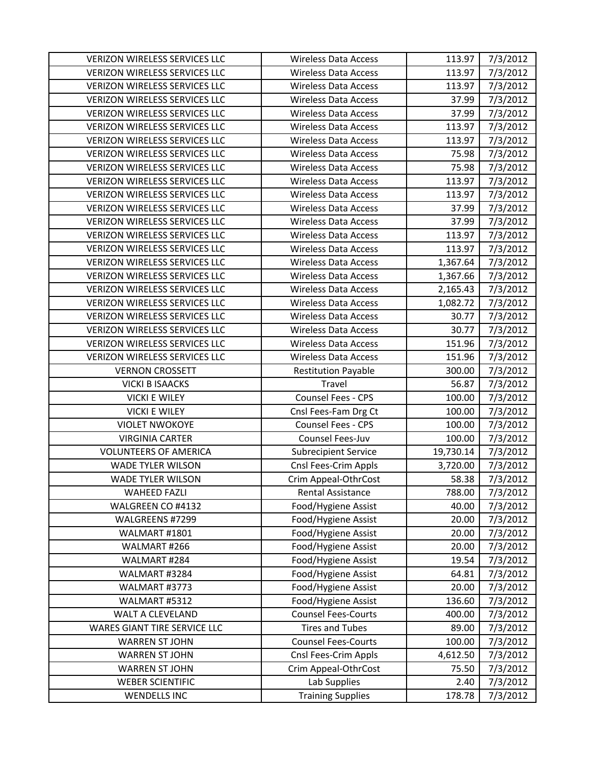| <b>VERIZON WIRELESS SERVICES LLC</b> | <b>Wireless Data Access</b> | 113.97    | 7/3/2012 |
|--------------------------------------|-----------------------------|-----------|----------|
| <b>VERIZON WIRELESS SERVICES LLC</b> | <b>Wireless Data Access</b> | 113.97    | 7/3/2012 |
| VERIZON WIRELESS SERVICES LLC        | <b>Wireless Data Access</b> | 113.97    | 7/3/2012 |
| <b>VERIZON WIRELESS SERVICES LLC</b> | <b>Wireless Data Access</b> | 37.99     | 7/3/2012 |
| <b>VERIZON WIRELESS SERVICES LLC</b> | <b>Wireless Data Access</b> | 37.99     | 7/3/2012 |
| VERIZON WIRELESS SERVICES LLC        | <b>Wireless Data Access</b> | 113.97    | 7/3/2012 |
| <b>VERIZON WIRELESS SERVICES LLC</b> | <b>Wireless Data Access</b> | 113.97    | 7/3/2012 |
| <b>VERIZON WIRELESS SERVICES LLC</b> | <b>Wireless Data Access</b> | 75.98     | 7/3/2012 |
| <b>VERIZON WIRELESS SERVICES LLC</b> | <b>Wireless Data Access</b> | 75.98     | 7/3/2012 |
| VERIZON WIRELESS SERVICES LLC        | <b>Wireless Data Access</b> | 113.97    | 7/3/2012 |
| <b>VERIZON WIRELESS SERVICES LLC</b> | <b>Wireless Data Access</b> | 113.97    | 7/3/2012 |
| VERIZON WIRELESS SERVICES LLC        | <b>Wireless Data Access</b> | 37.99     | 7/3/2012 |
| VERIZON WIRELESS SERVICES LLC        | <b>Wireless Data Access</b> | 37.99     | 7/3/2012 |
| VERIZON WIRELESS SERVICES LLC        | <b>Wireless Data Access</b> | 113.97    | 7/3/2012 |
| <b>VERIZON WIRELESS SERVICES LLC</b> | <b>Wireless Data Access</b> | 113.97    | 7/3/2012 |
| VERIZON WIRELESS SERVICES LLC        | <b>Wireless Data Access</b> | 1,367.64  | 7/3/2012 |
| <b>VERIZON WIRELESS SERVICES LLC</b> | <b>Wireless Data Access</b> | 1,367.66  | 7/3/2012 |
| VERIZON WIRELESS SERVICES LLC        | <b>Wireless Data Access</b> | 2,165.43  | 7/3/2012 |
| VERIZON WIRELESS SERVICES LLC        | <b>Wireless Data Access</b> | 1,082.72  | 7/3/2012 |
| VERIZON WIRELESS SERVICES LLC        | <b>Wireless Data Access</b> | 30.77     | 7/3/2012 |
| <b>VERIZON WIRELESS SERVICES LLC</b> | <b>Wireless Data Access</b> | 30.77     | 7/3/2012 |
| VERIZON WIRELESS SERVICES LLC        | <b>Wireless Data Access</b> | 151.96    | 7/3/2012 |
| <b>VERIZON WIRELESS SERVICES LLC</b> | <b>Wireless Data Access</b> | 151.96    | 7/3/2012 |
| <b>VERNON CROSSETT</b>               | <b>Restitution Payable</b>  | 300.00    | 7/3/2012 |
| <b>VICKI B ISAACKS</b>               | Travel                      | 56.87     | 7/3/2012 |
| <b>VICKI E WILEY</b>                 | Counsel Fees - CPS          | 100.00    | 7/3/2012 |
| <b>VICKI E WILEY</b>                 | Cnsl Fees-Fam Drg Ct        | 100.00    | 7/3/2012 |
| <b>VIOLET NWOKOYE</b>                | Counsel Fees - CPS          | 100.00    | 7/3/2012 |
| <b>VIRGINIA CARTER</b>               | Counsel Fees-Juv            | 100.00    | 7/3/2012 |
| <b>VOLUNTEERS OF AMERICA</b>         | <b>Subrecipient Service</b> | 19,730.14 | 7/3/2012 |
| <b>WADE TYLER WILSON</b>             | Cnsl Fees-Crim Appls        | 3,720.00  | 7/3/2012 |
| <b>WADE TYLER WILSON</b>             | Crim Appeal-OthrCost        | 58.38     | 7/3/2012 |
| <b>WAHEED FAZLI</b>                  | <b>Rental Assistance</b>    | 788.00    | 7/3/2012 |
| WALGREEN CO #4132                    | Food/Hygiene Assist         | 40.00     | 7/3/2012 |
| WALGREENS #7299                      | Food/Hygiene Assist         | 20.00     | 7/3/2012 |
| WALMART #1801                        | Food/Hygiene Assist         | 20.00     | 7/3/2012 |
| WALMART #266                         | Food/Hygiene Assist         | 20.00     | 7/3/2012 |
| WALMART #284                         | Food/Hygiene Assist         | 19.54     | 7/3/2012 |
| WALMART #3284                        | Food/Hygiene Assist         | 64.81     | 7/3/2012 |
| WALMART #3773                        | Food/Hygiene Assist         | 20.00     | 7/3/2012 |
| WALMART #5312                        | Food/Hygiene Assist         | 136.60    | 7/3/2012 |
| WALT A CLEVELAND                     | <b>Counsel Fees-Courts</b>  | 400.00    | 7/3/2012 |
| WARES GIANT TIRE SERVICE LLC         | <b>Tires and Tubes</b>      | 89.00     | 7/3/2012 |
| <b>WARREN ST JOHN</b>                | <b>Counsel Fees-Courts</b>  | 100.00    | 7/3/2012 |
| <b>WARREN ST JOHN</b>                | Cnsl Fees-Crim Appls        | 4,612.50  | 7/3/2012 |
| <b>WARREN ST JOHN</b>                | Crim Appeal-OthrCost        | 75.50     | 7/3/2012 |
| <b>WEBER SCIENTIFIC</b>              | Lab Supplies                | 2.40      | 7/3/2012 |
| <b>WENDELLS INC</b>                  | <b>Training Supplies</b>    | 178.78    | 7/3/2012 |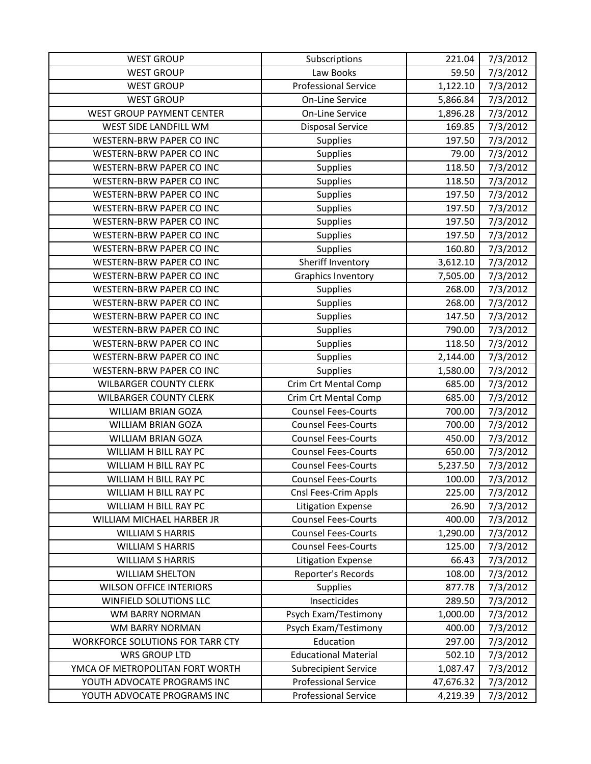| <b>WEST GROUP</b>                | Subscriptions               | 221.04    | 7/3/2012 |
|----------------------------------|-----------------------------|-----------|----------|
| <b>WEST GROUP</b>                | Law Books                   | 59.50     | 7/3/2012 |
| <b>WEST GROUP</b>                | <b>Professional Service</b> | 1,122.10  | 7/3/2012 |
| <b>WEST GROUP</b>                | On-Line Service             | 5,866.84  | 7/3/2012 |
| <b>WEST GROUP PAYMENT CENTER</b> | <b>On-Line Service</b>      | 1,896.28  | 7/3/2012 |
| WEST SIDE LANDFILL WM            | <b>Disposal Service</b>     | 169.85    | 7/3/2012 |
| <b>WESTERN-BRW PAPER CO INC</b>  | <b>Supplies</b>             | 197.50    | 7/3/2012 |
| <b>WESTERN-BRW PAPER CO INC</b>  | <b>Supplies</b>             | 79.00     | 7/3/2012 |
| WESTERN-BRW PAPER CO INC         | Supplies                    | 118.50    | 7/3/2012 |
| <b>WESTERN-BRW PAPER CO INC</b>  | <b>Supplies</b>             | 118.50    | 7/3/2012 |
| <b>WESTERN-BRW PAPER CO INC</b>  | <b>Supplies</b>             | 197.50    | 7/3/2012 |
| <b>WESTERN-BRW PAPER CO INC</b>  | <b>Supplies</b>             | 197.50    | 7/3/2012 |
| <b>WESTERN-BRW PAPER CO INC</b>  | <b>Supplies</b>             | 197.50    | 7/3/2012 |
| WESTERN-BRW PAPER CO INC         | Supplies                    | 197.50    | 7/3/2012 |
| WESTERN-BRW PAPER CO INC         | Supplies                    | 160.80    | 7/3/2012 |
| WESTERN-BRW PAPER CO INC         | Sheriff Inventory           | 3,612.10  | 7/3/2012 |
| <b>WESTERN-BRW PAPER CO INC</b>  | Graphics Inventory          | 7,505.00  | 7/3/2012 |
| WESTERN-BRW PAPER CO INC         | <b>Supplies</b>             | 268.00    | 7/3/2012 |
| <b>WESTERN-BRW PAPER CO INC</b>  | <b>Supplies</b>             | 268.00    | 7/3/2012 |
| WESTERN-BRW PAPER CO INC         | Supplies                    | 147.50    | 7/3/2012 |
| <b>WESTERN-BRW PAPER CO INC</b>  | <b>Supplies</b>             | 790.00    | 7/3/2012 |
| <b>WESTERN-BRW PAPER CO INC</b>  | <b>Supplies</b>             | 118.50    | 7/3/2012 |
| WESTERN-BRW PAPER CO INC         | Supplies                    | 2,144.00  | 7/3/2012 |
| <b>WESTERN-BRW PAPER CO INC</b>  | <b>Supplies</b>             | 1,580.00  | 7/3/2012 |
| <b>WILBARGER COUNTY CLERK</b>    | Crim Crt Mental Comp        | 685.00    | 7/3/2012 |
| <b>WILBARGER COUNTY CLERK</b>    | Crim Crt Mental Comp        | 685.00    | 7/3/2012 |
| <b>WILLIAM BRIAN GOZA</b>        | <b>Counsel Fees-Courts</b>  | 700.00    | 7/3/2012 |
| <b>WILLIAM BRIAN GOZA</b>        | <b>Counsel Fees-Courts</b>  | 700.00    | 7/3/2012 |
| <b>WILLIAM BRIAN GOZA</b>        | <b>Counsel Fees-Courts</b>  | 450.00    | 7/3/2012 |
| WILLIAM H BILL RAY PC            | <b>Counsel Fees-Courts</b>  | 650.00    | 7/3/2012 |
| WILLIAM H BILL RAY PC            | <b>Counsel Fees-Courts</b>  | 5,237.50  | 7/3/2012 |
| WILLIAM H BILL RAY PC            | <b>Counsel Fees-Courts</b>  | 100.00    | 7/3/2012 |
| WILLIAM H BILL RAY PC            | Cnsl Fees-Crim Appls        | 225.00    | 7/3/2012 |
| WILLIAM H BILL RAY PC            | <b>Litigation Expense</b>   | 26.90     | 7/3/2012 |
| WILLIAM MICHAEL HARBER JR        | <b>Counsel Fees-Courts</b>  | 400.00    | 7/3/2012 |
| <b>WILLIAM S HARRIS</b>          | <b>Counsel Fees-Courts</b>  | 1,290.00  | 7/3/2012 |
| <b>WILLIAM S HARRIS</b>          | <b>Counsel Fees-Courts</b>  | 125.00    | 7/3/2012 |
| <b>WILLIAM S HARRIS</b>          | <b>Litigation Expense</b>   | 66.43     | 7/3/2012 |
| <b>WILLIAM SHELTON</b>           | Reporter's Records          | 108.00    | 7/3/2012 |
| <b>WILSON OFFICE INTERIORS</b>   | <b>Supplies</b>             | 877.78    | 7/3/2012 |
| <b>WINFIELD SOLUTIONS LLC</b>    | Insecticides                | 289.50    | 7/3/2012 |
| WM BARRY NORMAN                  | Psych Exam/Testimony        | 1,000.00  | 7/3/2012 |
| <b>WM BARRY NORMAN</b>           | Psych Exam/Testimony        | 400.00    | 7/3/2012 |
| WORKFORCE SOLUTIONS FOR TARR CTY | Education                   | 297.00    | 7/3/2012 |
| <b>WRS GROUP LTD</b>             | <b>Educational Material</b> | 502.10    | 7/3/2012 |
| YMCA OF METROPOLITAN FORT WORTH  | <b>Subrecipient Service</b> | 1,087.47  | 7/3/2012 |
| YOUTH ADVOCATE PROGRAMS INC      | <b>Professional Service</b> | 47,676.32 | 7/3/2012 |
| YOUTH ADVOCATE PROGRAMS INC      | <b>Professional Service</b> | 4,219.39  | 7/3/2012 |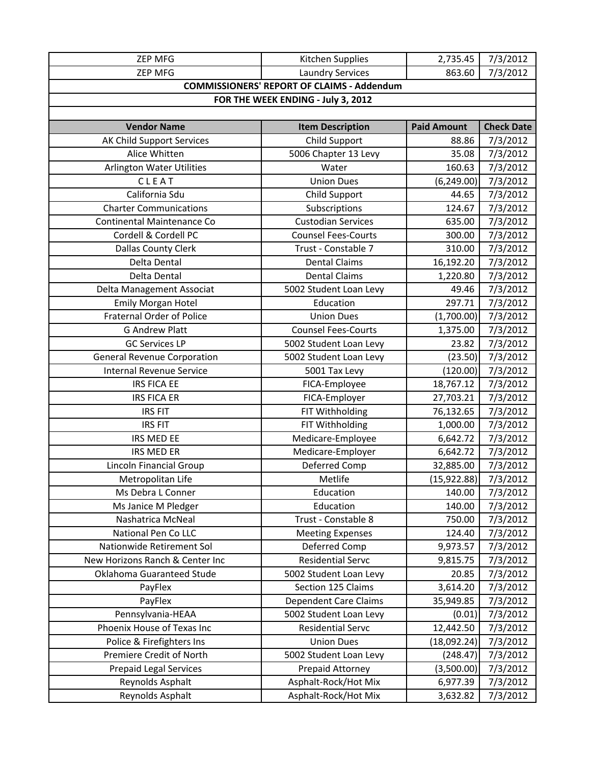| <b>ZEP MFG</b>                     | Kitchen Supplies                                  | 2,735.45           | 7/3/2012          |
|------------------------------------|---------------------------------------------------|--------------------|-------------------|
| <b>ZEP MFG</b>                     | <b>Laundry Services</b>                           | 863.60             | 7/3/2012          |
|                                    | <b>COMMISSIONERS' REPORT OF CLAIMS - Addendum</b> |                    |                   |
|                                    | FOR THE WEEK ENDING - July 3, 2012                |                    |                   |
|                                    |                                                   |                    |                   |
| <b>Vendor Name</b>                 | <b>Item Description</b>                           | <b>Paid Amount</b> | <b>Check Date</b> |
| AK Child Support Services          | Child Support                                     | 88.86              | 7/3/2012          |
| Alice Whitten                      | 5006 Chapter 13 Levy                              | 35.08              | 7/3/2012          |
| <b>Arlington Water Utilities</b>   | Water                                             | 160.63             | 7/3/2012          |
| CLEAT                              | <b>Union Dues</b>                                 | (6, 249.00)        | 7/3/2012          |
| California Sdu                     | Child Support                                     | 44.65              | 7/3/2012          |
| <b>Charter Communications</b>      | Subscriptions                                     | 124.67             | 7/3/2012          |
| Continental Maintenance Co         | <b>Custodian Services</b>                         | 635.00             | 7/3/2012          |
| Cordell & Cordell PC               | <b>Counsel Fees-Courts</b>                        | 300.00             | 7/3/2012          |
| <b>Dallas County Clerk</b>         | Trust - Constable 7                               | 310.00             | 7/3/2012          |
| Delta Dental                       | <b>Dental Claims</b>                              | 16,192.20          | 7/3/2012          |
| Delta Dental                       | <b>Dental Claims</b>                              | 1,220.80           | 7/3/2012          |
| Delta Management Associat          | 5002 Student Loan Levy                            | 49.46              | 7/3/2012          |
| <b>Emily Morgan Hotel</b>          | Education                                         | 297.71             | 7/3/2012          |
| <b>Fraternal Order of Police</b>   | <b>Union Dues</b>                                 | (1,700.00)         | 7/3/2012          |
| <b>G Andrew Platt</b>              | <b>Counsel Fees-Courts</b>                        | 1,375.00           | 7/3/2012          |
| <b>GC Services LP</b>              | 5002 Student Loan Levy                            | 23.82              | 7/3/2012          |
| <b>General Revenue Corporation</b> | 5002 Student Loan Levy                            | (23.50)            | 7/3/2012          |
| <b>Internal Revenue Service</b>    | 5001 Tax Levy                                     | (120.00)           | 7/3/2012          |
| <b>IRS FICA EE</b>                 | FICA-Employee                                     | 18,767.12          | 7/3/2012          |
| <b>IRS FICA ER</b>                 | FICA-Employer                                     | 27,703.21          | 7/3/2012          |
| <b>IRS FIT</b>                     | FIT Withholding                                   | 76,132.65          | 7/3/2012          |
| <b>IRS FIT</b>                     | FIT Withholding                                   | 1,000.00           | 7/3/2012          |
| IRS MED EE                         | Medicare-Employee                                 | 6,642.72           | 7/3/2012          |
| <b>IRS MED ER</b>                  | Medicare-Employer                                 | 6,642.72           | 7/3/2012          |
| Lincoln Financial Group            | Deferred Comp                                     | 32,885.00          | 7/3/2012          |
| Metropolitan Life                  | Metlife                                           | (15,922.88)        | 7/3/2012          |
| Ms Debra L Conner                  | Education                                         | 140.00             | 7/3/2012          |
| Ms Janice M Pledger                | Education                                         | 140.00             | 7/3/2012          |
| Nashatrica McNeal                  | Trust - Constable 8                               | 750.00             | 7/3/2012          |
| National Pen Co LLC                | <b>Meeting Expenses</b>                           | 124.40             | 7/3/2012          |
| Nationwide Retirement Sol          | Deferred Comp                                     | 9,973.57           | 7/3/2012          |
| New Horizons Ranch & Center Inc    | <b>Residential Servc</b>                          | 9,815.75           | 7/3/2012          |
| Oklahoma Guaranteed Stude          | 5002 Student Loan Levy                            | 20.85              | 7/3/2012          |
| PayFlex                            | Section 125 Claims                                | 3,614.20           | 7/3/2012          |
| PayFlex                            | <b>Dependent Care Claims</b>                      | 35,949.85          | 7/3/2012          |
| Pennsylvania-HEAA                  | 5002 Student Loan Levy                            | (0.01)             | 7/3/2012          |
| Phoenix House of Texas Inc         | <b>Residential Servc</b>                          | 12,442.50          | 7/3/2012          |
| Police & Firefighters Ins          | <b>Union Dues</b>                                 | (18,092.24)        | 7/3/2012          |
| Premiere Credit of North           | 5002 Student Loan Levy                            | (248.47)           | 7/3/2012          |
| <b>Prepaid Legal Services</b>      | Prepaid Attorney                                  | (3,500.00)         | 7/3/2012          |
| Reynolds Asphalt                   | Asphalt-Rock/Hot Mix                              | 6,977.39           | 7/3/2012          |
| Reynolds Asphalt                   | Asphalt-Rock/Hot Mix                              | 3,632.82           | 7/3/2012          |